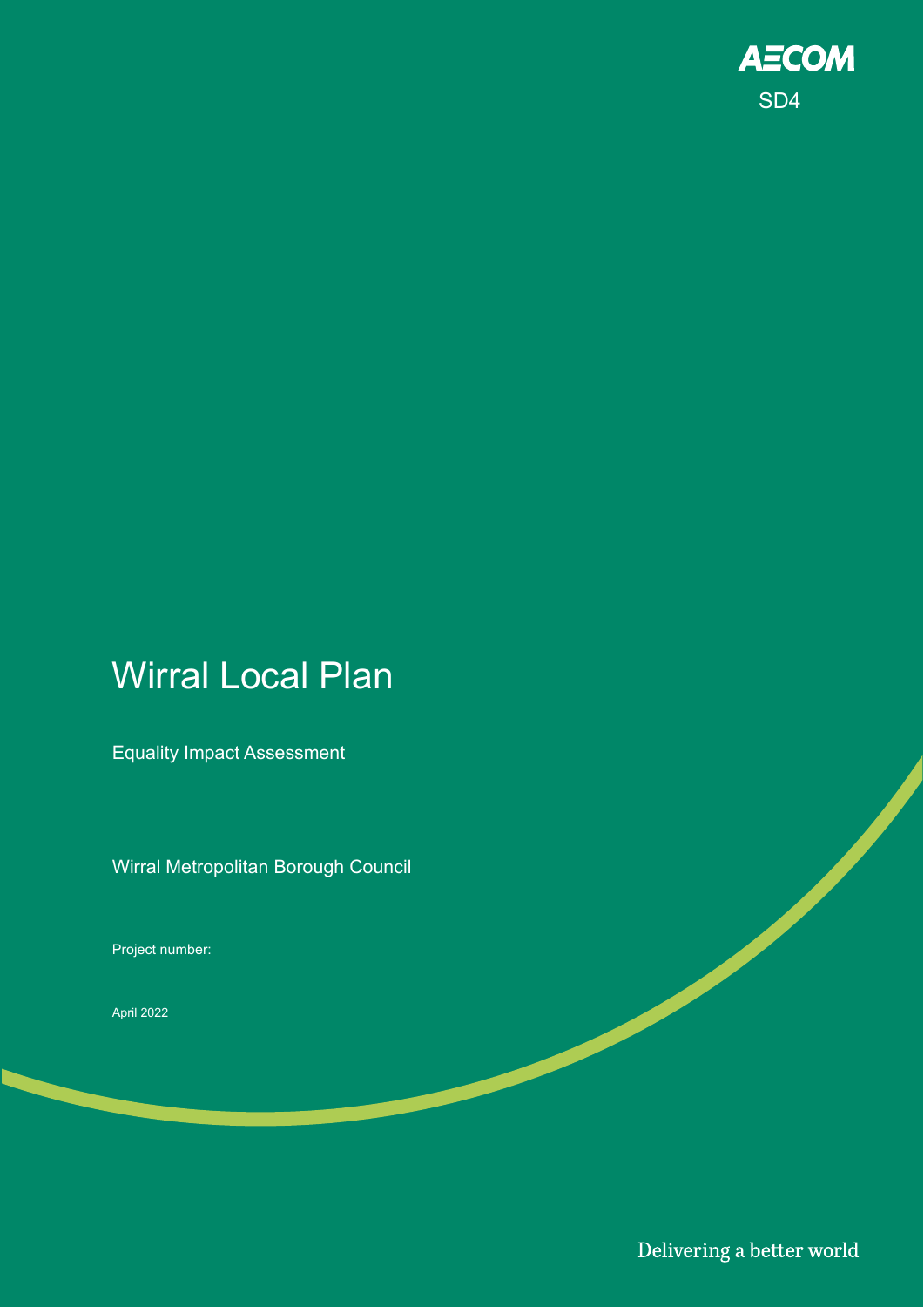

# Wirral Local Plan

Equality Impact Assessment

Wirral Metropolitan Borough Council

Project number:

April 2022

Delivering a better world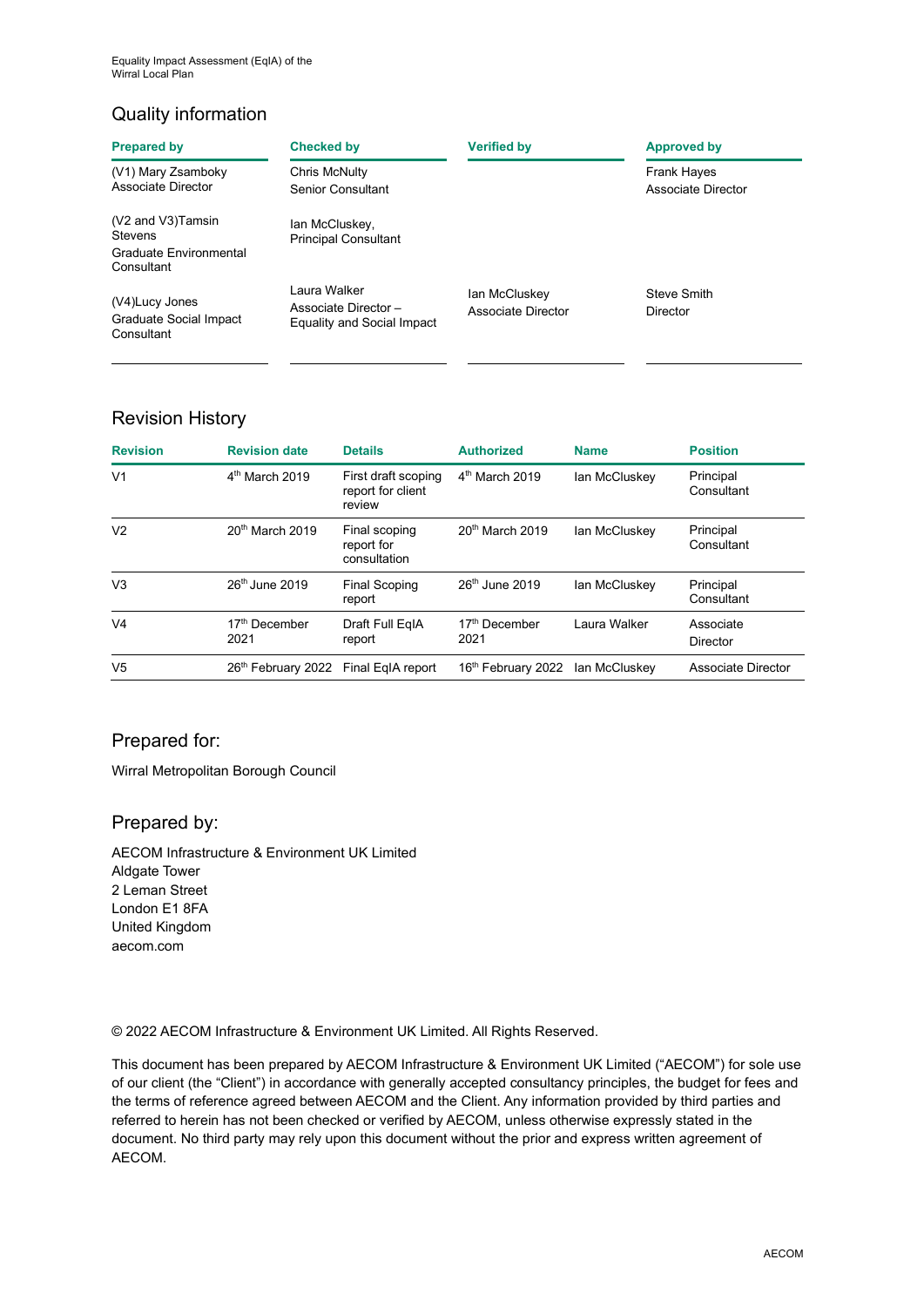### Quality information

| <b>Prepared by</b>                                                          | <b>Checked by</b>                                                 | <b>Verified by</b>                  | <b>Approved by</b>                       |
|-----------------------------------------------------------------------------|-------------------------------------------------------------------|-------------------------------------|------------------------------------------|
| (V1) Mary Zsamboky<br>Associate Director                                    | <b>Chris McNulty</b><br>Senior Consultant                         |                                     | <b>Frank Hayes</b><br>Associate Director |
| (V2 and V3)Tamsin<br><b>Stevens</b><br>Graduate Environmental<br>Consultant | lan McCluskey,<br><b>Principal Consultant</b>                     |                                     |                                          |
| (V4)Lucy Jones<br>Graduate Social Impact<br>Consultant                      | Laura Walker<br>Associate Director-<br>Equality and Social Impact | lan McCluskey<br>Associate Director | Steve Smith<br>Director                  |

### Revision History

| <b>Revision</b> | <b>Revision date</b>              | <b>Details</b>                                     | <b>Authorized</b>                 | <b>Name</b>   | <b>Position</b>         |
|-----------------|-----------------------------------|----------------------------------------------------|-----------------------------------|---------------|-------------------------|
| V <sub>1</sub>  | $4th$ March 2019                  | First draft scoping<br>report for client<br>review | 4 <sup>th</sup> March 2019        | lan McCluskey | Principal<br>Consultant |
| V <sub>2</sub>  | $20th$ March 2019                 | Final scoping<br>report for<br>consultation        | 20 <sup>th</sup> March 2019       | lan McCluskey | Principal<br>Consultant |
| V <sub>3</sub>  | 26 <sup>th</sup> June 2019        | <b>Final Scoping</b><br>report                     | 26 <sup>th</sup> June 2019        | lan McCluskey | Principal<br>Consultant |
| V <sub>4</sub>  | 17 <sup>th</sup> December<br>2021 | Draft Full EqIA<br>report                          | 17 <sup>th</sup> December<br>2021 | Laura Walker  | Associate<br>Director   |
| V <sub>5</sub>  | 26th February 2022                | Final EgIA report                                  | 16th February 2022                | lan McCluskev | Associate Director      |

#### Prepared for:

Wirral Metropolitan Borough Council

### Prepared by:

AECOM Infrastructure & Environment UK Limited Aldgate Tower 2 Leman Street London E1 8FA United Kingdom aecom.com

© 2022 AECOM Infrastructure & Environment UK Limited. All Rights Reserved.

This document has been prepared by AECOM Infrastructure & Environment UK Limited ("AECOM") for sole use of our client (the "Client") in accordance with generally accepted consultancy principles, the budget for fees and the terms of reference agreed between AECOM and the Client. Any information provided by third parties and referred to herein has not been checked or verified by AECOM, unless otherwise expressly stated in the document. No third party may rely upon this document without the prior and express written agreement of AECOM.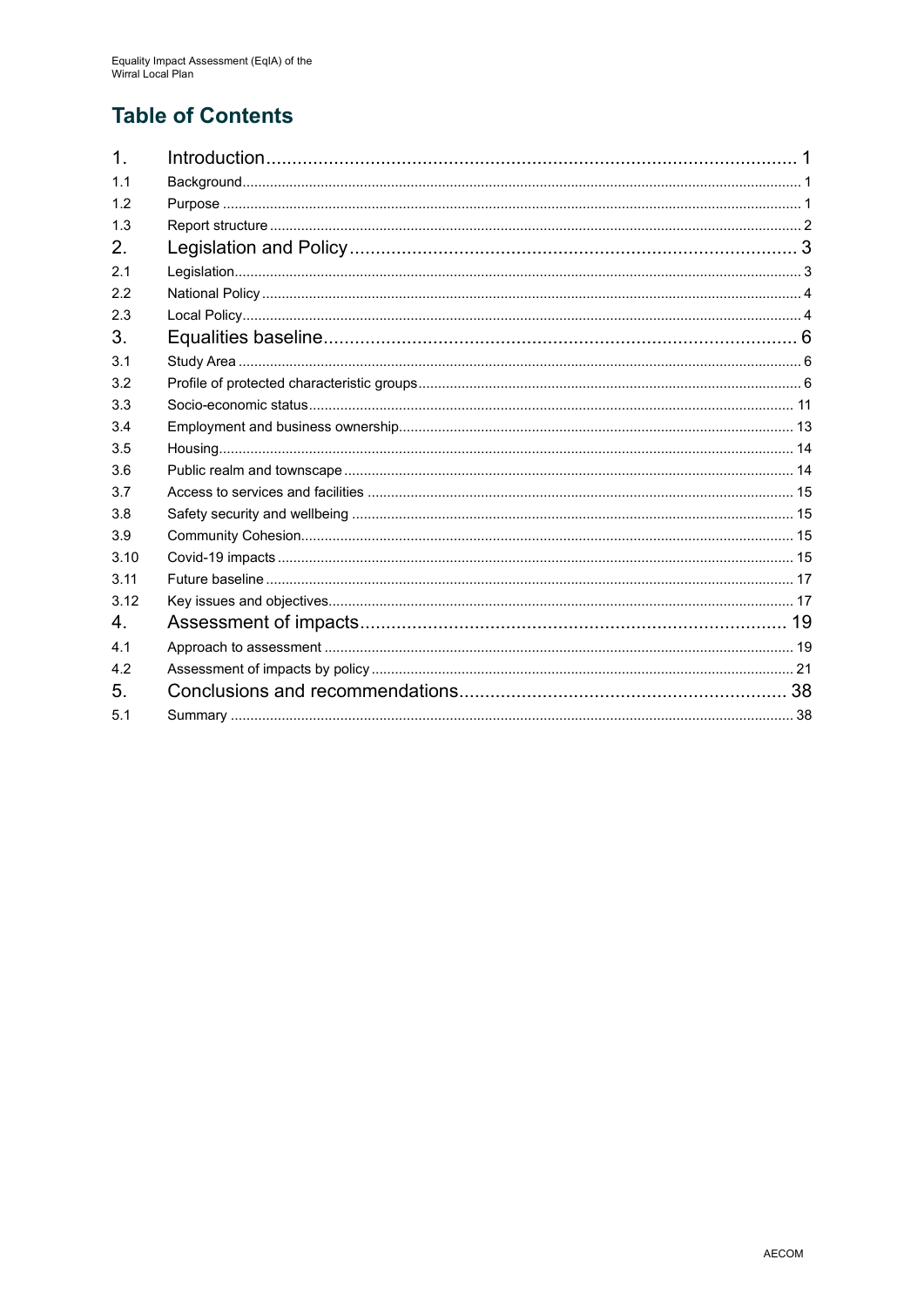### **Table of Contents**

| 1 <sub>1</sub> |  |
|----------------|--|
| 11             |  |
| 1.2            |  |
| 1.3            |  |
| 2.             |  |
| 2.1            |  |
| 2.2            |  |
| 2.3            |  |
| 3.             |  |
| 3.1            |  |
| 3.2            |  |
| 3.3            |  |
| 3.4            |  |
| 3.5            |  |
| 3.6            |  |
| 3.7            |  |
| 3.8            |  |
| 3.9            |  |
| 3.10           |  |
| 3.11           |  |
| 3.12           |  |
| 4.             |  |
| 4.1            |  |
| 4.2            |  |
| 5.             |  |
| 5.1            |  |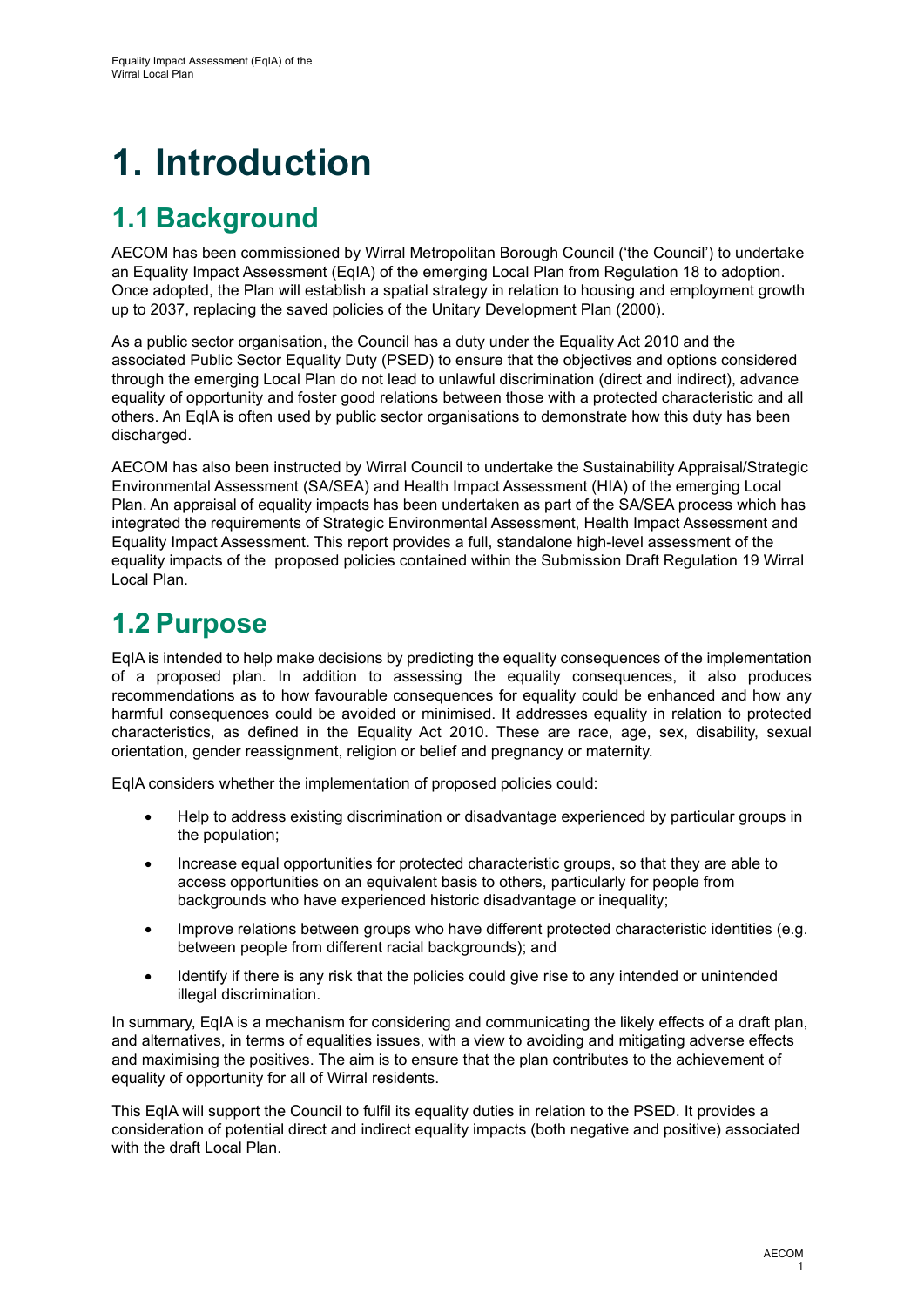# <span id="page-3-0"></span>**1. Introduction**

# <span id="page-3-1"></span>**1.1 Background**

AECOM has been commissioned by Wirral Metropolitan Borough Council ('the Council') to undertake an Equality Impact Assessment (EqIA) of the emerging Local Plan from Regulation 18 to adoption. Once adopted, the Plan will establish a spatial strategy in relation to housing and employment growth up to 2037, replacing the saved policies of the Unitary Development Plan (2000).

As a public sector organisation, the Council has a duty under the Equality Act 2010 and the associated Public Sector Equality Duty (PSED) to ensure that the objectives and options considered through the emerging Local Plan do not lead to unlawful discrimination (direct and indirect), advance equality of opportunity and foster good relations between those with a protected characteristic and all others. An EqIA is often used by public sector organisations to demonstrate how this duty has been discharged.

AECOM has also been instructed by Wirral Council to undertake the Sustainability Appraisal/Strategic Environmental Assessment (SA/SEA) and Health Impact Assessment (HIA) of the emerging Local Plan. An appraisal of equality impacts has been undertaken as part of the SA/SEA process which has integrated the requirements of Strategic Environmental Assessment, Health Impact Assessment and Equality Impact Assessment. This report provides a full, standalone high-level assessment of the equality impacts of the proposed policies contained within the Submission Draft Regulation 19 Wirral Local Plan.

## <span id="page-3-2"></span>**1.2 Purpose**

EqIA is intended to help make decisions by predicting the equality consequences of the implementation of a proposed plan. In addition to assessing the equality consequences, it also produces recommendations as to how favourable consequences for equality could be enhanced and how any harmful consequences could be avoided or minimised. It addresses equality in relation to protected characteristics, as defined in the Equality Act 2010. These are race, age, sex, disability, sexual orientation, gender reassignment, religion or belief and pregnancy or maternity.

EqIA considers whether the implementation of proposed policies could:

- Help to address existing discrimination or disadvantage experienced by particular groups in the population;
- Increase equal opportunities for protected characteristic groups, so that they are able to access opportunities on an equivalent basis to others, particularly for people from backgrounds who have experienced historic disadvantage or inequality;
- Improve relations between groups who have different protected characteristic identities (e.g. between people from different racial backgrounds); and
- Identify if there is any risk that the policies could give rise to any intended or unintended illegal discrimination.

In summary, EqIA is a mechanism for considering and communicating the likely effects of a draft plan, and alternatives, in terms of equalities issues, with a view to avoiding and mitigating adverse effects and maximising the positives. The aim is to ensure that the plan contributes to the achievement of equality of opportunity for all of Wirral residents.

This EqIA will support the Council to fulfil its equality duties in relation to the PSED. It provides a consideration of potential direct and indirect equality impacts (both negative and positive) associated with the draft Local Plan.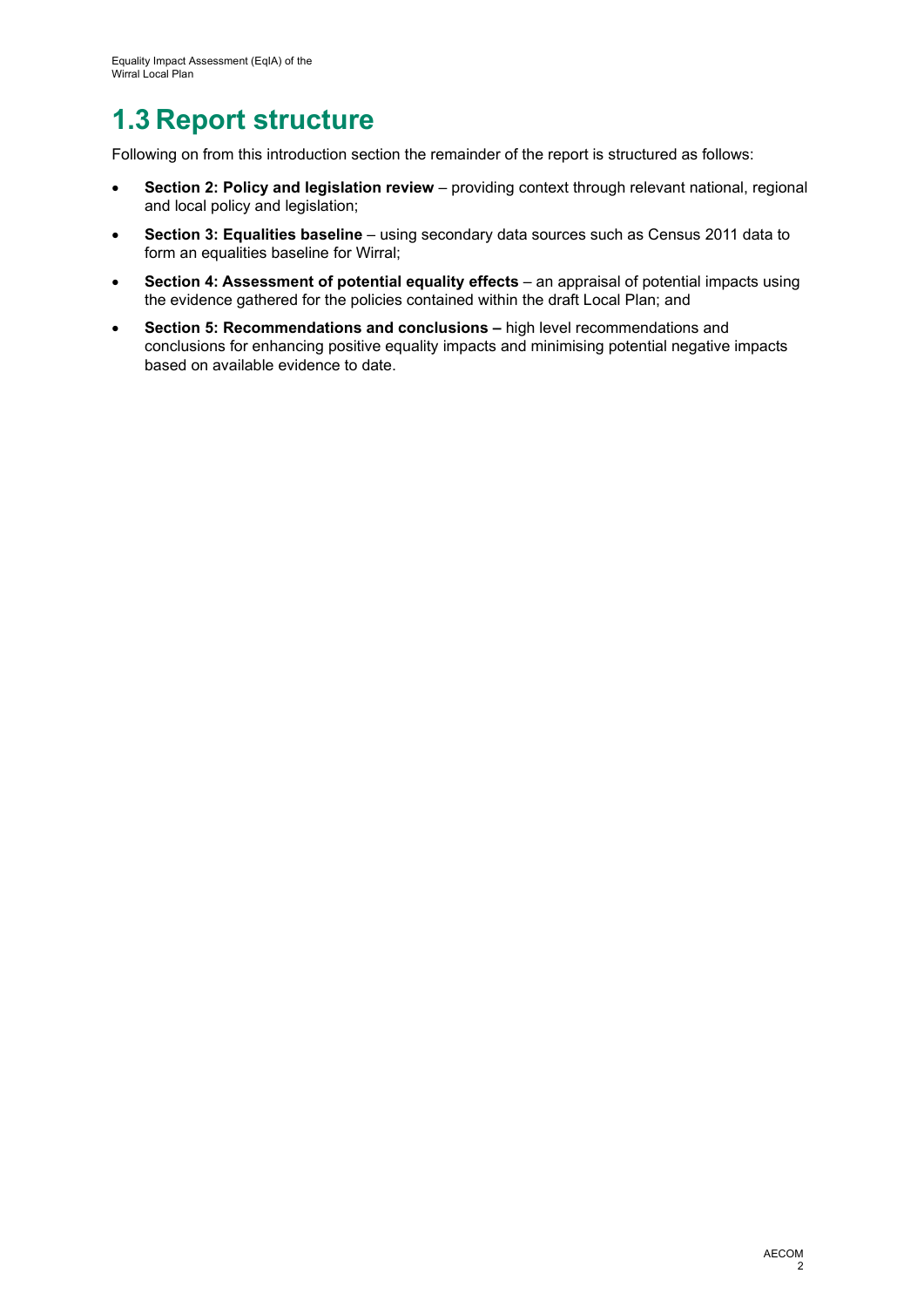# <span id="page-4-0"></span>**1.3 Report structure**

Following on from this introduction section the remainder of the report is structured as follows:

- **Section 2: Policy and legislation review** providing context through relevant national, regional and local policy and legislation;
- **Section 3: Equalities baseline** using secondary data sources such as Census 2011 data to form an equalities baseline for Wirral;
- **Section 4: Assessment of potential equality effects** an appraisal of potential impacts using the evidence gathered for the policies contained within the draft Local Plan; and
- **Section 5: Recommendations and conclusions –** high level recommendations and conclusions for enhancing positive equality impacts and minimising potential negative impacts based on available evidence to date.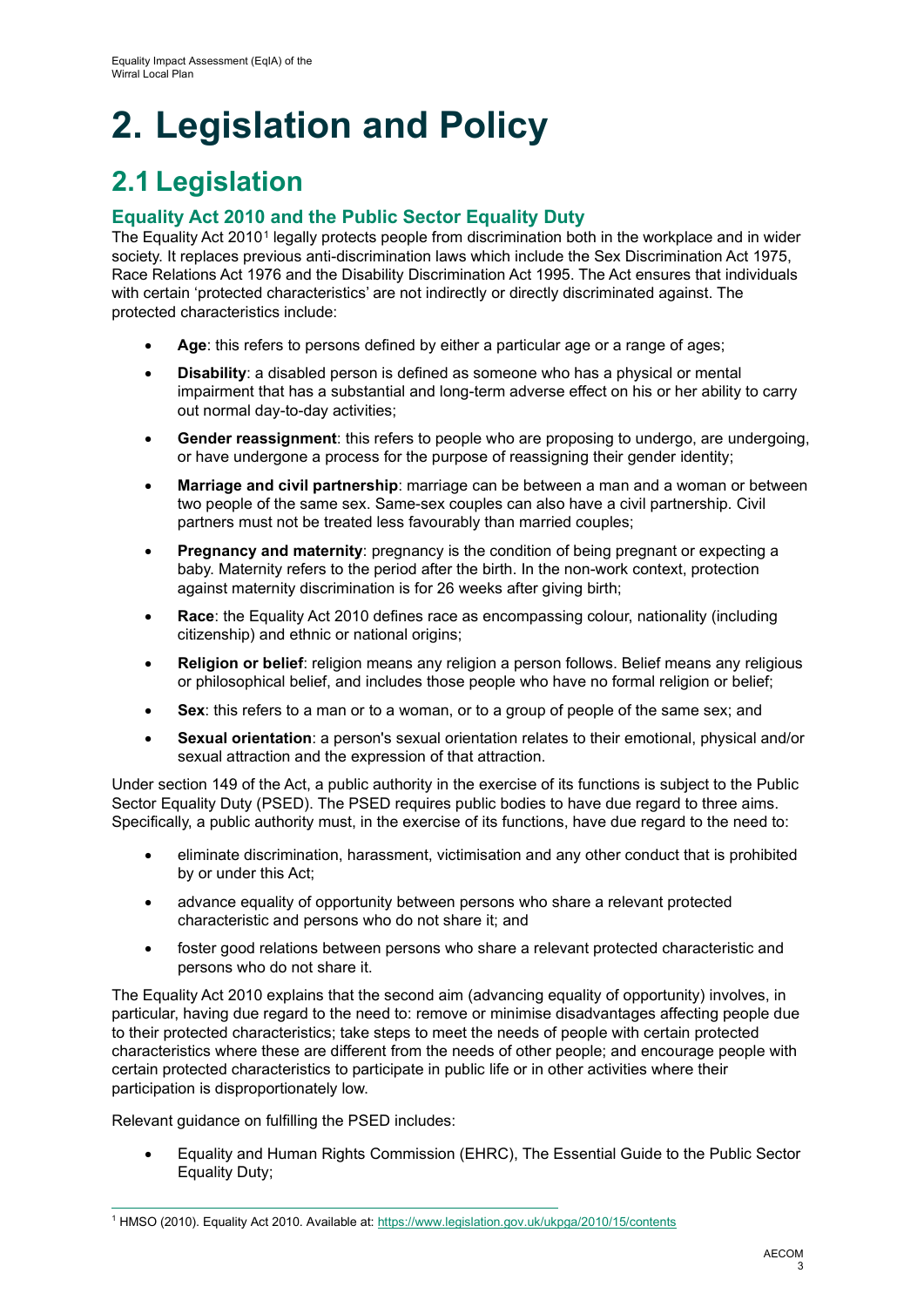# <span id="page-5-0"></span>**2. Legislation and Policy**

# <span id="page-5-1"></span>**2.1 Legislation**

### **Equality Act 2010 and the Public Sector Equality Duty**

The Equality Act 20[1](#page-5-2)0<sup>1</sup> legally protects people from discrimination both in the workplace and in wider society. It replaces previous anti-discrimination laws which include the Sex Discrimination Act 1975, Race Relations Act 1976 and the Disability Discrimination Act 1995. The Act ensures that individuals with certain 'protected characteristics' are not indirectly or directly discriminated against. The protected characteristics include:

- Age: this refers to persons defined by either a particular age or a range of ages;
- **Disability**: a disabled person is defined as someone who has a physical or mental impairment that has a substantial and long-term adverse effect on his or her ability to carry out normal day-to-day activities;
- **Gender reassignment**: this refers to people who are proposing to undergo, are undergoing, or have undergone a process for the purpose of reassigning their gender identity;
- **Marriage and civil partnership**: marriage can be between a man and a woman or between two people of the same sex. Same-sex couples can also have a civil partnership. Civil partners must not be treated less favourably than married couples;
- **Pregnancy and maternity**: pregnancy is the condition of being pregnant or expecting a baby. Maternity refers to the period after the birth. In the non-work context, protection against maternity discrimination is for 26 weeks after giving birth;
- **Race**: the Equality Act 2010 defines race as encompassing colour, nationality (including citizenship) and ethnic or national origins;
- **Religion or belief**: religion means any religion a person follows. Belief means any religious or philosophical belief, and includes those people who have no formal religion or belief;
- **Sex**: this refers to a man or to a woman, or to a group of people of the same sex; and
- **Sexual orientation**: a person's sexual orientation relates to their emotional, physical and/or sexual attraction and the expression of that attraction.

Under section 149 of the Act, a public authority in the exercise of its functions is subject to the Public Sector Equality Duty (PSED). The PSED requires public bodies to have due regard to three aims. Specifically, a public authority must, in the exercise of its functions, have due regard to the need to:

- eliminate discrimination, harassment, victimisation and any other conduct that is prohibited by or under this Act;
- advance equality of opportunity between persons who share a relevant protected characteristic and persons who do not share it; and
- foster good relations between persons who share a relevant protected characteristic and persons who do not share it.

The Equality Act 2010 explains that the second aim (advancing equality of opportunity) involves, in particular, having due regard to the need to: remove or minimise disadvantages affecting people due to their protected characteristics; take steps to meet the needs of people with certain protected characteristics where these are different from the needs of other people; and encourage people with certain protected characteristics to participate in public life or in other activities where their participation is disproportionately low.

Relevant guidance on fulfilling the PSED includes:

• Equality and Human Rights Commission (EHRC), The Essential Guide to the Public Sector Equality Duty;

<span id="page-5-2"></span><sup>1</sup> HMSO (2010). Equality Act 2010. Available at[: https://www.legislation.gov.uk/ukpga/2010/15/contents](https://www.legislation.gov.uk/ukpga/2010/15/contents)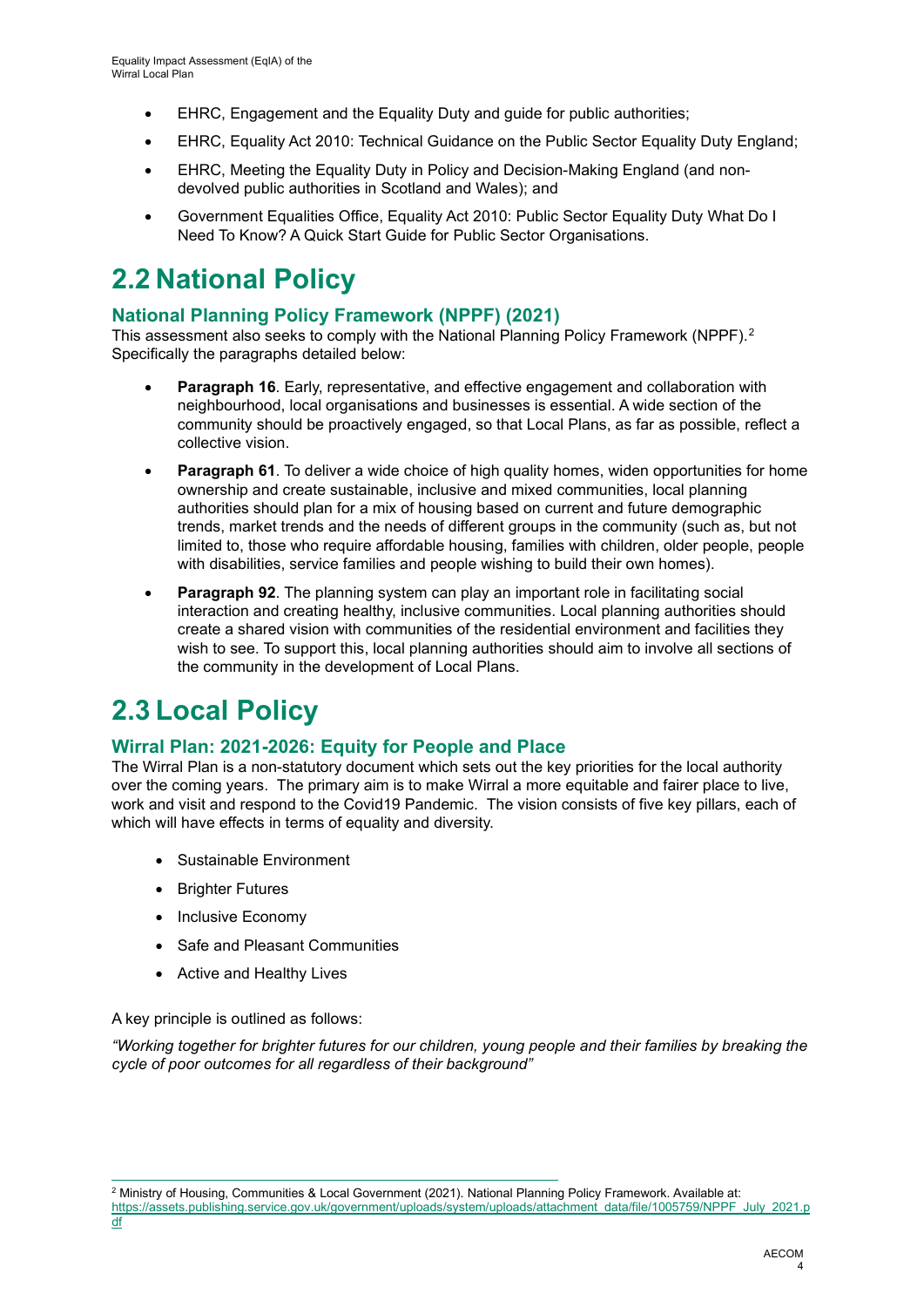- EHRC, Engagement and the Equality Duty and guide for public authorities;
- EHRC, Equality Act 2010: Technical Guidance on the Public Sector Equality Duty England;
- EHRC, Meeting the Equality Duty in Policy and Decision-Making England (and nondevolved public authorities in Scotland and Wales); and
- Government Equalities Office, Equality Act 2010: Public Sector Equality Duty What Do I Need To Know? A Quick Start Guide for Public Sector Organisations.

# <span id="page-6-0"></span>**2.2 National Policy**

### **National Planning Policy Framework (NPPF) (2021)**

This assessment also seeks to comply with the National Planning Policy Framework (NPPF).[2](#page-6-2) Specifically the paragraphs detailed below:

- **Paragraph 16.** Early, representative, and effective engagement and collaboration with neighbourhood, local organisations and businesses is essential. A wide section of the community should be proactively engaged, so that Local Plans, as far as possible, reflect a collective vision.
- **Paragraph 61.** To deliver a wide choice of high quality homes, widen opportunities for home ownership and create sustainable, inclusive and mixed communities, local planning authorities should plan for a mix of housing based on current and future demographic trends, market trends and the needs of different groups in the community (such as, but not limited to, those who require affordable housing, families with children, older people, people with disabilities, service families and people wishing to build their own homes).
- **Paragraph 92.** The planning system can play an important role in facilitating social interaction and creating healthy, inclusive communities. Local planning authorities should create a shared vision with communities of the residential environment and facilities they wish to see. To support this, local planning authorities should aim to involve all sections of the community in the development of Local Plans.

# <span id="page-6-1"></span>**2.3 Local Policy**

### **Wirral Plan: 2021-2026: Equity for People and Place**

The Wirral Plan is a non-statutory document which sets out the key priorities for the local authority over the coming years. The primary aim is to make Wirral a more equitable and fairer place to live, work and visit and respond to the Covid19 Pandemic. The vision consists of five key pillars, each of which will have effects in terms of equality and diversity.

- Sustainable Environment
- **Brighter Futures**
- Inclusive Economy
- Safe and Pleasant Communities
- Active and Healthy Lives

A key principle is outlined as follows:

*"Working together for brighter futures for our children, young people and their families by breaking the cycle of poor outcomes for all regardless of their background"*

<span id="page-6-2"></span><sup>2</sup> Ministry of Housing, Communities & Local Government (2021). National Planning Policy Framework. Available at: [https://assets.publishing.service.gov.uk/government/uploads/system/uploads/attachment\\_data/file/1005759/NPPF\\_July\\_2021.p](https://assets.publishing.service.gov.uk/government/uploads/system/uploads/attachment_data/file/1005759/NPPF_July_2021.pdf) [df](https://assets.publishing.service.gov.uk/government/uploads/system/uploads/attachment_data/file/1005759/NPPF_July_2021.pdf)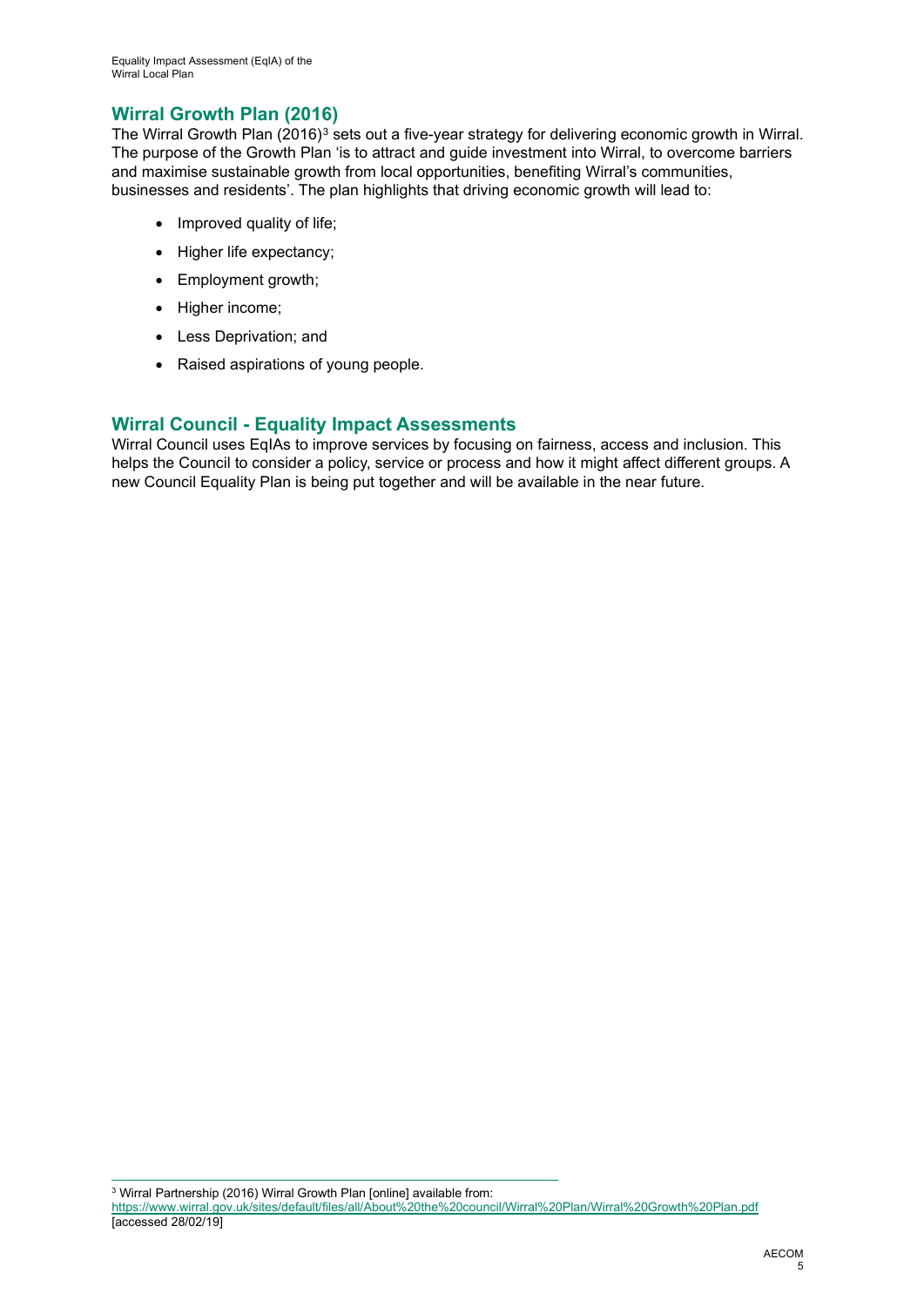### **Wirral Growth Plan (2016)**

The Wirral Growth Plan (2016)<sup>[3](#page-7-0)</sup> sets out a five-year strategy for delivering economic growth in Wirral. The purpose of the Growth Plan 'is to attract and guide investment into Wirral, to overcome barriers and maximise sustainable growth from local opportunities, benefiting Wirral's communities, businesses and residents'. The plan highlights that driving economic growth will lead to:

- Improved quality of life;
- Higher life expectancy;
- Employment growth;
- Higher income;
- Less Deprivation; and
- Raised aspirations of young people.

### **Wirral Council - Equality Impact Assessments**

<span id="page-7-0"></span>Wirral Council uses EqIAs to improve services by focusing on fairness, access and inclusion. This helps the Council to consider a policy, service or process and how it might affect different groups. A new Council Equality Plan is being put together and will be available in the near future.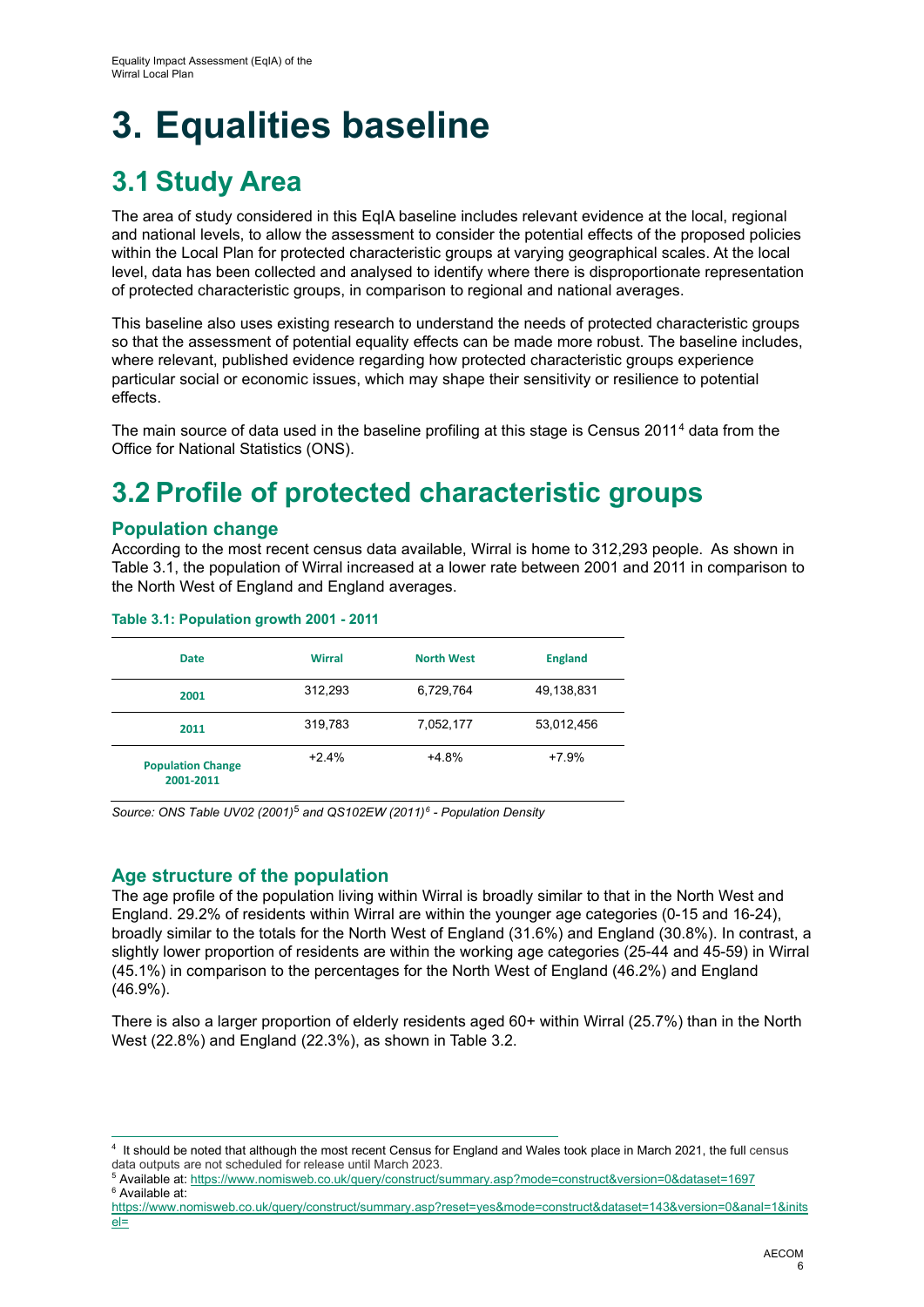# <span id="page-8-0"></span>**3. Equalities baseline**

# <span id="page-8-1"></span>**3.1 Study Area**

The area of study considered in this EqIA baseline includes relevant evidence at the local, regional and national levels, to allow the assessment to consider the potential effects of the proposed policies within the Local Plan for protected characteristic groups at varying geographical scales. At the local level, data has been collected and analysed to identify where there is disproportionate representation of protected characteristic groups, in comparison to regional and national averages.

This baseline also uses existing research to understand the needs of protected characteristic groups so that the assessment of potential equality effects can be made more robust. The baseline includes, where relevant, published evidence regarding how protected characteristic groups experience particular social or economic issues, which may shape their sensitivity or resilience to potential effects.

The main source of data used in the baseline profiling at this stage is Census 2011[4](#page-8-3) data from the Office for National Statistics (ONS).

# <span id="page-8-2"></span>**3.2 Profile of protected characteristic groups**

### **Population change**

According to the most recent census data available, Wirral is home to 312,293 people. As shown in Table 3.1, the population of Wirral increased at a lower rate between 2001 and 2011 in comparison to the North West of England and England averages.

| <b>Date</b>                           | Wirral  | <b>North West</b> | <b>England</b> |
|---------------------------------------|---------|-------------------|----------------|
| 2001                                  | 312,293 | 6,729,764         | 49,138,831     |
| 2011                                  | 319,783 | 7,052,177         | 53,012,456     |
| <b>Population Change</b><br>2001-2011 | $+2.4%$ | $+4.8%$           | $+7.9%$        |

#### **Table 3.1: Population growth 2001 - 2011**

*Source: ONS Table UV02 (2001)*[5](#page-8-4) *and QS102EW (2011)[6](#page-8-5) - Population Density*

### **Age structure of the population**

The age profile of the population living within Wirral is broadly similar to that in the North West and England. 29.2% of residents within Wirral are within the younger age categories (0-15 and 16-24), broadly similar to the totals for the North West of England (31.6%) and England (30.8%). In contrast, a slightly lower proportion of residents are within the working age categories (25-44 and 45-59) in Wirral (45.1%) in comparison to the percentages for the North West of England (46.2%) and England (46.9%).

There is also a larger proportion of elderly residents aged 60+ within Wirral (25.7%) than in the North West (22.8%) and England (22.3%), as shown in Table 3.2.

<span id="page-8-3"></span><sup>4</sup> It should be noted that although the most recent Census for England and Wales took place in March 2021, the full census data outputs are not scheduled for release until March 2023.

<span id="page-8-4"></span><sup>5</sup> Available at:<https://www.nomisweb.co.uk/query/construct/summary.asp?mode=construct&version=0&dataset=1697> <sup>6</sup> Available at:

<span id="page-8-5"></span>[https://www.nomisweb.co.uk/query/construct/summary.asp?reset=yes&mode=construct&dataset=143&version=0&anal=1&inits](https://www.nomisweb.co.uk/query/construct/summary.asp?reset=yes&mode=construct&dataset=143&version=0&anal=1&initsel=) [el=](https://www.nomisweb.co.uk/query/construct/summary.asp?reset=yes&mode=construct&dataset=143&version=0&anal=1&initsel=)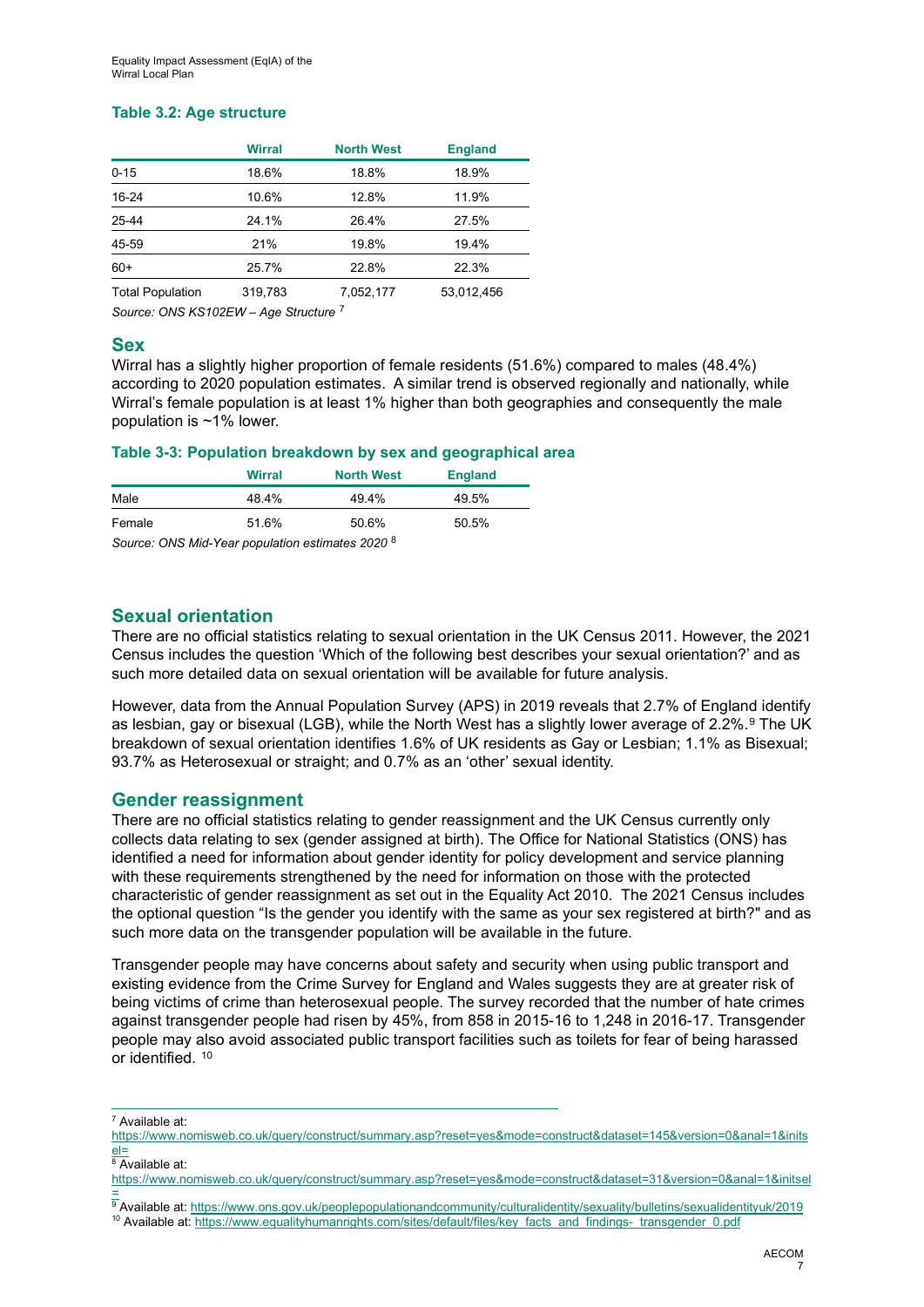#### **Table 3.2: Age structure**

|                         | <b>Wirral</b> | <b>North West</b> | <b>England</b> |
|-------------------------|---------------|-------------------|----------------|
| $0 - 15$                | 18.6%         | 18.8%             | 18.9%          |
| 16-24                   | 10.6%         | 12.8%             | 11.9%          |
| 25-44                   | 24.1%         | 26.4%             | 27.5%          |
| 45-59                   | 21%           | 19.8%             | 19.4%          |
| $60+$                   | 25.7%         | 22.8%             | 22.3%          |
| <b>Total Population</b> | 319,783       | 7,052,177         | 53,012,456     |

*Source: ONS KS102EW – Age Structure* [7](#page-9-0)

#### **Sex**

Wirral has a slightly higher proportion of female residents (51.6%) compared to males (48.4%) according to 2020 population estimates. A similar trend is observed regionally and nationally, while Wirral's female population is at least 1% higher than both geographies and consequently the male population is ~1% lower.

#### **Table 3-3: Population breakdown by sex and geographical area**

|        | Wirral | <b>North West</b> | <b>England</b> |  |
|--------|--------|-------------------|----------------|--|
| Male   | 48.4%  | 49.4%             | 49.5%          |  |
| Female | 51.6%  | 50.6%             | 50.5%          |  |
|        |        |                   |                |  |

*Source: ONS Mid-Year population estimates 2020* [8](#page-9-1)

### **Sexual orientation**

There are no official statistics relating to sexual orientation in the UK Census 2011. However, the 2021 Census includes the question 'Which of the following best describes your sexual orientation?' and as such more detailed data on sexual orientation will be available for future analysis.

However, data from the Annual Population Survey (APS) in 2019 reveals that 2.7% of England identify as lesbian, gay or bisexual (LGB), while the North West has a slightly lower average of 2.2%.<sup>[9](#page-9-2)</sup> The UK breakdown of sexual orientation identifies 1.6% of UK residents as Gay or Lesbian; 1.1% as Bisexual; 93.7% as Heterosexual or straight; and 0.7% as an 'other' sexual identity.

#### **Gender reassignment**

There are no official statistics relating to gender reassignment and the UK Census currently only collects data relating to sex (gender assigned at birth). The Office for National Statistics (ONS) has identified a need for information about gender identity for policy development and service planning with these requirements strengthened by the need for information on those with the protected characteristic of gender reassignment as set out in the Equality Act 2010. The 2021 Census includes the optional question "Is the gender you identify with the same as your sex registered at birth?" and as such more data on the transgender population will be available in the future.

Transgender people may have concerns about safety and security when using public transport and existing evidence from the Crime Survey for England and Wales suggests they are at greater risk of being victims of crime than heterosexual people. The survey recorded that the number of hate crimes against transgender people had risen by 45%, from 858 in 2015-16 to 1,248 in 2016-17. Transgender people may also avoid associated public transport facilities such as toilets for fear of being harassed or identified. [10](#page-9-3)

<span id="page-9-1"></span> $\sqrt[8]{8}$  Available at:

<sup>7</sup> Available at:

<span id="page-9-0"></span>[https://www.nomisweb.co.uk/query/construct/summary.asp?reset=yes&mode=construct&dataset=145&version=0&anal=1&inits](https://www.nomisweb.co.uk/query/construct/summary.asp?reset=yes&mode=construct&dataset=145&version=0&anal=1&initsel=)  $e =$ 

[https://www.nomisweb.co.uk/query/construct/summary.asp?reset=yes&mode=construct&dataset=31&version=0&anal=1&initsel](https://www.nomisweb.co.uk/query/construct/summary.asp?reset=yes&mode=construct&dataset=31&version=0&anal=1&initsel=)

<span id="page-9-3"></span><span id="page-9-2"></span>[<sup>=</sup>](https://www.nomisweb.co.uk/query/construct/summary.asp?reset=yes&mode=construct&dataset=31&version=0&anal=1&initsel=) <sup>9</sup> Available at:<https://www.ons.gov.uk/peoplepopulationandcommunity/culturalidentity/sexuality/bulletins/sexualidentityuk/2019> 10 Available at: https://www.equalityhumanrights.com/sites/default/files/key\_facts\_and\_findings-\_transgender\_0.pdf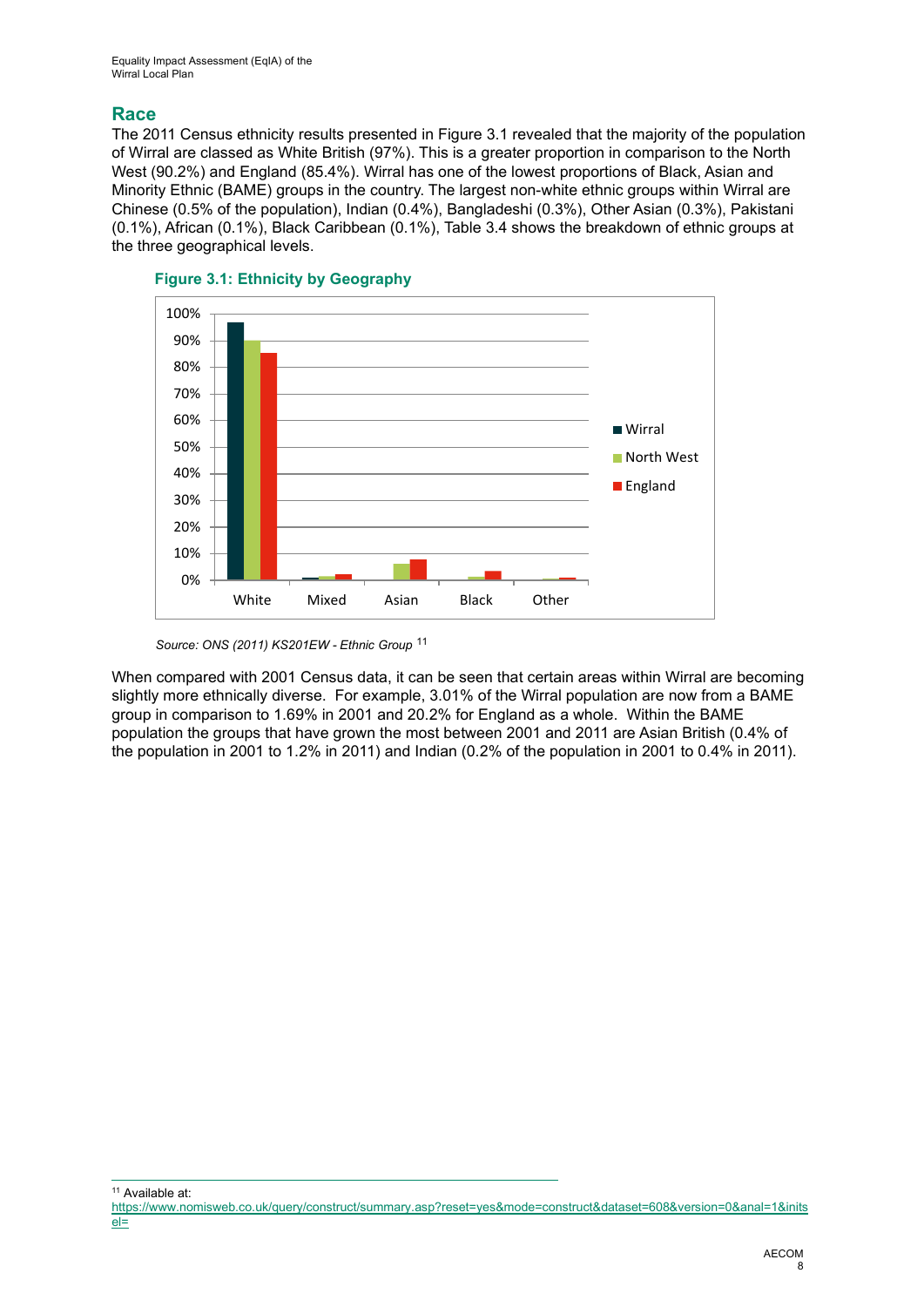### **Race**

The 2011 Census ethnicity results presented in Figure 3.1 revealed that the majority of the population of Wirral are classed as White British (97%). This is a greater proportion in comparison to the North West (90.2%) and England (85.4%). Wirral has one of the lowest proportions of Black, Asian and Minority Ethnic (BAME) groups in the country. The largest non-white ethnic groups within Wirral are Chinese (0.5% of the population), Indian (0.4%), Bangladeshi (0.3%), Other Asian (0.3%), Pakistani (0.1%), African (0.1%), Black Caribbean (0.1%), Table 3.4 shows the breakdown of ethnic groups at the three geographical levels.





*Source: ONS (2011) KS201EW - Ethnic Group* [11](#page-10-0)

When compared with 2001 Census data, it can be seen that certain areas within Wirral are becoming slightly more ethnically diverse. For example, 3.01% of the Wirral population are now from a BAME group in comparison to 1.69% in 2001 and 20.2% for England as a whole. Within the BAME population the groups that have grown the most between 2001 and 2011 are Asian British (0.4% of the population in 2001 to 1.2% in 2011) and Indian (0.2% of the population in 2001 to 0.4% in 2011).

<span id="page-10-0"></span><sup>11</sup> Available at:

[https://www.nomisweb.co.uk/query/construct/summary.asp?reset=yes&mode=construct&dataset=608&version=0&anal=1&inits](https://www.nomisweb.co.uk/query/construct/summary.asp?reset=yes&mode=construct&dataset=608&version=0&anal=1&initsel=) [el=](https://www.nomisweb.co.uk/query/construct/summary.asp?reset=yes&mode=construct&dataset=608&version=0&anal=1&initsel=)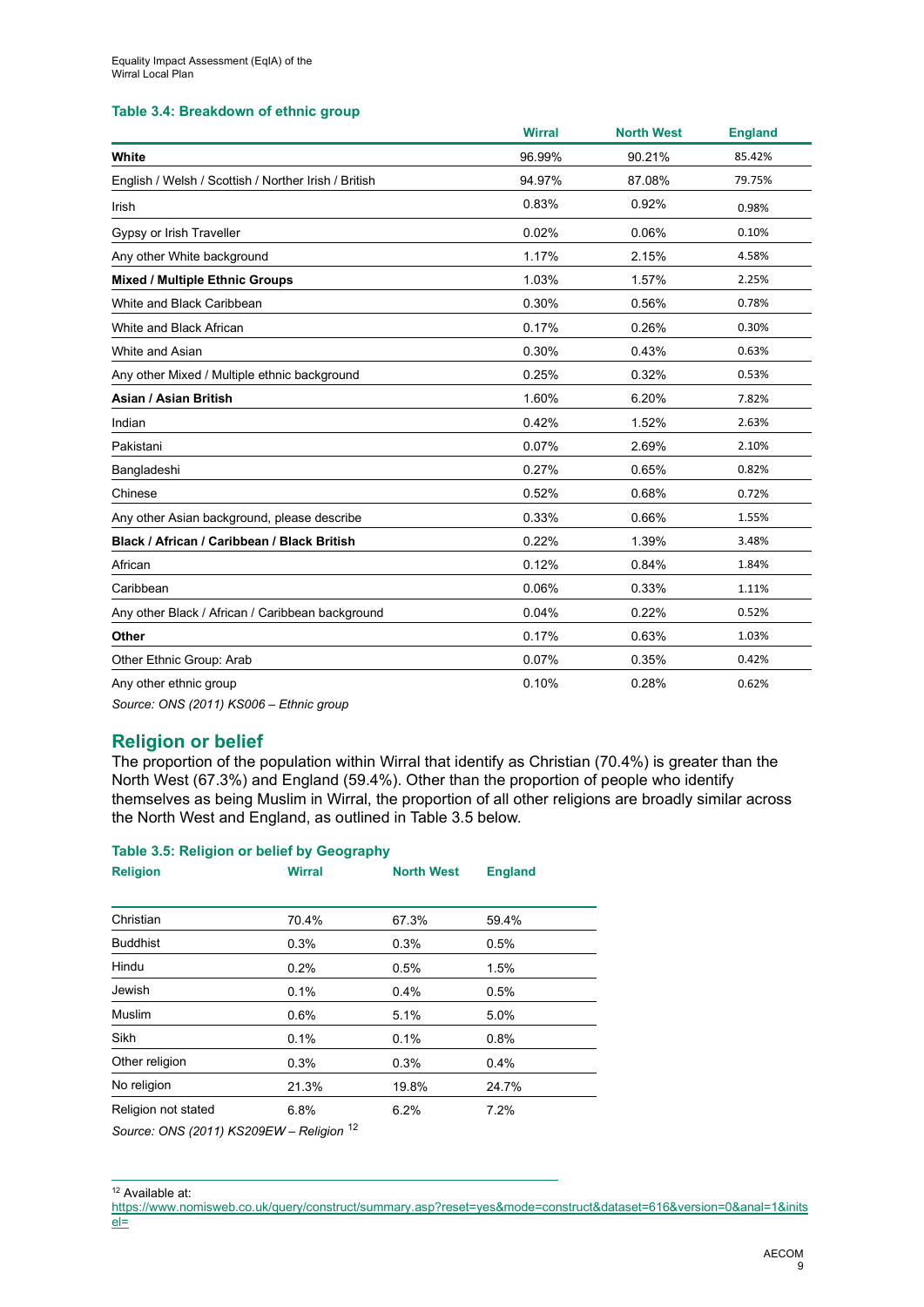#### **Table 3.4: Breakdown of ethnic group**

|                                                      | <b>Wirral</b> | <b>North West</b> | <b>England</b> |
|------------------------------------------------------|---------------|-------------------|----------------|
| White                                                | 96.99%        | 90.21%            | 85.42%         |
| English / Welsh / Scottish / Norther Irish / British | 94.97%        | 87.08%            | 79.75%         |
| Irish                                                | 0.83%         | 0.92%             | 0.98%          |
| Gypsy or Irish Traveller                             | 0.02%         | 0.06%             | 0.10%          |
| Any other White background                           | 1.17%         | 2.15%             | 4.58%          |
| <b>Mixed / Multiple Ethnic Groups</b>                | 1.03%         | 1.57%             | 2.25%          |
| White and Black Caribbean                            | 0.30%         | 0.56%             | 0.78%          |
| White and Black African                              | 0.17%         | 0.26%             | 0.30%          |
| White and Asian                                      | 0.30%         | 0.43%             | 0.63%          |
| Any other Mixed / Multiple ethnic background         | 0.25%         | 0.32%             | 0.53%          |
| Asian / Asian British                                | 1.60%         | 6.20%             | 7.82%          |
| Indian                                               | 0.42%         | 1.52%             | 2.63%          |
| Pakistani                                            | 0.07%         | 2.69%             | 2.10%          |
| Bangladeshi                                          | 0.27%         | 0.65%             | 0.82%          |
| Chinese                                              | 0.52%         | 0.68%             | 0.72%          |
| Any other Asian background, please describe          | 0.33%         | 0.66%             | 1.55%          |
| Black / African / Caribbean / Black British          | 0.22%         | 1.39%             | 3.48%          |
| African                                              | 0.12%         | 0.84%             | 1.84%          |
| Caribbean                                            | 0.06%         | 0.33%             | 1.11%          |
| Any other Black / African / Caribbean background     | 0.04%         | 0.22%             | 0.52%          |
| Other                                                | 0.17%         | 0.63%             | 1.03%          |
| Other Ethnic Group: Arab                             | 0.07%         | 0.35%             | 0.42%          |
| Any other ethnic group                               | 0.10%         | 0.28%             | 0.62%          |

*Source: ONS (2011) KS006 – Ethnic group*

#### **Religion or belief**

The proportion of the population within Wirral that identify as Christian (70.4%) is greater than the North West (67.3%) and England (59.4%). Other than the proportion of people who identify themselves as being Muslim in Wirral, the proportion of all other religions are broadly similar across the North West and England, as outlined in Table 3.5 below.

#### **Table 3.5: Religion or belief by Geography**

| <b>Religion</b>     | <b>Wirral</b> | <b>North West</b> | <b>England</b> |
|---------------------|---------------|-------------------|----------------|
|                     |               |                   |                |
| Christian           | 70.4%         | 67.3%             | 59.4%          |
| <b>Buddhist</b>     | 0.3%          | 0.3%              | 0.5%           |
| Hindu               | 0.2%          | 0.5%              | 1.5%           |
| Jewish              | 0.1%          | 0.4%              | 0.5%           |
| <b>Muslim</b>       | 0.6%          | 5.1%              | 5.0%           |
| Sikh                | 0.1%          | 0.1%              | 0.8%           |
| Other religion      | 0.3%          | 0.3%              | 0.4%           |
| No religion         | 21.3%         | 19.8%             | 24.7%          |
| Religion not stated | 6.8%          | 6.2%              | 7.2%           |

*Source: ONS (2011) KS209EW – Religion* [12](#page-11-0)

<span id="page-11-0"></span>[https://www.nomisweb.co.uk/query/construct/summary.asp?reset=yes&mode=construct&dataset=616&version=0&anal=1&inits](https://www.nomisweb.co.uk/query/construct/summary.asp?reset=yes&mode=construct&dataset=616&version=0&anal=1&initsel=)  $el=$ 

<sup>12</sup> Available at: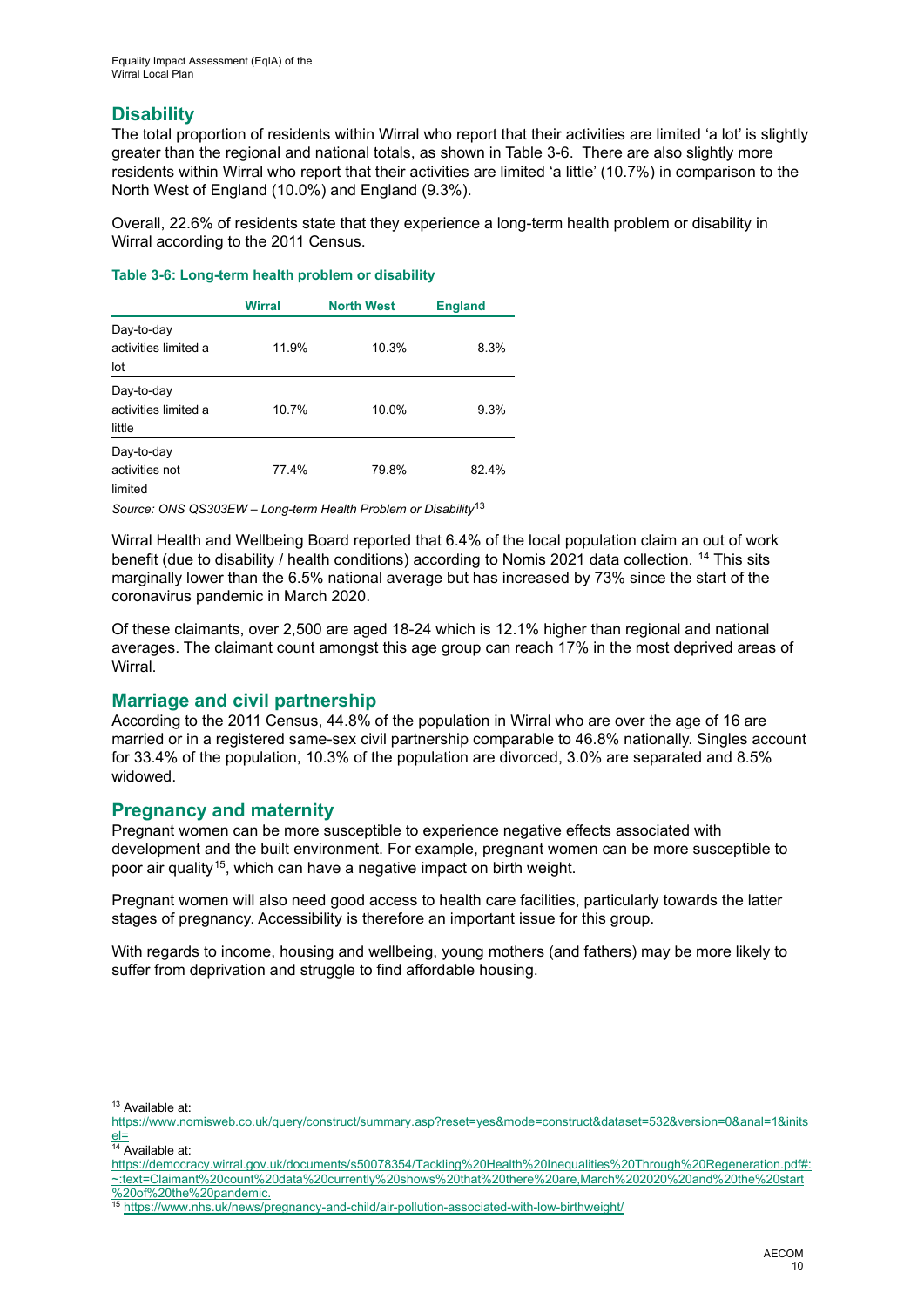### **Disability**

The total proportion of residents within Wirral who report that their activities are limited 'a lot' is slightly greater than the regional and national totals, as shown in Table 3-6. There are also slightly more residents within Wirral who report that their activities are limited 'a little' (10.7%) in comparison to the North West of England (10.0%) and England (9.3%).

Overall, 22.6% of residents state that they experience a long-term health problem or disability in Wirral according to the 2011 Census.

#### **Table 3-6: Long-term health problem or disability**

|                                              | <b>Wirral</b> | <b>North West</b> | <b>England</b> |
|----------------------------------------------|---------------|-------------------|----------------|
| Day-to-day<br>activities limited a<br>lot    | 11.9%         | 10.3%             | 8.3%           |
| Day-to-day<br>activities limited a<br>little | 10.7%         | 10.0%             | 9.3%           |
| Day-to-day<br>activities not<br>limited      | 77.4%         | 79.8%             | 82.4%          |

*Source: ONS QS303EW – Long-term Health Problem or Disability*[13](#page-12-0)

Wirral Health and Wellbeing Board reported that 6.4% of the local population claim an out of work benefit (due to disability / health conditions) according to Nomis 2021 data collection. [14](#page-12-1) This sits marginally lower than the 6.5% national average but has increased by 73% since the start of the coronavirus pandemic in March 2020.

Of these claimants, over 2,500 are aged 18-24 which is 12.1% higher than regional and national averages. The claimant count amongst this age group can reach 17% in the most deprived areas of Wirral.

#### **Marriage and civil partnership**

According to the 2011 Census, 44.8% of the population in Wirral who are over the age of 16 are married or in a registered same-sex civil partnership comparable to 46.8% nationally. Singles account for 33.4% of the population, 10.3% of the population are divorced, 3.0% are separated and 8.5% widowed.

#### **Pregnancy and maternity**

Pregnant women can be more susceptible to experience negative effects associated with development and the built environment. For example, pregnant women can be more susceptible to poor air quality[15](#page-12-2), which can have a negative impact on birth weight.

Pregnant women will also need good access to health care facilities, particularly towards the latter stages of pregnancy. Accessibility is therefore an important issue for this group.

With regards to income, housing and wellbeing, young mothers (and fathers) may be more likely to suffer from deprivation and struggle to find affordable housing.

<span id="page-12-0"></span><sup>&</sup>lt;sup>13</sup> Available at:

[https://www.nomisweb.co.uk/query/construct/summary.asp?reset=yes&mode=construct&dataset=532&version=0&anal=1&inits](https://www.nomisweb.co.uk/query/construct/summary.asp?reset=yes&mode=construct&dataset=532&version=0&anal=1&initsel=) [el=](https://www.nomisweb.co.uk/query/construct/summary.asp?reset=yes&mode=construct&dataset=532&version=0&anal=1&initsel=)

<sup>&</sup>lt;sup>14</sup> Available at:

<span id="page-12-1"></span>[https://democracy.wirral.gov.uk/documents/s50078354/Tackling%20Health%20Inequalities%20Through%20Regeneration.pdf#:](https://democracy.wirral.gov.uk/documents/s50078354/Tackling%20Health%20Inequalities%20Through%20Regeneration.pdf#:%7E:text=Claimant%20count%20data%20currently%20shows%20that%20there%20are,March%202020%20and%20the%20start%20of%20the%20pandemic.) [~:text=Claimant%20count%20data%20currently%20shows%20that%20there%20are,March%202020%20and%20the%20start](https://democracy.wirral.gov.uk/documents/s50078354/Tackling%20Health%20Inequalities%20Through%20Regeneration.pdf#:%7E:text=Claimant%20count%20data%20currently%20shows%20that%20there%20are,March%202020%20and%20the%20start%20of%20the%20pandemic.) [%20of%20the%20pandemic.](https://democracy.wirral.gov.uk/documents/s50078354/Tackling%20Health%20Inequalities%20Through%20Regeneration.pdf#:%7E:text=Claimant%20count%20data%20currently%20shows%20that%20there%20are,March%202020%20and%20the%20start%20of%20the%20pandemic.)

<span id="page-12-2"></span><sup>15</sup> <https://www.nhs.uk/news/pregnancy-and-child/air-pollution-associated-with-low-birthweight/>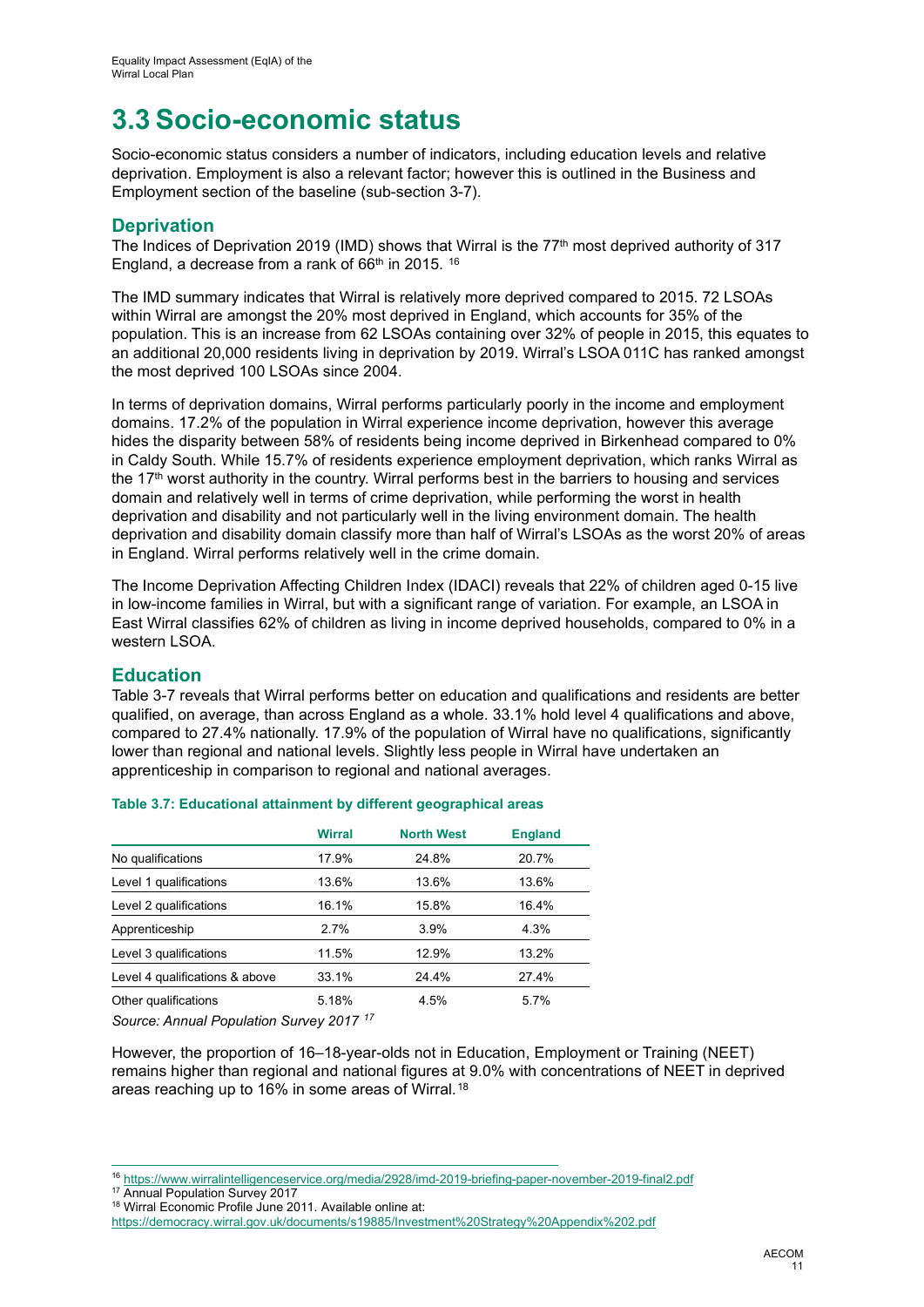# <span id="page-13-0"></span>**3.3 Socio-economic status**

Socio-economic status considers a number of indicators, including education levels and relative deprivation. Employment is also a relevant factor; however this is outlined in the Business and Employment section of the baseline (sub-section 3-7).

### **Deprivation**

The Indices of Deprivation 2019 (IMD) shows that Wirral is the 77<sup>th</sup> most deprived authority of 317 England, a decrease from a rank of  $66<sup>th</sup>$  in 2015. <sup>[16](#page-13-1)</sup>

The IMD summary indicates that Wirral is relatively more deprived compared to 2015. 72 LSOAs within Wirral are amongst the 20% most deprived in England, which accounts for 35% of the population. This is an increase from 62 LSOAs containing over 32% of people in 2015, this equates to an additional 20,000 residents living in deprivation by 2019. Wirral's LSOA 011C has ranked amongst the most deprived 100 LSOAs since 2004.

In terms of deprivation domains, Wirral performs particularly poorly in the income and employment domains. 17.2% of the population in Wirral experience income deprivation, however this average hides the disparity between 58% of residents being income deprived in Birkenhead compared to 0% in Caldy South. While 15.7% of residents experience employment deprivation, which ranks Wirral as the 17<sup>th</sup> worst authority in the country. Wirral performs best in the barriers to housing and services domain and relatively well in terms of crime deprivation, while performing the worst in health deprivation and disability and not particularly well in the living environment domain. The health deprivation and disability domain classify more than half of Wirral's LSOAs as the worst 20% of areas in England. Wirral performs relatively well in the crime domain.

The Income Deprivation Affecting Children Index (IDACI) reveals that 22% of children aged 0-15 live in low-income families in Wirral, but with a significant range of variation. For example, an LSOA in East Wirral classifies 62% of children as living in income deprived households, compared to 0% in a western LSOA.

#### **Education**

Table 3-7 reveals that Wirral performs better on education and qualifications and residents are better qualified, on average, than across England as a whole. 33.1% hold level 4 qualifications and above, compared to 27.4% nationally. 17.9% of the population of Wirral have no qualifications, significantly lower than regional and national levels. Slightly less people in Wirral have undertaken an apprenticeship in comparison to regional and national averages.

|                                | <b>Wirral</b> | <b>North West</b> | <b>England</b> |
|--------------------------------|---------------|-------------------|----------------|
| No qualifications              | 17.9%         | 24.8%             | 20.7%          |
| Level 1 qualifications         | 13.6%         | 13.6%             | 13.6%          |
| Level 2 qualifications         | 16.1%         | 15.8%             | 16.4%          |
| Apprenticeship                 | 2.7%          | 3.9%              | 4.3%           |
| Level 3 qualifications         | 11.5%         | 12.9%             | 13.2%          |
| Level 4 qualifications & above | 33.1%         | 24.4%             | 27.4%          |
| Other qualifications           | 5.18%         | 4.5%              | 5.7%           |

#### **Table 3.7: Educational attainment by different geographical areas**

*Source: Annual Population Survey 2017 [17](#page-13-2)*

However, the proportion of 16–18-year-olds not in Education, Employment or Training (NEET) remains higher than regional and national figures at 9.0% with concentrations of NEET in deprived areas reaching up to 16% in some areas of Wirral.<sup>[18](#page-13-3)</sup>

<sup>18</sup> Wirral Economic Profile June 2011. Available online at:

<span id="page-13-1"></span><sup>16</sup> <https://www.wirralintelligenceservice.org/media/2928/imd-2019-briefing-paper-november-2019-final2.pdf>

<span id="page-13-2"></span><sup>17</sup> Annual Population Survey 2017

<span id="page-13-3"></span><https://democracy.wirral.gov.uk/documents/s19885/Investment%20Strategy%20Appendix%202.pdf>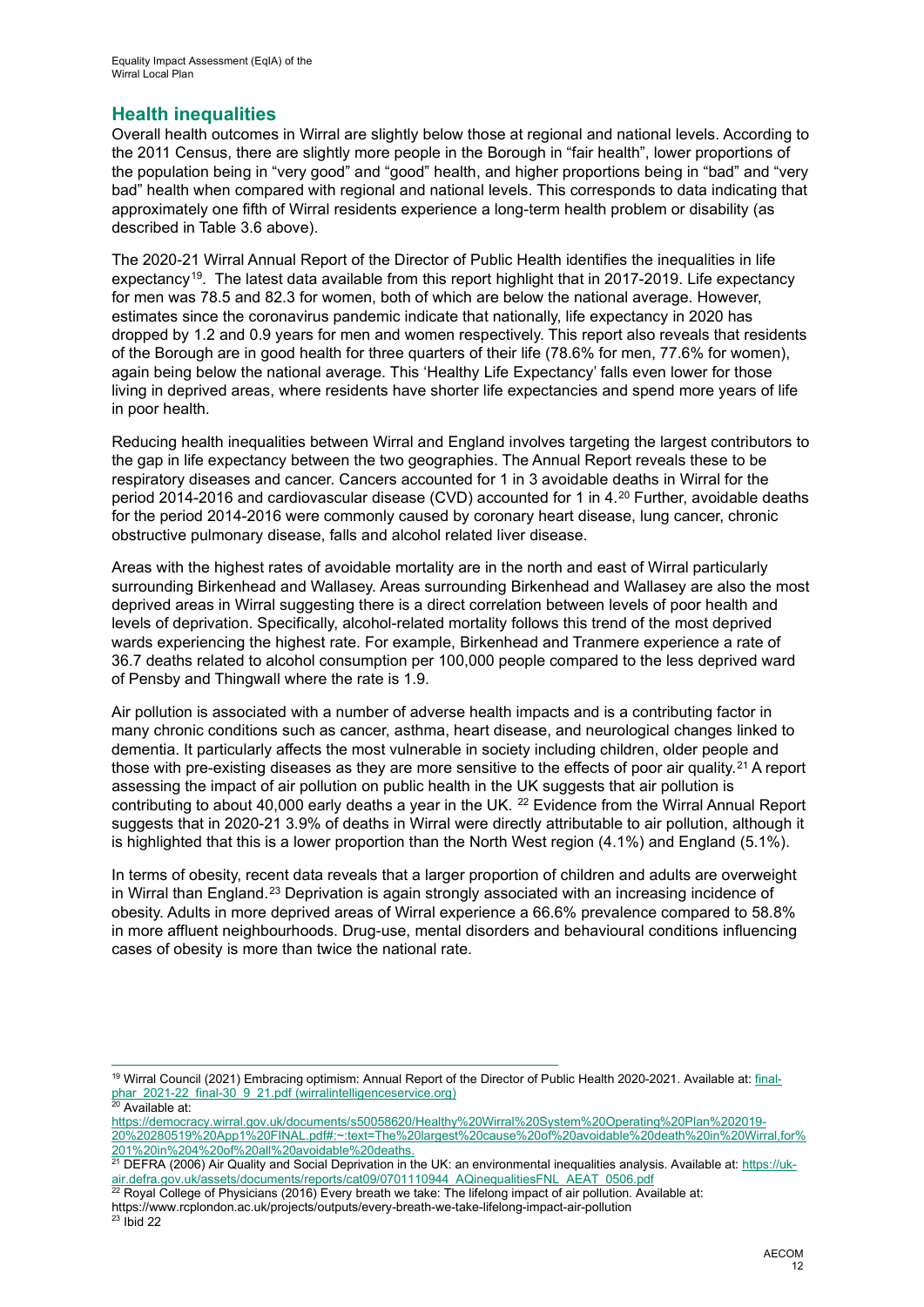### **Health inequalities**

Overall health outcomes in Wirral are slightly below those at regional and national levels. According to the 2011 Census, there are slightly more people in the Borough in "fair health", lower proportions of the population being in "very good" and "good" health, and higher proportions being in "bad" and "very bad" health when compared with regional and national levels. This corresponds to data indicating that approximately one fifth of Wirral residents experience a long-term health problem or disability (as described in Table 3.6 above).

The 2020-21 Wirral Annual Report of the Director of Public Health identifies the inequalities in life expectancy[19](#page-14-0). The latest data available from this report highlight that in 2017-2019. Life expectancy for men was 78.5 and 82.3 for women, both of which are below the national average. However, estimates since the coronavirus pandemic indicate that nationally, life expectancy in 2020 has dropped by 1.2 and 0.9 years for men and women respectively. This report also reveals that residents of the Borough are in good health for three quarters of their life (78.6% for men, 77.6% for women), again being below the national average. This 'Healthy Life Expectancy' falls even lower for those living in deprived areas, where residents have shorter life expectancies and spend more years of life in poor health.

Reducing health inequalities between Wirral and England involves targeting the largest contributors to the gap in life expectancy between the two geographies. The Annual Report reveals these to be respiratory diseases and cancer. Cancers accounted for 1 in 3 avoidable deaths in Wirral for the period 2014-2016 and cardiovascular disease (CVD) accounted for 1 in 4.[20](#page-14-1) Further, avoidable deaths for the period 2014-2016 were commonly caused by coronary heart disease, lung cancer, chronic obstructive pulmonary disease, falls and alcohol related liver disease.

Areas with the highest rates of avoidable mortality are in the north and east of Wirral particularly surrounding Birkenhead and Wallasey. Areas surrounding Birkenhead and Wallasey are also the most deprived areas in Wirral suggesting there is a direct correlation between levels of poor health and levels of deprivation. Specifically, alcohol-related mortality follows this trend of the most deprived wards experiencing the highest rate. For example, Birkenhead and Tranmere experience a rate of 36.7 deaths related to alcohol consumption per 100,000 people compared to the less deprived ward of Pensby and Thingwall where the rate is 1.9.

Air pollution is associated with a number of adverse health impacts and is a contributing factor in many chronic conditions such as cancer, asthma, heart disease, and neurological changes linked to dementia. It particularly affects the most vulnerable in society including children, older people and those with pre-existing diseases as they are more sensitive to the effects of poor air quality.<sup>[21](#page-14-2)</sup> A report assessing the impact of air pollution on public health in the UK suggests that air pollution is contributing to about 40,000 early deaths a year in the UK. <sup>[22](#page-14-3)</sup> Evidence from the Wirral Annual Report suggests that in 2020-21 3.9% of deaths in Wirral were directly attributable to air pollution, although it is highlighted that this is a lower proportion than the North West region (4.1%) and England (5.1%).

In terms of obesity, recent data reveals that a larger proportion of children and adults are overweight in Wirral than England.<sup>[23](#page-14-4)</sup> Deprivation is again strongly associated with an increasing incidence of obesity. Adults in more deprived areas of Wirral experience a 66.6% prevalence compared to 58.8% in more affluent neighbourhoods. Drug-use, mental disorders and behavioural conditions influencing cases of obesity is more than twice the national rate.

<span id="page-14-0"></span><sup>&</sup>lt;sup>19</sup> Wirral Council (2021) Embracing optimism: Annual Report of the Director of Public Health 2020-2021. Available at[: final](https://www.wirralintelligenceservice.org/media/3479/final-phar_2021-22_final-30_9_21.pdf)[phar\\_2021-22\\_final-30\\_9\\_21.pdf \(wirralintelligenceservice.org\)](https://www.wirralintelligenceservice.org/media/3479/final-phar_2021-22_final-30_9_21.pdf) <sup>20</sup> Available at:

<span id="page-14-1"></span>[https://democracy.wirral.gov.uk/documents/s50058620/Healthy%20Wirral%20System%20Operating%20Plan%202019-](https://democracy.wirral.gov.uk/documents/s50058620/Healthy%20Wirral%20System%20Operating%20Plan%202019-20%20280519%20App1%20FINAL.pdf#:%7E:text=The%20largest%20cause%20of%20avoidable%20death%20in%20Wirral,for%201%20in%204%20of%20all%20avoidable%20deaths.) [20%20280519%20App1%20FINAL.pdf#:~:text=The%20largest%20cause%20of%20avoidable%20death%20in%20Wirral,for%](https://democracy.wirral.gov.uk/documents/s50058620/Healthy%20Wirral%20System%20Operating%20Plan%202019-20%20280519%20App1%20FINAL.pdf#:%7E:text=The%20largest%20cause%20of%20avoidable%20death%20in%20Wirral,for%201%20in%204%20of%20all%20avoidable%20deaths.)

<span id="page-14-2"></span><sup>201%20</sup>in%204%20of%20all%20avoidable%20deaths.<br><sup>21</sup> DEFRA (2006) Air Quality and Social Deprivation in the UK: an environmental inequalities analysis. Available at[: https://uk](https://uk-air.defra.gov.uk/assets/documents/reports/cat09/0701110944_AQinequalitiesFNL_AEAT_0506.pdf)[air.defra.gov.uk/assets/documents/reports/cat09/0701110944\\_AQinequalitiesFNL\\_AEAT\\_0506.pdf](https://uk-air.defra.gov.uk/assets/documents/reports/cat09/0701110944_AQinequalitiesFNL_AEAT_0506.pdf) 22 Royal College of Physicians (2016) Every breath we take: The lifelong impact of air pollution. Available at:

<span id="page-14-4"></span><span id="page-14-3"></span>https://www.rcplondon.ac.uk/projects/outputs/every-breath-we-take-lifelong-impact-air-pollution <sup>23</sup> Ibid 22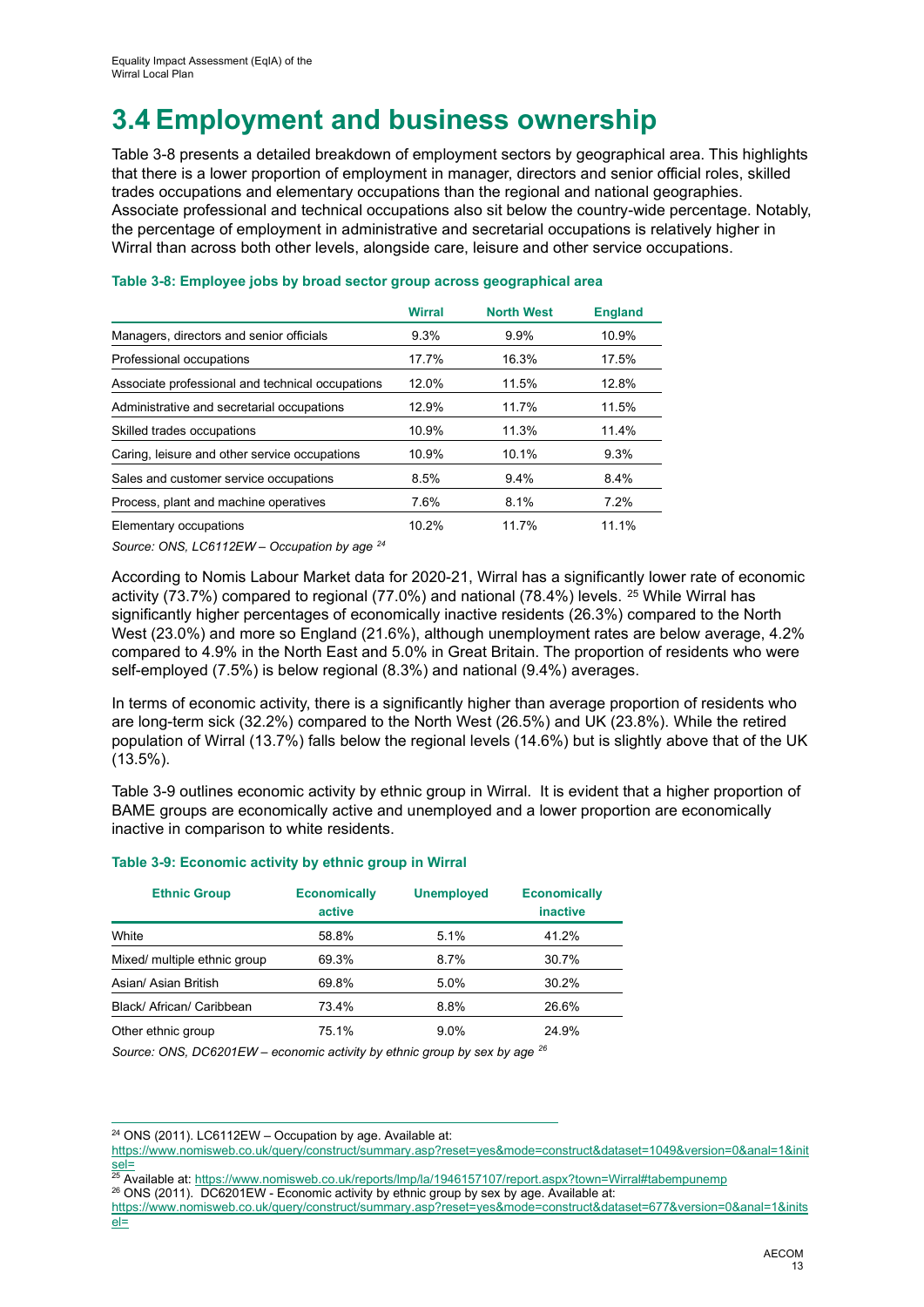# <span id="page-15-0"></span>**3.4 Employment and business ownership**

Table 3-8 presents a detailed breakdown of employment sectors by geographical area. This highlights that there is a lower proportion of employment in manager, directors and senior official roles, skilled trades occupations and elementary occupations than the regional and national geographies. Associate professional and technical occupations also sit below the country-wide percentage. Notably, the percentage of employment in administrative and secretarial occupations is relatively higher in Wirral than across both other levels, alongside care, leisure and other service occupations.

|                                                  | <b>Wirral</b> | <b>North West</b> | <b>England</b> |
|--------------------------------------------------|---------------|-------------------|----------------|
| Managers, directors and senior officials         | 9.3%          | 9.9%              | 10.9%          |
| Professional occupations                         | 17.7%         | 16.3%             | 17.5%          |
| Associate professional and technical occupations | 12.0%         | 11.5%             | 12.8%          |
| Administrative and secretarial occupations       | 12.9%         | 11.7%             | 11.5%          |
| Skilled trades occupations                       | 10.9%         | 11.3%             | 11.4%          |
| Caring, leisure and other service occupations    | 10.9%         | 10.1%             | 9.3%           |
| Sales and customer service occupations           | 8.5%          | 9.4%              | 8.4%           |
| Process, plant and machine operatives            | 7.6%          | 8.1%              | 7.2%           |
| Elementary occupations                           | 10.2%         | 11 7%             | 11 1%          |

#### **Table 3-8: Employee jobs by broad sector group across geographical area**

*Source: ONS, LC6112EW – Occupation by age [24](#page-15-1)*

According to Nomis Labour Market data for 2020-21, Wirral has a significantly lower rate of economic activity (73.7%) compared to regional (77.0%) and national (78.4%) levels. [25](#page-15-2) While Wirral has significantly higher percentages of economically inactive residents (26.3%) compared to the North West (23.0%) and more so England (21.6%), although unemployment rates are below average, 4.2% compared to 4.9% in the North East and 5.0% in Great Britain. The proportion of residents who were self-employed (7.5%) is below regional (8.3%) and national (9.4%) averages.

In terms of economic activity, there is a significantly higher than average proportion of residents who are long-term sick (32.2%) compared to the North West (26.5%) and UK (23.8%). While the retired population of Wirral (13.7%) falls below the regional levels (14.6%) but is slightly above that of the UK (13.5%).

Table 3-9 outlines economic activity by ethnic group in Wirral. It is evident that a higher proportion of BAME groups are economically active and unemployed and a lower proportion are economically inactive in comparison to white residents.

#### **Table 3-9: Economic activity by ethnic group in Wirral**

| <b>Ethnic Group</b>          | <b>Economically</b><br>active | <b>Unemployed</b> | <b>Economically</b><br>inactive |
|------------------------------|-------------------------------|-------------------|---------------------------------|
| White                        | 58.8%                         | 5.1%              | 41.2%                           |
| Mixed/ multiple ethnic group | 69.3%                         | 8.7%              | 30.7%                           |
| Asian/ Asian British         | 69.8%                         | 5.0%              | 30.2%                           |
| Black/ African/ Caribbean    | 73.4%                         | 8.8%              | 26.6%                           |
| Other ethnic group           | 75.1%                         | $9.0\%$           | 24.9%                           |

*Source: ONS, DC6201EW – economic activity by ethnic group by sex by age [26](#page-15-3)*

[https://www.nomisweb.co.uk/query/construct/summary.asp?reset=yes&mode=construct&dataset=1049&version=0&anal=1&init](https://www.nomisweb.co.uk/query/construct/summary.asp?reset=yes&mode=construct&dataset=1049&version=0&anal=1&initsel=) [sel=](https://www.nomisweb.co.uk/query/construct/summary.asp?reset=yes&mode=construct&dataset=1049&version=0&anal=1&initsel=)

<span id="page-15-2"></span><sup>26</sup> ONS (2011). DC6201EW - Economic activity by ethnic group by sex by age. Available at:

<span id="page-15-3"></span>[https://www.nomisweb.co.uk/query/construct/summary.asp?reset=yes&mode=construct&dataset=677&version=0&anal=1&inits](https://www.nomisweb.co.uk/query/construct/summary.asp?reset=yes&mode=construct&dataset=677&version=0&anal=1&initsel=) [el=](https://www.nomisweb.co.uk/query/construct/summary.asp?reset=yes&mode=construct&dataset=677&version=0&anal=1&initsel=)

<span id="page-15-1"></span><sup>24</sup> ONS (2011). LC6112EW – Occupation by age. Available at:

<sup>&</sup>lt;sup>25</sup> Available at: <u>https://www.nomisweb.co.uk/reports/lmp/la/1946157107/report.aspx?town=Wirral#tabempunemp</u>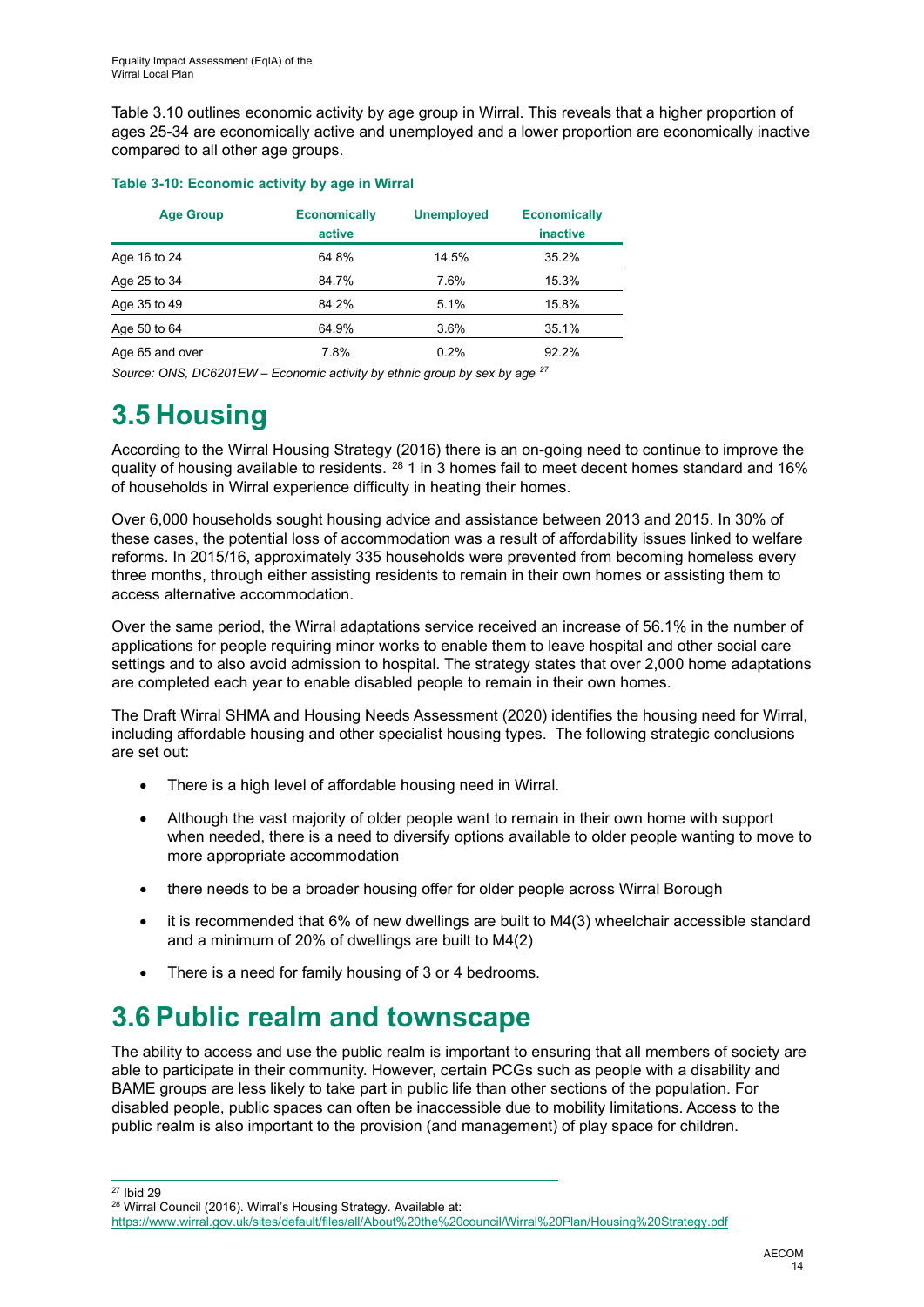Table 3.10 outlines economic activity by age group in Wirral. This reveals that a higher proportion of ages 25-34 are economically active and unemployed and a lower proportion are economically inactive compared to all other age groups.

#### **Table 3-10: Economic activity by age in Wirral**

| <b>Age Group</b> | <b>Economically</b><br>active | <b>Unemployed</b> | <b>Economically</b><br><i>inactive</i> |
|------------------|-------------------------------|-------------------|----------------------------------------|
| Age 16 to 24     | 64.8%                         | 14.5%             | 35.2%                                  |
| Age 25 to 34     | 84.7%                         | 7.6%              | 15.3%                                  |
| Age 35 to 49     | 84.2%                         | 5.1%              | 15.8%                                  |
| Age 50 to 64     | 64.9%                         | 3.6%              | 35.1%                                  |
| Age 65 and over  | 7.8%                          | 0.2%              | 92.2%                                  |

*Source: ONS, DC6201EW – Economic activity by ethnic group by sex by age [27](#page-16-2)*

## <span id="page-16-0"></span>**3.5 Housing**

According to the Wirral Housing Strategy (2016) there is an on-going need to continue to improve the quality of housing available to residents. [28](#page-16-3) 1 in 3 homes fail to meet decent homes standard and 16% of households in Wirral experience difficulty in heating their homes.

Over 6,000 households sought housing advice and assistance between 2013 and 2015. In 30% of these cases, the potential loss of accommodation was a result of affordability issues linked to welfare reforms. In 2015/16, approximately 335 households were prevented from becoming homeless every three months, through either assisting residents to remain in their own homes or assisting them to access alternative accommodation.

Over the same period, the Wirral adaptations service received an increase of 56.1% in the number of applications for people requiring minor works to enable them to leave hospital and other social care settings and to also avoid admission to hospital. The strategy states that over 2,000 home adaptations are completed each year to enable disabled people to remain in their own homes.

The Draft Wirral SHMA and Housing Needs Assessment (2020) identifies the housing need for Wirral, including affordable housing and other specialist housing types. The following strategic conclusions are set out:

- There is a high level of affordable housing need in Wirral.
- Although the vast majority of older people want to remain in their own home with support when needed, there is a need to diversify options available to older people wanting to move to more appropriate accommodation
- there needs to be a broader housing offer for older people across Wirral Borough
- it is recommended that 6% of new dwellings are built to M4(3) wheelchair accessible standard and a minimum of 20% of dwellings are built to M4(2)
- There is a need for family housing of 3 or 4 bedrooms.

## <span id="page-16-1"></span>**3.6 Public realm and townscape**

The ability to access and use the public realm is important to ensuring that all members of society are able to participate in their community. However, certain PCGs such as people with a disability and BAME groups are less likely to take part in public life than other sections of the population. For disabled people, public spaces can often be inaccessible due to mobility limitations. Access to the public realm is also important to the provision (and management) of play space for children.

<span id="page-16-2"></span><sup>27</sup> Ibid 29

<span id="page-16-3"></span><sup>&</sup>lt;sup>28</sup> Wirral Council (2016). Wirral's Housing Strategy. Available at:

<https://www.wirral.gov.uk/sites/default/files/all/About%20the%20council/Wirral%20Plan/Housing%20Strategy.pdf>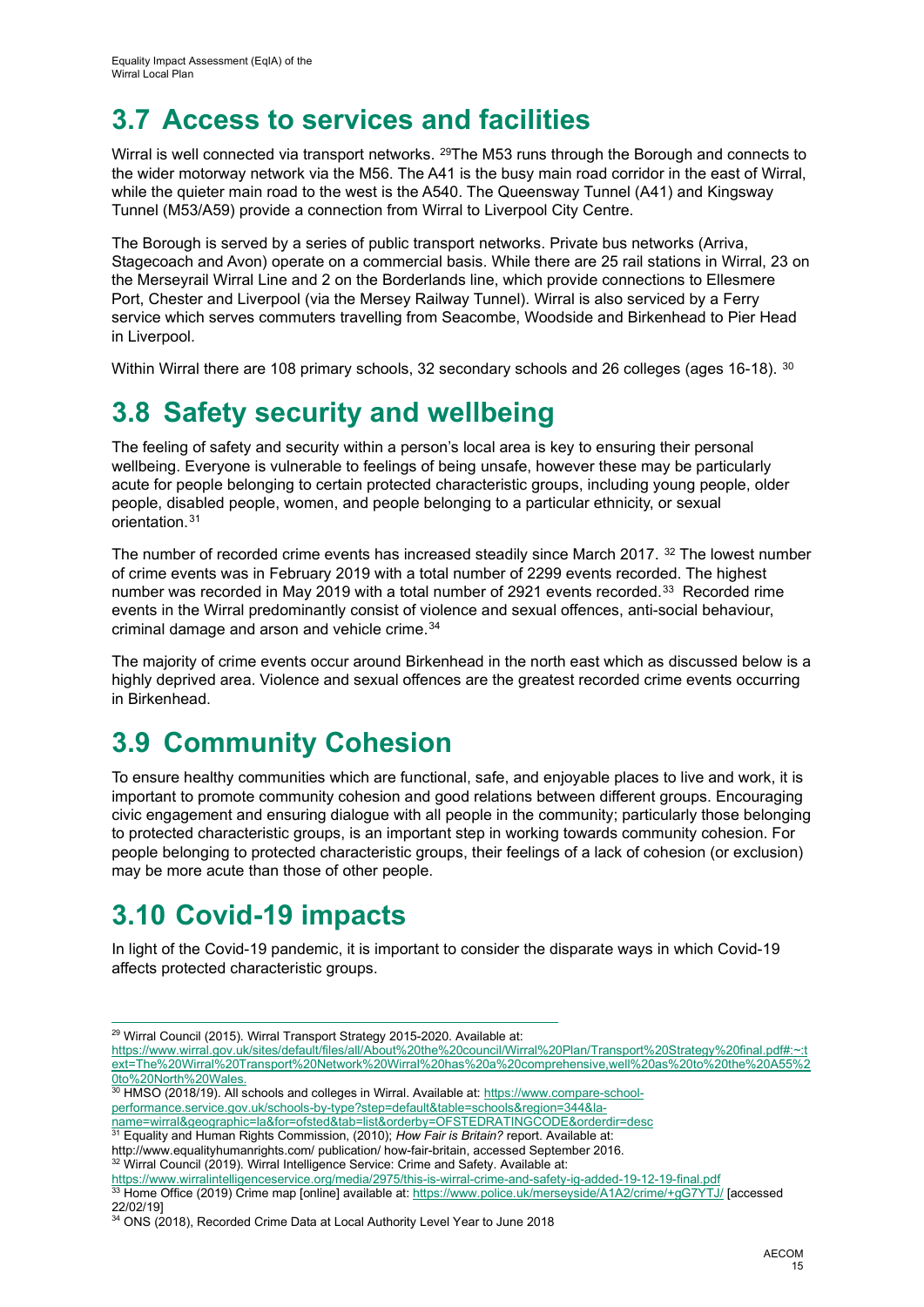# <span id="page-17-0"></span>**3.7 Access to services and facilities**

Wirral is well connected via transport networks. <sup>29</sup>The M53 runs through the Borough and connects to the wider motorway network via the M56. The A41 is the busy main road corridor in the east of Wirral, while the quieter main road to the west is the A540. The Queensway Tunnel (A41) and Kingsway Tunnel (M53/A59) provide a connection from Wirral to Liverpool City Centre.

The Borough is served by a series of public transport networks. Private bus networks (Arriva, Stagecoach and Avon) operate on a commercial basis. While there are 25 rail stations in Wirral, 23 on the Merseyrail Wirral Line and 2 on the Borderlands line, which provide connections to Ellesmere Port, Chester and Liverpool (via the Mersey Railway Tunnel). Wirral is also serviced by a Ferry service which serves commuters travelling from Seacombe, Woodside and Birkenhead to Pier Head in Liverpool.

Within Wirral there are 108 primary schools, 32 secondary schools and 26 colleges (ages 16-18). [30](#page-17-5)

# <span id="page-17-1"></span>**3.8 Safety security and wellbeing**

The feeling of safety and security within a person's local area is key to ensuring their personal wellbeing. Everyone is vulnerable to feelings of being unsafe, however these may be particularly acute for people belonging to certain protected characteristic groups, including young people, older people, disabled people, women, and people belonging to a particular ethnicity, or sexual orientation.[31](#page-17-6)

The number of recorded crime events has increased steadily since March 2017. <sup>[32](#page-17-7)</sup> The lowest number of crime events was in February 2019 with a total number of 2299 events recorded. The highest number was recorded in May 2019 with a total number of 2921 events recorded.<sup>[33](#page-17-8)</sup> Recorded rime events in the Wirral predominantly consist of violence and sexual offences, anti-social behaviour, criminal damage and arson and vehicle crime.[34](#page-17-9) 

The majority of crime events occur around Birkenhead in the north east which as discussed below is a highly deprived area. Violence and sexual offences are the greatest recorded crime events occurring in Birkenhead.

# <span id="page-17-2"></span>**3.9 Community Cohesion**

To ensure healthy communities which are functional, safe, and enjoyable places to live and work, it is important to promote community cohesion and good relations between different groups. Encouraging civic engagement and ensuring dialogue with all people in the community; particularly those belonging to protected characteristic groups, is an important step in working towards community cohesion. For people belonging to protected characteristic groups, their feelings of a lack of cohesion (or exclusion) may be more acute than those of other people.

# <span id="page-17-3"></span>**3.10 Covid-19 impacts**

In light of the Covid-19 pandemic, it is important to consider the disparate ways in which Covid-19 affects protected characteristic groups.

<span id="page-17-8"></span><https://www.wirralintelligenceservice.org/media/2975/this-is-wirral-crime-and-safety-ig-added-19-12-19-final.pdf> <sup>33</sup> Home Office (2019) Crime map [online] available at: <u>https://www.police.uk/merseyside/A1A2/crime/+gG7YTJ/</u> [accessed 22/02/19]

<span id="page-17-4"></span><sup>&</sup>lt;sup>29</sup> Wirral Council (2015). Wirral Transport Strategy 2015-2020. Available at:

[https://www.wirral.gov.uk/sites/default/files/all/About%20the%20council/Wirral%20Plan/Transport%20Strategy%20final.pdf#:~:t](https://www.wirral.gov.uk/sites/default/files/all/About%20the%20council/Wirral%20Plan/Transport%20Strategy%20final.pdf#:%7E:text=The%20Wirral%20Transport%20Network%20Wirral%20has%20a%20comprehensive,well%20as%20to%20the%20A55%20to%20North%20Wales.) [ext=The%20Wirral%20Transport%20Network%20Wirral%20has%20a%20comprehensive,well%20as%20to%20the%20A55%2](https://www.wirral.gov.uk/sites/default/files/all/About%20the%20council/Wirral%20Plan/Transport%20Strategy%20final.pdf#:%7E:text=The%20Wirral%20Transport%20Network%20Wirral%20has%20a%20comprehensive,well%20as%20to%20the%20A55%20to%20North%20Wales.) [0to%20North%20Wales.](https://www.wirral.gov.uk/sites/default/files/all/About%20the%20council/Wirral%20Plan/Transport%20Strategy%20final.pdf#:%7E:text=The%20Wirral%20Transport%20Network%20Wirral%20has%20a%20comprehensive,well%20as%20to%20the%20A55%20to%20North%20Wales.)

<span id="page-17-5"></span> $^{\rm 30}$  HMSO (2018/19). All schools and colleges in Wirral. Available at:  $\rm \frac{https://www.compare-school-}$ [performance.service.gov.uk/schools-by-type?step=default&table=schools&region=344&la-](https://www.compare-school-performance.service.gov.uk/schools-by-type?step=default&table=schools®ion=344&la-name=wirral&geographic=la&for=ofsted&tab=list&orderby=OFSTEDRATINGCODE&orderdir=desc)

[name=wirral&geographic=la&for=ofsted&tab=list&orderby=OFSTEDRATINGCODE&orderdir=desc](https://www.compare-school-performance.service.gov.uk/schools-by-type?step=default&table=schools®ion=344&la-name=wirral&geographic=la&for=ofsted&tab=list&orderby=OFSTEDRATINGCODE&orderdir=desc)

<span id="page-17-6"></span><sup>31</sup> Equality and Human Rights Commission, (2010); *How Fair is Britain?* report. Available at: http://www.equalityhumanrights.com/ publication/ how-fair-britain, accessed September 2016.

<span id="page-17-7"></span><sup>&</sup>lt;sup>32</sup> Wirral Council (2019). Wirral Intelligence Service: Crime and Safety. Available at:

<span id="page-17-9"></span><sup>&</sup>lt;sup>34</sup> ONS (2018), Recorded Crime Data at Local Authority Level Year to June 2018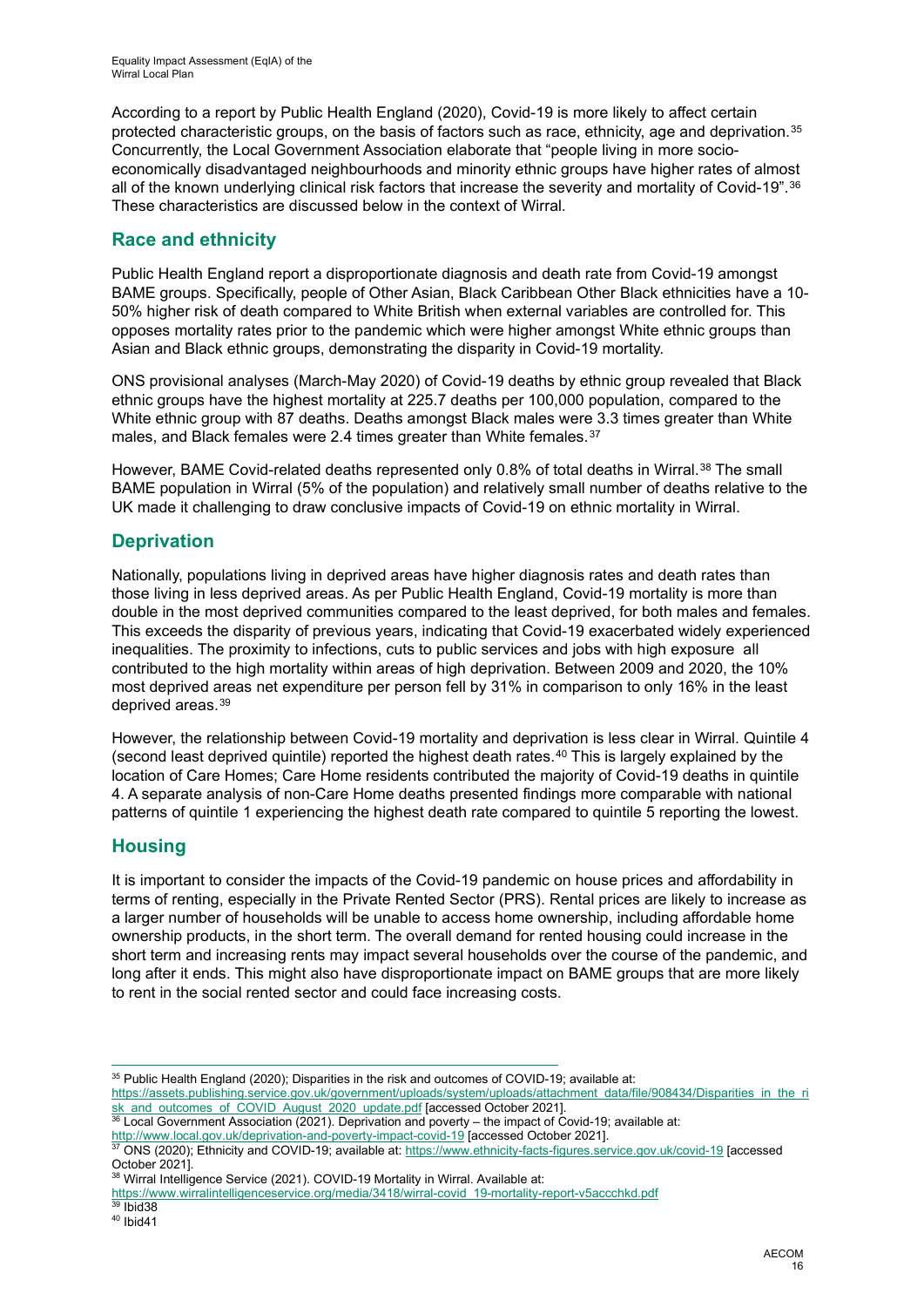According to a report by Public Health England (2020), Covid-19 is more likely to affect certain protected characteristic groups, on the basis of factors such as race, ethnicity, age and deprivation.[35](#page-18-0) Concurrently, the Local Government Association elaborate that "people living in more socioeconomically disadvantaged neighbourhoods and minority ethnic groups have higher rates of almost all of the known underlying clinical risk factors that increase the severity and mortality of Covid-19".[36](#page-18-1) These characteristics are discussed below in the context of Wirral.

### **Race and ethnicity**

Public Health England report a disproportionate diagnosis and death rate from Covid-19 amongst BAME groups. Specifically, people of Other Asian, Black Caribbean Other Black ethnicities have a 10- 50% higher risk of death compared to White British when external variables are controlled for. This opposes mortality rates prior to the pandemic which were higher amongst White ethnic groups than Asian and Black ethnic groups, demonstrating the disparity in Covid-19 mortality.

ONS provisional analyses (March-May 2020) of Covid-19 deaths by ethnic group revealed that Black ethnic groups have the highest mortality at 225.7 deaths per 100,000 population, compared to the White ethnic group with 87 deaths. Deaths amongst Black males were 3.3 times greater than White males, and Black females were 2.4 times greater than White females.<sup>[37](#page-18-2)</sup>

However, BAME Covid-related deaths represented only 0.8% of total deaths in Wirral.<sup>[38](#page-18-3)</sup> The small BAME population in Wirral (5% of the population) and relatively small number of deaths relative to the UK made it challenging to draw conclusive impacts of Covid-19 on ethnic mortality in Wirral.

### **Deprivation**

Nationally, populations living in deprived areas have higher diagnosis rates and death rates than those living in less deprived areas. As per Public Health England, Covid-19 mortality is more than double in the most deprived communities compared to the least deprived, for both males and females. This exceeds the disparity of previous years, indicating that Covid-19 exacerbated widely experienced inequalities. The proximity to infections, cuts to public services and jobs with high exposure all contributed to the high mortality within areas of high deprivation. Between 2009 and 2020, the 10% most deprived areas net expenditure per person fell by 31% in comparison to only 16% in the least deprived areas.[39](#page-18-4) 

However, the relationship between Covid-19 mortality and deprivation is less clear in Wirral. Quintile 4 (second least deprived quintile) reported the highest death rates.[40](#page-18-5) This is largely explained by the location of Care Homes; Care Home residents contributed the majority of Covid-19 deaths in quintile 4. A separate analysis of non-Care Home deaths presented findings more comparable with national patterns of quintile 1 experiencing the highest death rate compared to quintile 5 reporting the lowest.

### **Housing**

It is important to consider the impacts of the Covid-19 pandemic on house prices and affordability in terms of renting, especially in the Private Rented Sector (PRS). Rental prices are likely to increase as a larger number of households will be unable to access home ownership, including affordable home ownership products, in the short term. The overall demand for rented housing could increase in the short term and increasing rents may impact several households over the course of the pandemic, and long after it ends. This might also have disproportionate impact on BAME groups that are more likely to rent in the social rented sector and could face increasing costs.

<span id="page-18-3"></span><sup>38</sup> Wirral Intelligence Service (2021). COVID-19 Mortality in Wirral. Available at:

<sup>&</sup>lt;sup>35</sup> Public Health England (2020); Disparities in the risk and outcomes of COVID-19; available at:

<span id="page-18-0"></span>[https://assets.publishing.service.gov.uk/government/uploads/system/uploads/attachment\\_data/file/908434/Disparities\\_in\\_the\\_ri](https://assets.publishing.service.gov.uk/government/uploads/system/uploads/attachment_data/file/908434/Disparities_in_the_risk_and_outcomes_of_COVID_August_2020_update.pdf) sk\_and\_outcomes\_of\_COVID\_August\_2020\_update.pdf [accessed October 2021].<br><sup>36</sup> Local Government Association (2021). Deprivation and poverty – the impact of Covid-19; available at:

<span id="page-18-2"></span><span id="page-18-1"></span>http://www.local.gov.uk/deprivation-and-poverty-impact-covid-19 [accessed October 2021]. 37 ONS (2020); Ethnicity and COVID-19; available at[: https://www.ethnicity-facts-figures.service.gov.uk/covid-19](https://www.ons.gov.uk/peoplepopulationandcommunity/birthsdeathsandmarriages/deaths/articles/coronaviruscovid19relateddeathsbyethnicgroupenglandandwales/2march2020to15may2020) [accessed October 2021].

[https://www.wirralintelligenceservice.org/media/3418/wirral-covid\\_19-mortality-report-v5accchkd.pdf](https://www.wirralintelligenceservice.org/media/3418/wirral-covid_19-mortality-report-v5accchkd.pdf)

<span id="page-18-5"></span><span id="page-18-4"></span><sup>39</sup> Ibid38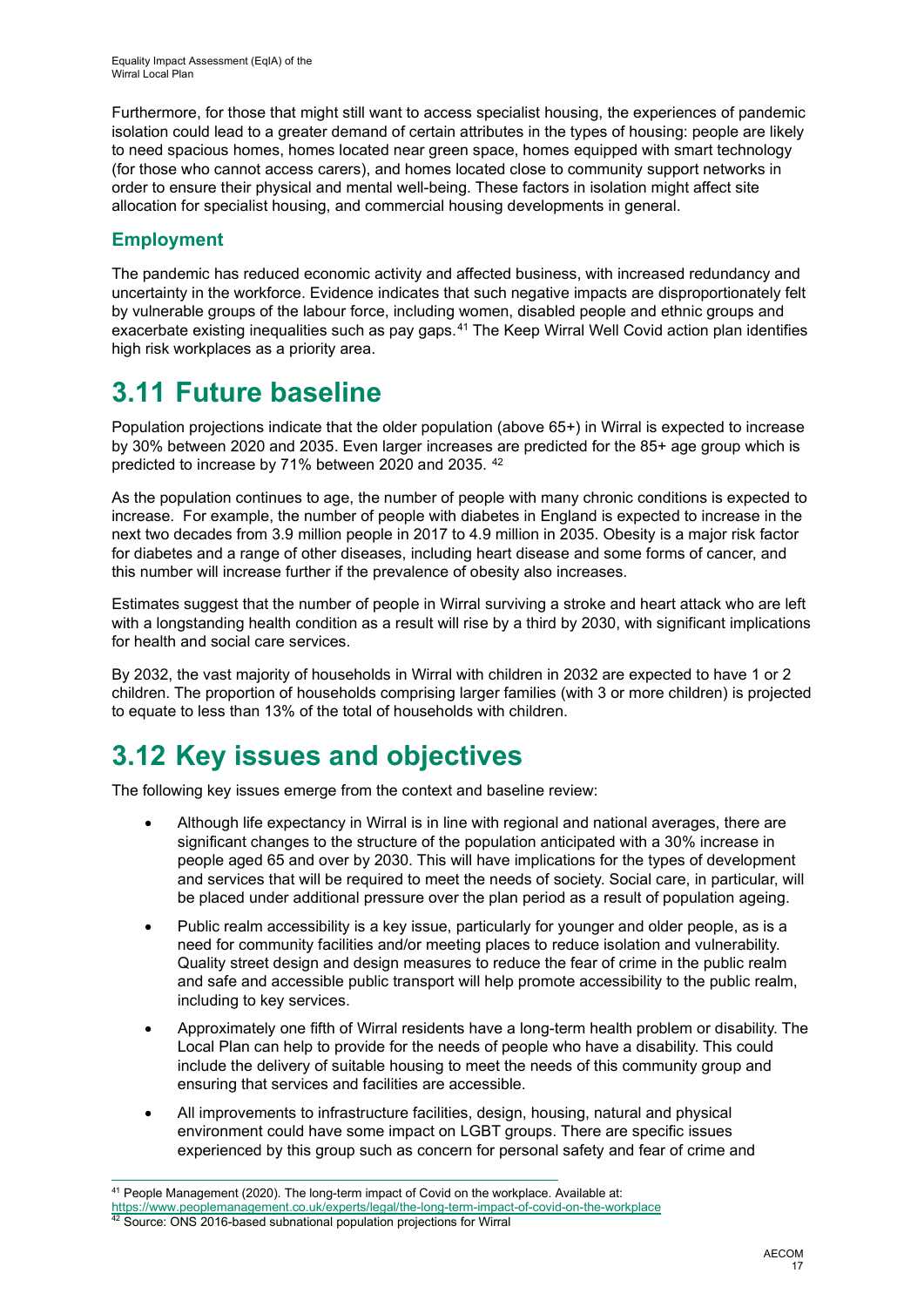Furthermore, for those that might still want to access specialist housing, the experiences of pandemic isolation could lead to a greater demand of certain attributes in the types of housing: people are likely to need spacious homes, homes located near green space, homes equipped with smart technology (for those who cannot access carers), and homes located close to community support networks in order to ensure their physical and mental well-being. These factors in isolation might affect site allocation for specialist housing, and commercial housing developments in general.

### **Employment**

The pandemic has reduced economic activity and affected business, with increased redundancy and uncertainty in the workforce. Evidence indicates that such negative impacts are disproportionately felt by vulnerable groups of the labour force, including women, disabled people and ethnic groups and exacerbate existing inequalities such as pay gaps.<sup>[41](#page-19-2)</sup> The Keep Wirral Well Covid action plan identifies high risk workplaces as a priority area.

## <span id="page-19-0"></span>**3.11 Future baseline**

Population projections indicate that the older population (above 65+) in Wirral is expected to increase by 30% between 2020 and 2035. Even larger increases are predicted for the 85+ age group which is predicted to increase by 71% between 2020 and 2035. [42](#page-19-3)

As the population continues to age, the number of people with many chronic conditions is expected to increase. For example, the number of people with diabetes in England is expected to increase in the next two decades from 3.9 million people in 2017 to 4.9 million in 2035. Obesity is a major risk factor for diabetes and a range of other diseases, including heart disease and some forms of cancer, and this number will increase further if the prevalence of obesity also increases.

Estimates suggest that the number of people in Wirral surviving a stroke and heart attack who are left with a longstanding health condition as a result will rise by a third by 2030, with significant implications for health and social care services.

By 2032, the vast majority of households in Wirral with children in 2032 are expected to have 1 or 2 children. The proportion of households comprising larger families (with 3 or more children) is projected to equate to less than 13% of the total of households with children.

# <span id="page-19-1"></span>**3.12 Key issues and objectives**

The following key issues emerge from the context and baseline review:

- Although life expectancy in Wirral is in line with regional and national averages, there are significant changes to the structure of the population anticipated with a 30% increase in people aged 65 and over by 2030. This will have implications for the types of development and services that will be required to meet the needs of society. Social care, in particular, will be placed under additional pressure over the plan period as a result of population ageing.
- Public realm accessibility is a key issue, particularly for younger and older people, as is a need for community facilities and/or meeting places to reduce isolation and vulnerability. Quality street design and design measures to reduce the fear of crime in the public realm and safe and accessible public transport will help promote accessibility to the public realm, including to key services.
- Approximately one fifth of Wirral residents have a long-term health problem or disability. The Local Plan can help to provide for the needs of people who have a disability. This could include the delivery of suitable housing to meet the needs of this community group and ensuring that services and facilities are accessible.
- All improvements to infrastructure facilities, design, housing, natural and physical environment could have some impact on LGBT groups. There are specific issues experienced by this group such as concern for personal safety and fear of crime and

<span id="page-19-2"></span><sup>41</sup> People Management (2020). The long-term impact of Covid on the workplace. Available at: <https://www.peoplemanagement.co.uk/experts/legal/the-long-term-impact-of-covid-on-the-workplace>

<span id="page-19-3"></span><sup>42</sup> Source: ONS 2016-based subnational population projections for Wirral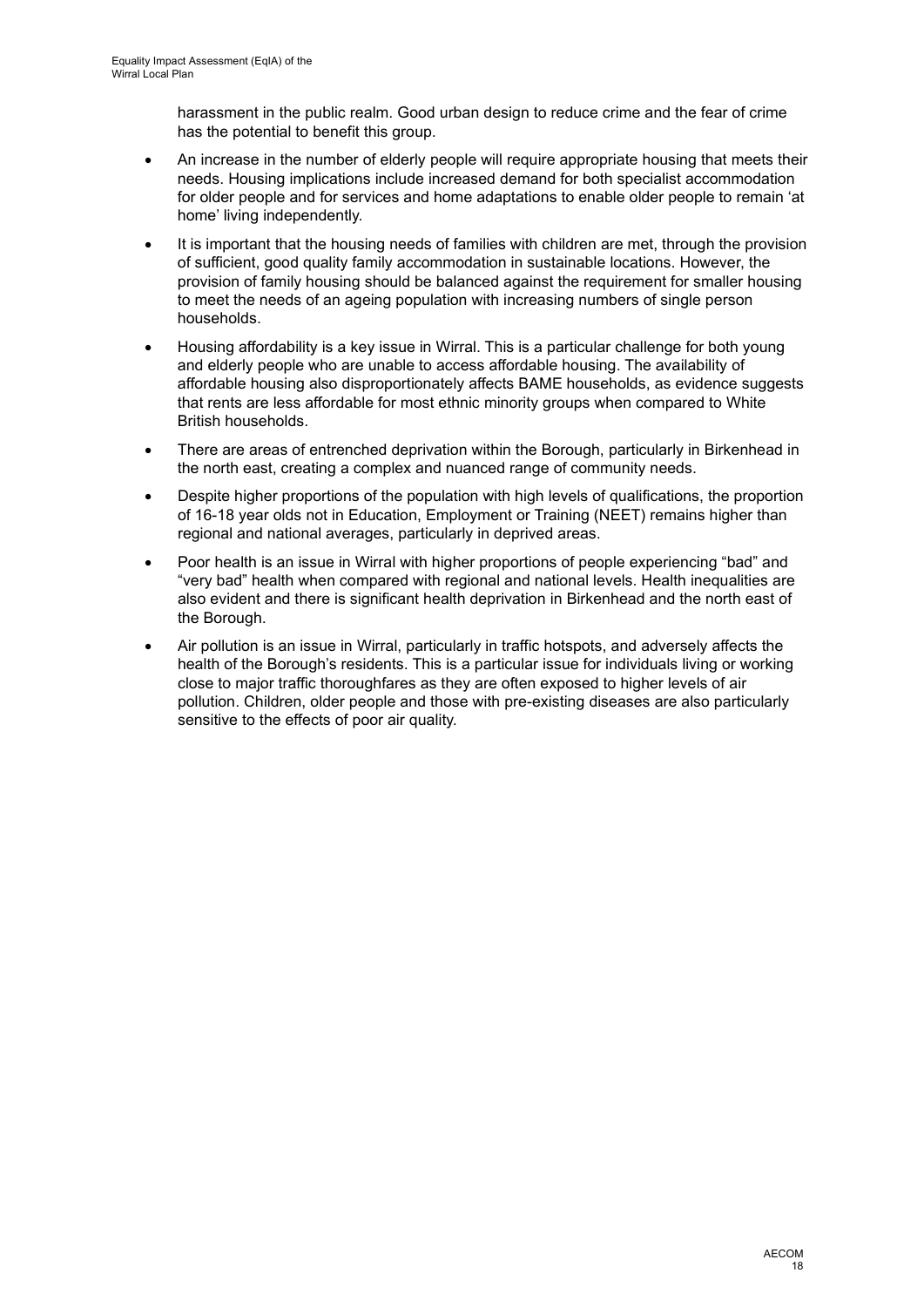harassment in the public realm. Good urban design to reduce crime and the fear of crime has the potential to benefit this group.

- An increase in the number of elderly people will require appropriate housing that meets their needs. Housing implications include increased demand for both specialist accommodation for older people and for services and home adaptations to enable older people to remain 'at home' living independently.
- It is important that the housing needs of families with children are met, through the provision of sufficient, good quality family accommodation in sustainable locations. However, the provision of family housing should be balanced against the requirement for smaller housing to meet the needs of an ageing population with increasing numbers of single person households.
- Housing affordability is a key issue in Wirral. This is a particular challenge for both young and elderly people who are unable to access affordable housing. The availability of affordable housing also disproportionately affects BAME households, as evidence suggests that rents are less affordable for most ethnic minority groups when compared to White British households.
- There are areas of entrenched deprivation within the Borough, particularly in Birkenhead in the north east, creating a complex and nuanced range of community needs.
- Despite higher proportions of the population with high levels of qualifications, the proportion of 16-18 year olds not in Education, Employment or Training (NEET) remains higher than regional and national averages, particularly in deprived areas.
- Poor health is an issue in Wirral with higher proportions of people experiencing "bad" and "very bad" health when compared with regional and national levels. Health inequalities are also evident and there is significant health deprivation in Birkenhead and the north east of the Borough.
- Air pollution is an issue in Wirral, particularly in traffic hotspots, and adversely affects the health of the Borough's residents. This is a particular issue for individuals living or working close to major traffic thoroughfares as they are often exposed to higher levels of air pollution. Children, older people and those with pre-existing diseases are also particularly sensitive to the effects of poor air quality.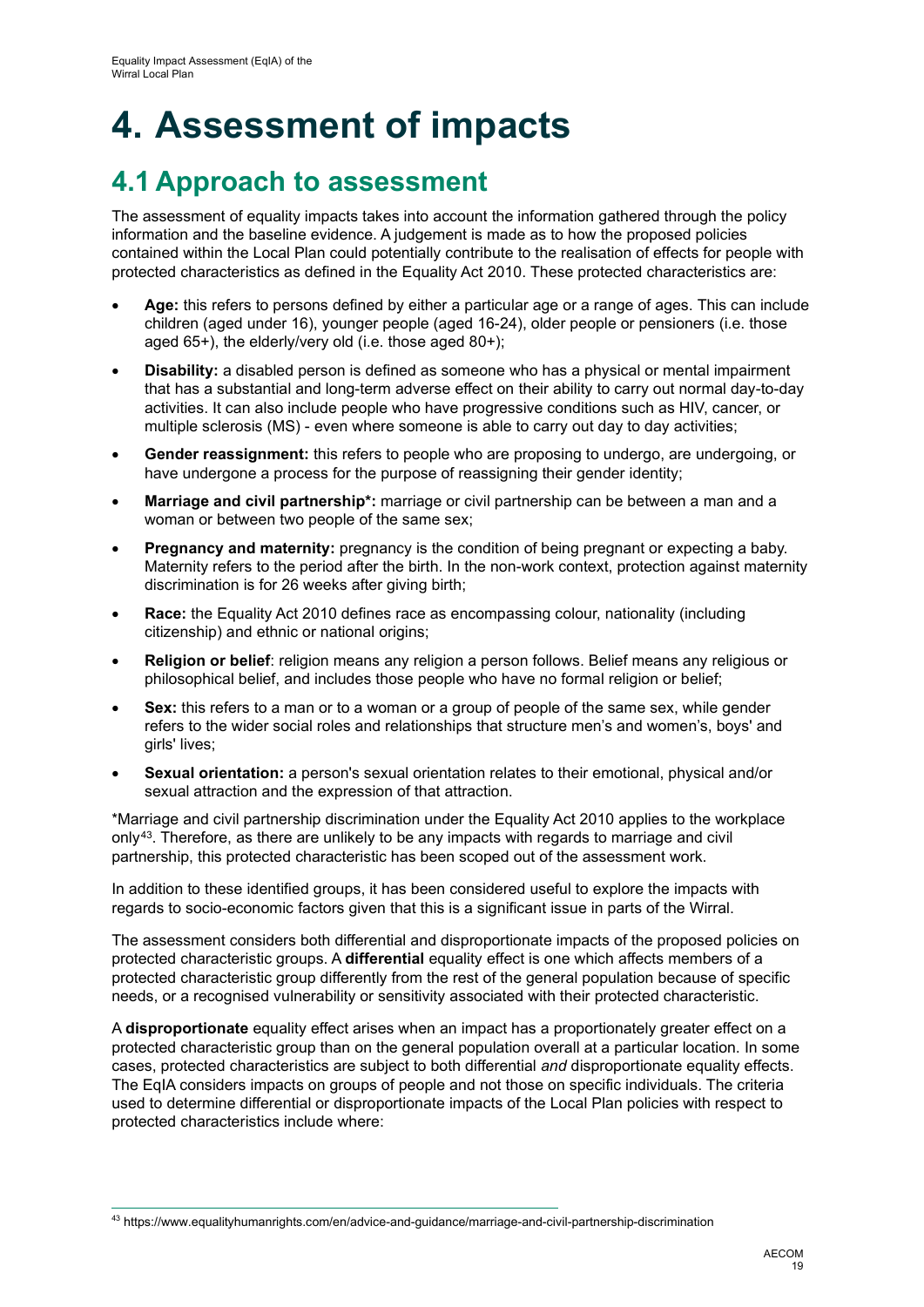# <span id="page-21-0"></span>**4. Assessment of impacts**

# <span id="page-21-1"></span>**4.1 Approach to assessment**

The assessment of equality impacts takes into account the information gathered through the policy information and the baseline evidence. A judgement is made as to how the proposed policies contained within the Local Plan could potentially contribute to the realisation of effects for people with protected characteristics as defined in the Equality Act 2010. These protected characteristics are:

- **Age:** this refers to persons defined by either a particular age or a range of ages. This can include children (aged under 16), younger people (aged 16-24), older people or pensioners (i.e. those aged 65+), the elderly/very old (i.e. those aged 80+);
- **Disability:** a disabled person is defined as someone who has a physical or mental impairment that has a substantial and long-term adverse effect on their ability to carry out normal day-to-day activities. It can also include people who have progressive conditions such as HIV, cancer, or multiple sclerosis (MS) - even where someone is able to carry out day to day activities;
- **Gender reassignment:** this refers to people who are proposing to undergo, are undergoing, or have undergone a process for the purpose of reassigning their gender identity;
- **Marriage and civil partnership\*:** marriage or civil partnership can be between a man and a woman or between two people of the same sex;
- **Pregnancy and maternity:** pregnancy is the condition of being pregnant or expecting a baby. Maternity refers to the period after the birth. In the non-work context, protection against maternity discrimination is for 26 weeks after giving birth;
- **Race:** the Equality Act 2010 defines race as encompassing colour, nationality (including citizenship) and ethnic or national origins;
- **Religion or belief**: religion means any religion a person follows. Belief means any religious or philosophical belief, and includes those people who have no formal religion or belief;
- **Sex:** this refers to a man or to a woman or a group of people of the same sex, while gender refers to the wider social roles and relationships that structure men's and women's, boys' and girls' lives;
- **Sexual orientation:** a person's sexual orientation relates to their emotional, physical and/or sexual attraction and the expression of that attraction.

\*Marriage and civil partnership discrimination under the Equality Act 2010 applies to the workplace only[43](#page-21-2). Therefore, as there are unlikely to be any impacts with regards to marriage and civil partnership, this protected characteristic has been scoped out of the assessment work.

In addition to these identified groups, it has been considered useful to explore the impacts with regards to socio-economic factors given that this is a significant issue in parts of the Wirral.

The assessment considers both differential and disproportionate impacts of the proposed policies on protected characteristic groups. A **differential** equality effect is one which affects members of a protected characteristic group differently from the rest of the general population because of specific needs, or a recognised vulnerability or sensitivity associated with their protected characteristic.

A **disproportionate** equality effect arises when an impact has a proportionately greater effect on a protected characteristic group than on the general population overall at a particular location. In some cases, protected characteristics are subject to both differential *and* disproportionate equality effects. The EqIA considers impacts on groups of people and not those on specific individuals. The criteria used to determine differential or disproportionate impacts of the Local Plan policies with respect to protected characteristics include where:

<span id="page-21-2"></span><sup>43</sup> https://www.equalityhumanrights.com/en/advice-and-guidance/marriage-and-civil-partnership-discrimination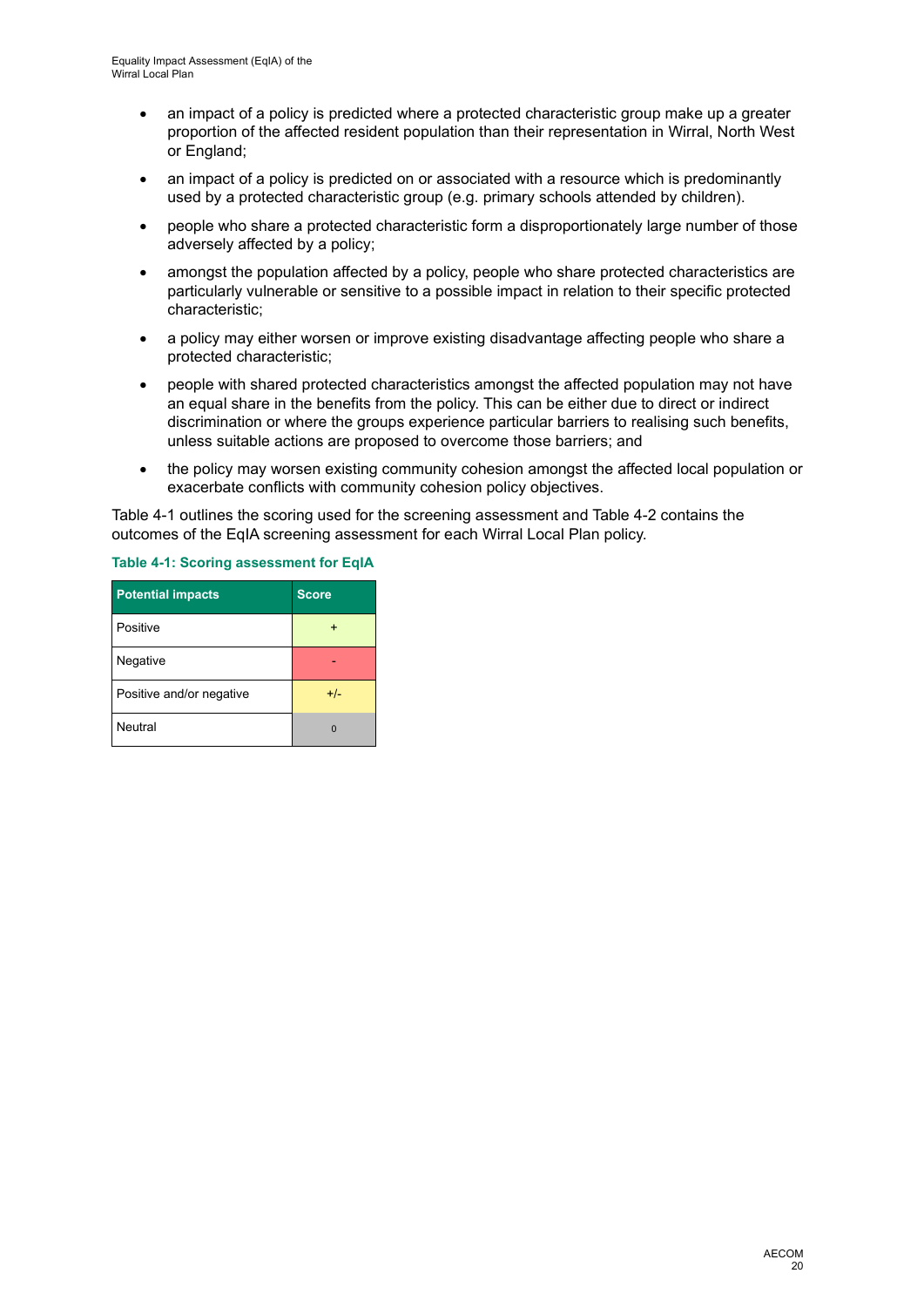- an impact of a policy is predicted where a protected characteristic group make up a greater proportion of the affected resident population than their representation in Wirral, North West or England;
- an impact of a policy is predicted on or associated with a resource which is predominantly used by a protected characteristic group (e.g. primary schools attended by children).
- people who share a protected characteristic form a disproportionately large number of those adversely affected by a policy;
- amongst the population affected by a policy, people who share protected characteristics are particularly vulnerable or sensitive to a possible impact in relation to their specific protected characteristic;
- a policy may either worsen or improve existing disadvantage affecting people who share a protected characteristic;
- people with shared protected characteristics amongst the affected population may not have an equal share in the benefits from the policy. This can be either due to direct or indirect discrimination or where the groups experience particular barriers to realising such benefits, unless suitable actions are proposed to overcome those barriers; and
- the policy may worsen existing community cohesion amongst the affected local population or exacerbate conflicts with community cohesion policy objectives.

Table 4-1 outlines the scoring used for the screening assessment and Table 4-2 contains the outcomes of the EqIA screening assessment for each Wirral Local Plan policy.

| <b>Potential impacts</b> | <b>Score</b> |
|--------------------------|--------------|
| Positive                 |              |
| Negative                 |              |
| Positive and/or negative | $+/-$        |
| Neutral                  | n            |

#### **Table 4-1: Scoring assessment for EqIA**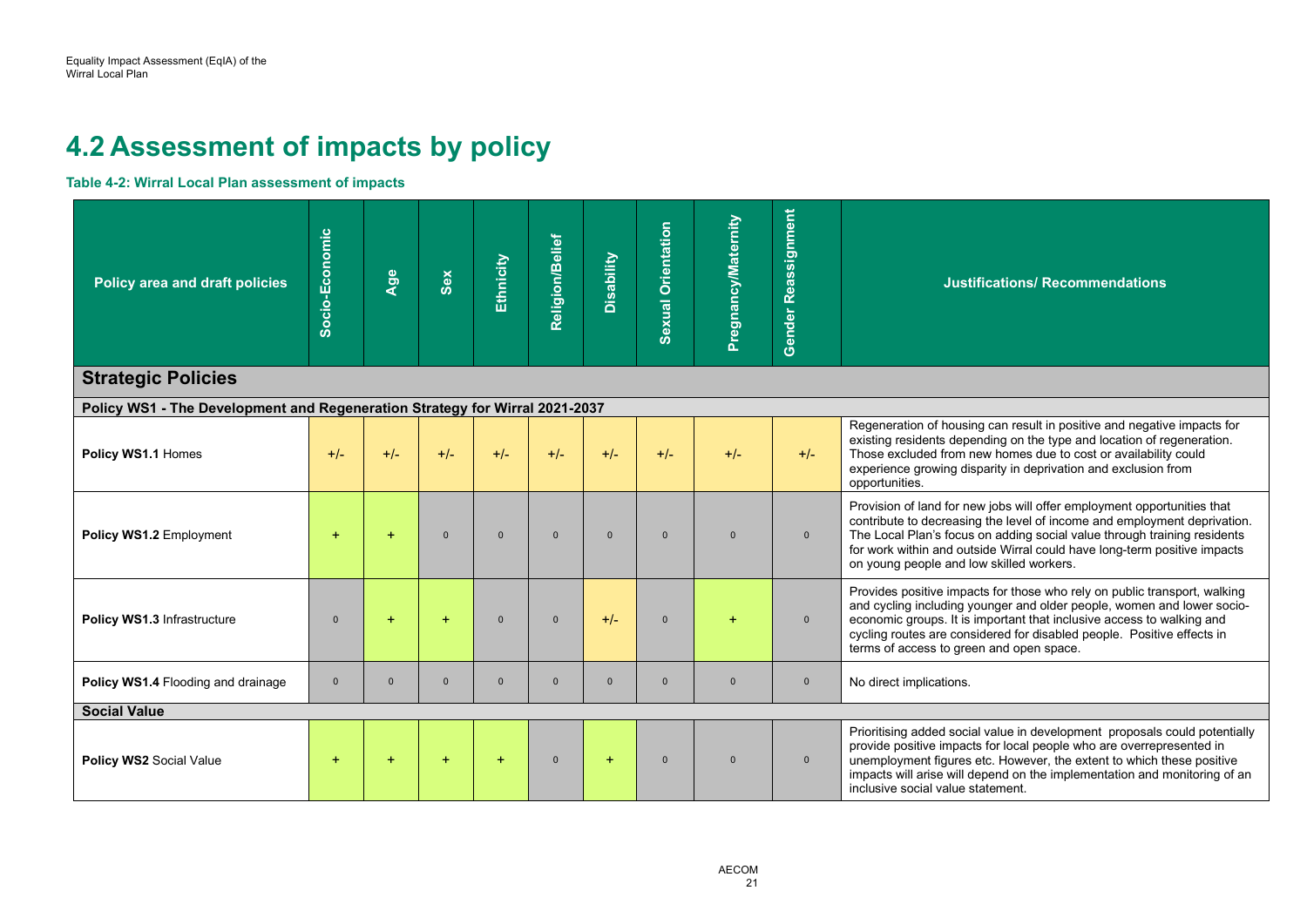# **4.2 Assessment of impacts by policy**

**Table 4-2: Wirral Local Plan assessment of impacts**

<span id="page-23-0"></span>

| Policy area and draft policies                                              | Socio-Economic | Age       | Sex       | Ethnicity | Religion/Belief | Disability | Sexual Orientation | <b>Pregnancy/Maternity</b> | Reassignment<br>Gender | <b>Justifications/ Recommendations</b>                                                                                                                                                                                                                                                                                                                  |  |  |  |  |
|-----------------------------------------------------------------------------|----------------|-----------|-----------|-----------|-----------------|------------|--------------------|----------------------------|------------------------|---------------------------------------------------------------------------------------------------------------------------------------------------------------------------------------------------------------------------------------------------------------------------------------------------------------------------------------------------------|--|--|--|--|
| <b>Strategic Policies</b>                                                   |                |           |           |           |                 |            |                    |                            |                        |                                                                                                                                                                                                                                                                                                                                                         |  |  |  |  |
| Policy WS1 - The Development and Regeneration Strategy for Wirral 2021-2037 |                |           |           |           |                 |            |                    |                            |                        |                                                                                                                                                                                                                                                                                                                                                         |  |  |  |  |
| Policy WS1.1 Homes                                                          | $+/-$          | $+/-$     | $+/-$     | $+/-$     | $+/-$           | $+/-$      | $+/-$              | $+/-$                      | $+/-$                  | Regeneration of housing can result in positive and negative impacts for<br>existing residents depending on the type and location of regeneration.<br>Those excluded from new homes due to cost or availability could<br>experience growing disparity in deprivation and exclusion from<br>opportunities.                                                |  |  |  |  |
| Policy WS1.2 Employment                                                     | $\ddot{}$      | $\ddot{}$ | $\Omega$  | $\Omega$  | $\mathbf{0}$    | $\Omega$   | $\Omega$           | $\Omega$                   | $\mathbf 0$            | Provision of land for new jobs will offer employment opportunities that<br>contribute to decreasing the level of income and employment deprivation.<br>The Local Plan's focus on adding social value through training residents<br>for work within and outside Wirral could have long-term positive impacts<br>on young people and low skilled workers. |  |  |  |  |
| Policy WS1.3 Infrastructure                                                 | $\Omega$       | $+$       | $\ddot{}$ | $\Omega$  | $\mathbf{0}$    | $+/-$      | $\Omega$           | ÷                          | $\mathbf{0}$           | Provides positive impacts for those who rely on public transport, walking<br>and cycling including younger and older people, women and lower socio-<br>economic groups. It is important that inclusive access to walking and<br>cycling routes are considered for disabled people. Positive effects in<br>terms of access to green and open space.      |  |  |  |  |
| Policy WS1.4 Flooding and drainage                                          | $\Omega$       | $\Omega$  | $\Omega$  | $\Omega$  | $\Omega$        | $\Omega$   | $\Omega$           | $\Omega$                   | $\mathbf{0}$           | No direct implications.                                                                                                                                                                                                                                                                                                                                 |  |  |  |  |
| <b>Social Value</b>                                                         |                |           |           |           |                 |            |                    |                            |                        |                                                                                                                                                                                                                                                                                                                                                         |  |  |  |  |
| <b>Policy WS2 Social Value</b>                                              | $\ddot{}$      | $+$       | $\ddot{}$ |           | $\mathbf{0}$    | $\ddot{}$  | $\Omega$           | $\mathbf{0}$               | $\mathbf{0}$           | Prioritising added social value in development proposals could potentially<br>provide positive impacts for local people who are overrepresented in<br>unemployment figures etc. However, the extent to which these positive<br>impacts will arise will depend on the implementation and monitoring of an<br>inclusive social value statement.           |  |  |  |  |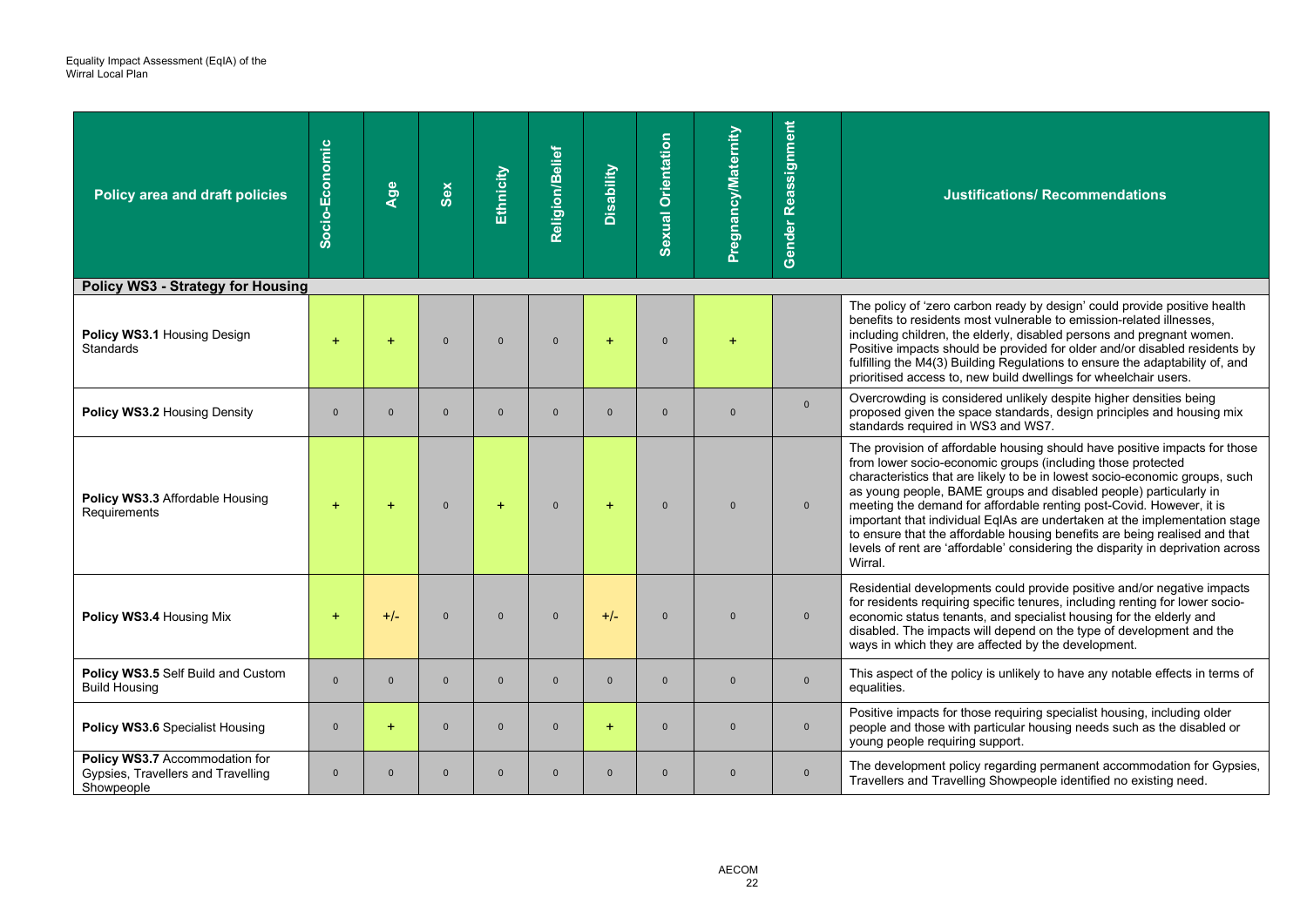| <b>Policy area and draft policies</b>                                              | Socio-Economic | Age      | Sex          | Ethnicity      | Religion/Belief | Disability   | Orientation<br>Sexual | Pregnancy/Maternity | Reassignment<br>Gender | <b>Justifications/ Recommendations</b>                                                                                                                                                                                                                                                                                                                                                                                                                                                                                                                                                                                          |  |  |  |  |
|------------------------------------------------------------------------------------|----------------|----------|--------------|----------------|-----------------|--------------|-----------------------|---------------------|------------------------|---------------------------------------------------------------------------------------------------------------------------------------------------------------------------------------------------------------------------------------------------------------------------------------------------------------------------------------------------------------------------------------------------------------------------------------------------------------------------------------------------------------------------------------------------------------------------------------------------------------------------------|--|--|--|--|
| <b>Policy WS3 - Strategy for Housing</b>                                           |                |          |              |                |                 |              |                       |                     |                        |                                                                                                                                                                                                                                                                                                                                                                                                                                                                                                                                                                                                                                 |  |  |  |  |
| Policy WS3.1 Housing Design<br><b>Standards</b>                                    | $\ddot{}$      | ÷        | $\Omega$     | $\Omega$       | $\Omega$        | $\ddot{}$    | $\Omega$              |                     |                        | The policy of 'zero carbon ready by design' could provide positive health<br>benefits to residents most vulnerable to emission-related illnesses,<br>including children, the elderly, disabled persons and pregnant women.<br>Positive impacts should be provided for older and/or disabled residents by<br>fulfilling the M4(3) Building Regulations to ensure the adaptability of, and<br>prioritised access to, new build dwellings for wheelchair users.                                                                                                                                                                    |  |  |  |  |
| Policy WS3.2 Housing Density                                                       | $\mathbf{0}$   | $\Omega$ | $\mathbf{0}$ | $\overline{0}$ | $\Omega$        | $\mathbf{0}$ | $\Omega$              | $\Omega$            | $\mathbf{0}$           | Overcrowding is considered unlikely despite higher densities being<br>proposed given the space standards, design principles and housing mix<br>standards required in WS3 and WS7.                                                                                                                                                                                                                                                                                                                                                                                                                                               |  |  |  |  |
| Policy WS3.3 Affordable Housing<br>Requirements                                    | $\ddot{}$      | $+$      | $\Omega$     | $+$            | $\Omega$        | $+$          | $\Omega$              | $\Omega$            | $\mathbf{0}$           | The provision of affordable housing should have positive impacts for those<br>from lower socio-economic groups (including those protected<br>characteristics that are likely to be in lowest socio-economic groups, such<br>as young people, BAME groups and disabled people) particularly in<br>meeting the demand for affordable renting post-Covid. However, it is<br>important that individual EqIAs are undertaken at the implementation stage<br>to ensure that the affordable housing benefits are being realised and that<br>levels of rent are 'affordable' considering the disparity in deprivation across<br>Wirral. |  |  |  |  |
| Policy WS3.4 Housing Mix                                                           | $+$            | $+/-$    | $\Omega$     | $\Omega$       | $\Omega$        | $+/-$        | $\Omega$              | $\Omega$            | $\mathbf{0}$           | Residential developments could provide positive and/or negative impacts<br>for residents requiring specific tenures, including renting for lower socio-<br>economic status tenants, and specialist housing for the elderly and<br>disabled. The impacts will depend on the type of development and the<br>ways in which they are affected by the development.                                                                                                                                                                                                                                                                   |  |  |  |  |
| Policy WS3.5 Self Build and Custom<br><b>Build Housing</b>                         | $\Omega$       | $\Omega$ | $\Omega$     | $\overline{0}$ | $\Omega$        | $\Omega$     | $\Omega$              | $\Omega$            | $\Omega$               | This aspect of the policy is unlikely to have any notable effects in terms of<br>equalities.                                                                                                                                                                                                                                                                                                                                                                                                                                                                                                                                    |  |  |  |  |
| Policy WS3.6 Specialist Housing                                                    | $\mathbf{0}$   | ÷        | $\Omega$     | $\Omega$       | $\Omega$        | $+$          | $\Omega$              | $\Omega$            | $\mathbf{0}$           | Positive impacts for those requiring specialist housing, including older<br>people and those with particular housing needs such as the disabled or<br>young people requiring support.                                                                                                                                                                                                                                                                                                                                                                                                                                           |  |  |  |  |
| Policy WS3.7 Accommodation for<br>Gypsies, Travellers and Travelling<br>Showpeople | $\mathbf{0}$   | $\Omega$ | $\Omega$     | $\overline{0}$ | $\Omega$        | $\mathbf{0}$ | $\Omega$              | $\mathbf{0}$        | $\mathbf{0}$           | The development policy regarding permanent accommodation for Gypsies,<br>Travellers and Travelling Showpeople identified no existing need.                                                                                                                                                                                                                                                                                                                                                                                                                                                                                      |  |  |  |  |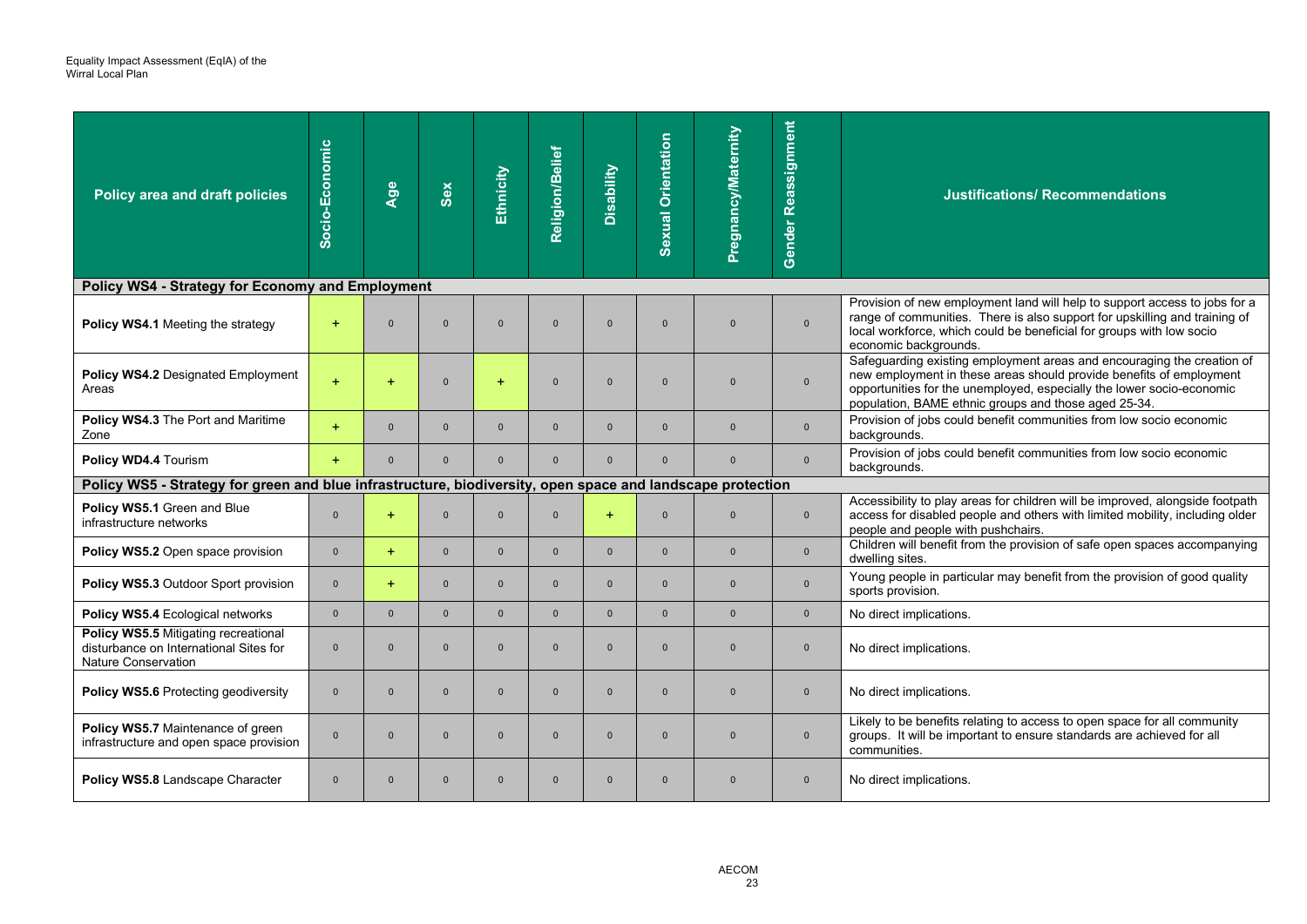| <b>Policy area and draft policies</b>                                                                        | Socio-Economic | Age      | Sex          | Ethnicity    | Religion/Belief | Disability   | Orientation<br>Sexual | <b>Pregnancy/Maternity</b> | Reassignment<br>Gender | <b>Justifications/ Recommendations</b>                                                                                                                                                                                                                                         |
|--------------------------------------------------------------------------------------------------------------|----------------|----------|--------------|--------------|-----------------|--------------|-----------------------|----------------------------|------------------------|--------------------------------------------------------------------------------------------------------------------------------------------------------------------------------------------------------------------------------------------------------------------------------|
| Policy WS4 - Strategy for Economy and Employment                                                             |                |          |              |              |                 |              |                       |                            |                        |                                                                                                                                                                                                                                                                                |
| <b>Policy WS4.1 Meeting the strategy</b>                                                                     | $\ddot{}$      | $\Omega$ | $\mathbf{0}$ | $\mathbf{0}$ | $\Omega$        | $\mathbf{0}$ | $\Omega$              | $\Omega$                   | $\mathbf{0}$           | Provision of new employment land will help to support access to jobs for a<br>range of communities. There is also support for upskilling and training of<br>local workforce, which could be beneficial for groups with low socio<br>economic backgrounds.                      |
| Policy WS4.2 Designated Employment<br>Areas                                                                  | $\ddot{}$      | $+$      | $\mathbf{0}$ | $+$          | $\Omega$        | $\Omega$     | $\Omega$              | $\Omega$                   | $\Omega$               | Safeguarding existing employment areas and encouraging the creation of<br>new employment in these areas should provide benefits of employment<br>opportunities for the unemployed, especially the lower socio-economic<br>population, BAME ethnic groups and those aged 25-34. |
| Policy WS4.3 The Port and Maritime<br>Zone                                                                   | $\ddot{}$      | $\Omega$ | $\mathbf{0}$ | $\mathbf{0}$ | $\mathbf{0}$    | $\mathbf{0}$ | $\mathbf{0}$          | $\mathbf{0}$               | $\mathbf{0}$           | Provision of jobs could benefit communities from low socio economic<br>backgrounds.                                                                                                                                                                                            |
| Policy WD4.4 Tourism                                                                                         | $+$            | $\Omega$ | $\mathbf{0}$ | $\Omega$     | $\Omega$        | $\mathbf{0}$ | $\mathbf{0}$          | $\mathbf{0}$               | $\mathbf{0}$           | Provision of jobs could benefit communities from low socio economic<br>backgrounds.                                                                                                                                                                                            |
| Policy WS5 - Strategy for green and blue infrastructure, biodiversity, open space and landscape protection   |                |          |              |              |                 |              |                       |                            |                        |                                                                                                                                                                                                                                                                                |
| Policy WS5.1 Green and Blue<br>infrastructure networks                                                       | $\mathbf{0}$   | $+$      | $\mathbf{0}$ | $\Omega$     | $\mathbf{0}$    | $+$          | $\mathbf{0}$          | $\mathbf{0}$               | $\mathbf{0}$           | Accessibility to play areas for children will be improved, alongside footpath<br>access for disabled people and others with limited mobility, including older<br>people and people with pushchairs.                                                                            |
| Policy WS5.2 Open space provision                                                                            | $\mathbf{0}$   | $+$      | $\mathbf 0$  | $\mathbf{0}$ | $\mathbf{0}$    | $\mathbf{0}$ | $\overline{0}$        | $\mathbf 0$                | $\mathbf 0$            | Children will benefit from the provision of safe open spaces accompanying<br>dwelling sites.                                                                                                                                                                                   |
| Policy WS5.3 Outdoor Sport provision                                                                         | $\mathbf{0}$   | $+$      | $\mathbf{0}$ | $\mathbf{0}$ | $\mathbf{0}$    | $\mathbf{0}$ | $\Omega$              | $\Omega$                   | $\Omega$               | Young people in particular may benefit from the provision of good quality<br>sports provision.                                                                                                                                                                                 |
| Policy WS5.4 Ecological networks                                                                             | $\mathbf{0}$   | $\Omega$ | $\mathbf{0}$ | $\mathbf{0}$ | $\mathbf{0}$    | $\mathbf{0}$ | $\mathbf{0}$          | $\mathbf{0}$               | $\mathbf{0}$           | No direct implications.                                                                                                                                                                                                                                                        |
| Policy WS5.5 Mitigating recreational<br>disturbance on International Sites for<br><b>Nature Conservation</b> | $\Omega$       | $\Omega$ | $\Omega$     | $\Omega$     | $\Omega$        | $\Omega$     | $\Omega$              | $\Omega$                   | $\Omega$               | No direct implications.                                                                                                                                                                                                                                                        |
| <b>Policy WS5.6 Protecting geodiversity</b>                                                                  | $\mathbf{0}$   | $\Omega$ | $\mathbf{0}$ | $\Omega$     | $\Omega$        | $\mathbf{0}$ | $\Omega$              | $\mathbf{0}$               | $\mathbf{0}$           | No direct implications.                                                                                                                                                                                                                                                        |
| Policy WS5.7 Maintenance of green<br>infrastructure and open space provision                                 | $\Omega$       | $\Omega$ | $\mathbf{0}$ | $\mathbf{0}$ | $\mathbf{0}$    | $\Omega$     | $\Omega$              | $\Omega$                   | $\mathbf{0}$           | Likely to be benefits relating to access to open space for all community<br>groups. It will be important to ensure standards are achieved for all<br>communities.                                                                                                              |
| Policy WS5.8 Landscape Character                                                                             | $\mathbf{0}$   | $\Omega$ | $\Omega$     | $\Omega$     | $\Omega$        | $\Omega$     | $\Omega$              | $\Omega$                   | $\mathbf{0}$           | No direct implications.                                                                                                                                                                                                                                                        |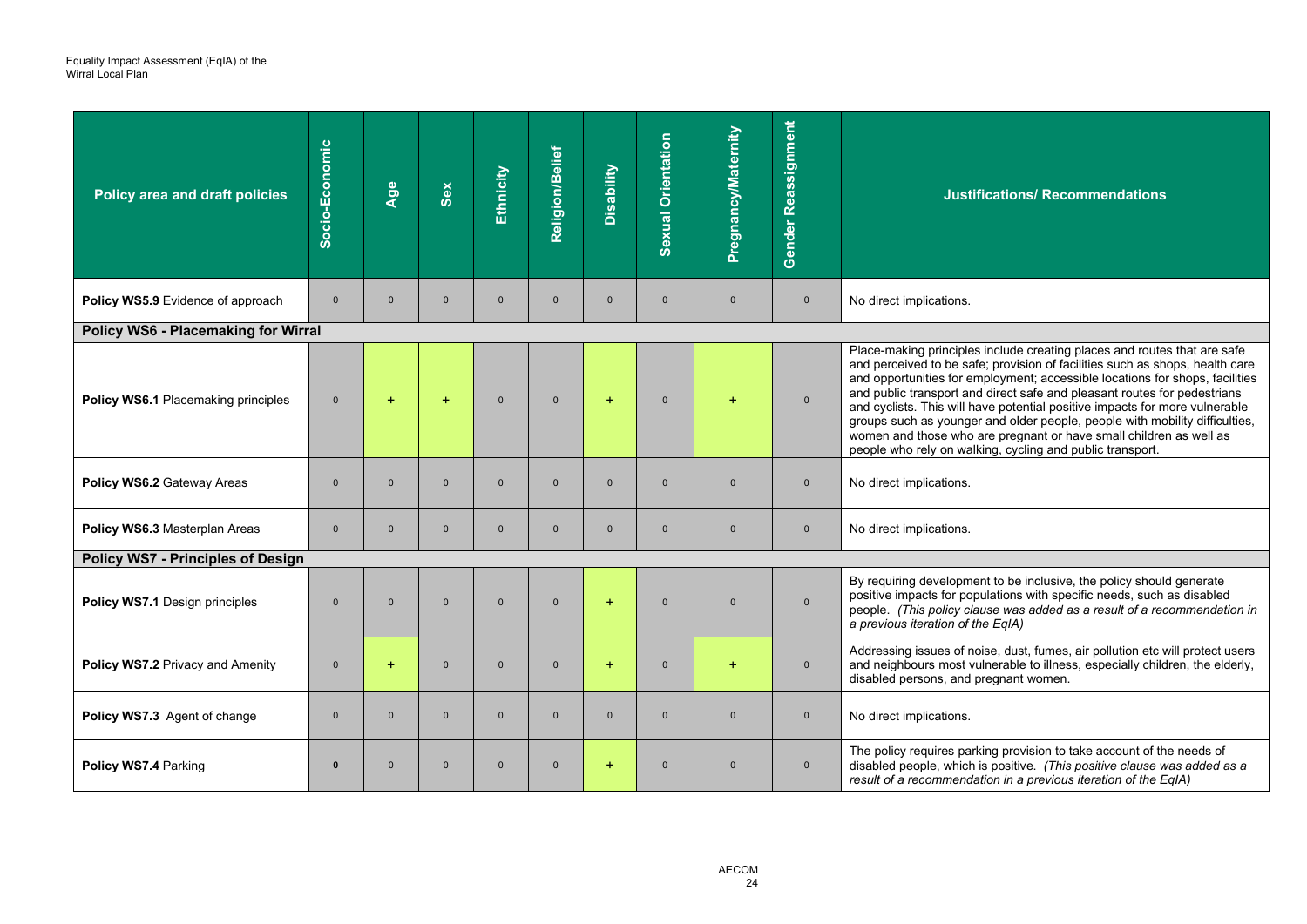| Policy area and draft policies      | Socio-Economic | Age       | Sex          | Ethnicity    | Religion/Belief | Disability   | Orientation<br>Sexual | Pregnancy/Maternity | Reassignment<br>Gender | <b>Justifications/ Recommendations</b>                                                                                                                                                                                                                                                                                                                                                                                                                                                                                                                                                                                |  |  |  |
|-------------------------------------|----------------|-----------|--------------|--------------|-----------------|--------------|-----------------------|---------------------|------------------------|-----------------------------------------------------------------------------------------------------------------------------------------------------------------------------------------------------------------------------------------------------------------------------------------------------------------------------------------------------------------------------------------------------------------------------------------------------------------------------------------------------------------------------------------------------------------------------------------------------------------------|--|--|--|
| Policy WS5.9 Evidence of approach   | $\mathbf{0}$   | $\Omega$  | $\mathbf{0}$ | $\Omega$     | $\mathbf{0}$    | $\Omega$     | $\Omega$              | $\Omega$            | $\mathbf{0}$           | No direct implications.                                                                                                                                                                                                                                                                                                                                                                                                                                                                                                                                                                                               |  |  |  |
| Policy WS6 - Placemaking for Wirral |                |           |              |              |                 |              |                       |                     |                        |                                                                                                                                                                                                                                                                                                                                                                                                                                                                                                                                                                                                                       |  |  |  |
| Policy WS6.1 Placemaking principles | $\mathbf{0}$   | $+$       | $+$          | $\mathbf{0}$ | $\mathbf{0}$    | $+$          | $\mathbf{0}$          | $\ddot{}$           | $\mathbf{0}$           | Place-making principles include creating places and routes that are safe<br>and perceived to be safe; provision of facilities such as shops, health care<br>and opportunities for employment; accessible locations for shops, facilities<br>and public transport and direct safe and pleasant routes for pedestrians<br>and cyclists. This will have potential positive impacts for more vulnerable<br>groups such as younger and older people, people with mobility difficulties,<br>women and those who are pregnant or have small children as well as<br>people who rely on walking, cycling and public transport. |  |  |  |
| Policy WS6.2 Gateway Areas          | $\mathbf{0}$   | $\Omega$  | $\Omega$     | $\Omega$     | $\mathbf{0}$    | $\Omega$     | $\Omega$              | $\Omega$            | $\mathbf{0}$           | No direct implications.                                                                                                                                                                                                                                                                                                                                                                                                                                                                                                                                                                                               |  |  |  |
| Policy WS6.3 Masterplan Areas       | $\mathbf{0}$   | $\Omega$  | $\mathbf{0}$ | $\Omega$     | $\mathbf{0}$    | $\mathbf{0}$ | $\overline{0}$        | $\Omega$            | $\mathbf{0}$           | No direct implications.                                                                                                                                                                                                                                                                                                                                                                                                                                                                                                                                                                                               |  |  |  |
| Policy WS7 - Principles of Design   |                |           |              |              |                 |              |                       |                     |                        |                                                                                                                                                                                                                                                                                                                                                                                                                                                                                                                                                                                                                       |  |  |  |
| Policy WS7.1 Design principles      | $\Omega$       | $\Omega$  | $\Omega$     | $\Omega$     | $\Omega$        | $\ddot{}$    | $\Omega$              | $\Omega$            | $\Omega$               | By requiring development to be inclusive, the policy should generate<br>positive impacts for populations with specific needs, such as disabled<br>people. (This policy clause was added as a result of a recommendation in<br>a previous iteration of the EqIA)                                                                                                                                                                                                                                                                                                                                                       |  |  |  |
| Policy WS7.2 Privacy and Amenity    | $\mathbf 0$    | $\ddot{}$ | $\mathbf{0}$ | $\Omega$     | $\mathbf{0}$    | $+$          | $\Omega$              | $\ddot{}$           | $\mathbf{0}$           | Addressing issues of noise, dust, fumes, air pollution etc will protect users<br>and neighbours most vulnerable to illness, especially children, the elderly,<br>disabled persons, and pregnant women.                                                                                                                                                                                                                                                                                                                                                                                                                |  |  |  |
| Policy WS7.3 Agent of change        | $\mathbf{0}$   | $\Omega$  | $\Omega$     | $\Omega$     | $\mathbf{0}$    | $\Omega$     | $\Omega$              | $\Omega$            | $\Omega$               | No direct implications.                                                                                                                                                                                                                                                                                                                                                                                                                                                                                                                                                                                               |  |  |  |
| Policy WS7.4 Parking                | $\mathbf{0}$   | $\Omega$  | $\Omega$     | $\Omega$     | $\mathbf{0}$    | $\ddot{}$    | $\Omega$              | $\Omega$            | $\mathbf{0}$           | The policy requires parking provision to take account of the needs of<br>disabled people, which is positive. (This positive clause was added as a<br>result of a recommendation in a previous iteration of the EqIA)                                                                                                                                                                                                                                                                                                                                                                                                  |  |  |  |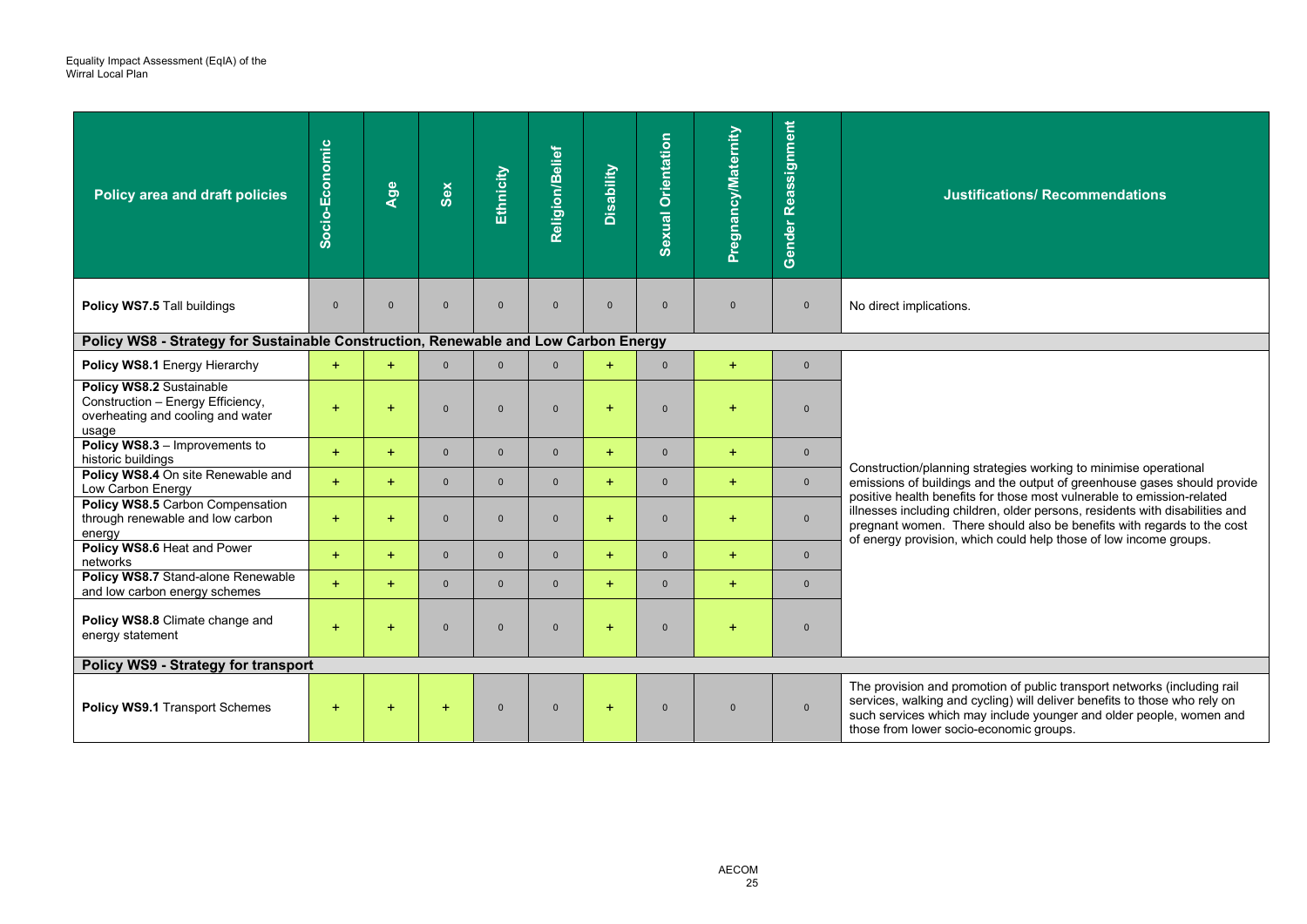| <b>Policy area and draft policies</b>                                                                       | Socio-Economic | Age       | Sex          | Ethnicity      | Religion/Belief | Disability | Orientation<br>Sexual | <b>Pregnancy/Maternity</b> | Reassignment<br>Gender | <b>Justifications/ Recommendations</b>                                                                                                                                                                                                                                                                |
|-------------------------------------------------------------------------------------------------------------|----------------|-----------|--------------|----------------|-----------------|------------|-----------------------|----------------------------|------------------------|-------------------------------------------------------------------------------------------------------------------------------------------------------------------------------------------------------------------------------------------------------------------------------------------------------|
| Policy WS7.5 Tall buildings                                                                                 | $\mathbf 0$    | $\Omega$  | $\Omega$     | $\overline{0}$ | $\mathbf{0}$    | $\Omega$   | $\Omega$              | $\Omega$                   | $\mathbf 0$            | No direct implications.                                                                                                                                                                                                                                                                               |
| Policy WS8 - Strategy for Sustainable Construction, Renewable and Low Carbon Energy                         |                |           |              |                |                 |            |                       |                            |                        |                                                                                                                                                                                                                                                                                                       |
| Policy WS8.1 Energy Hierarchy                                                                               | $+$            | $+$       | $\mathbf{0}$ | $\mathbf{0}$   | $\mathbf{0}$    | $+$        | $\mathbf{0}$          | $+$                        | $\mathbf{0}$           |                                                                                                                                                                                                                                                                                                       |
| Policy WS8.2 Sustainable<br>Construction - Energy Efficiency,<br>overheating and cooling and water<br>usage | $+$            | $+$       | $\Omega$     | $\overline{0}$ | $\mathbf{0}$    | $+$        | $\Omega$              | $+$                        | $\Omega$               |                                                                                                                                                                                                                                                                                                       |
| Policy WS8.3 - Improvements to<br>historic buildings                                                        | $+$            | $+$       | $\mathbf{0}$ | $\mathbf{0}$   | $\mathbf{0}$    | $+$        | $\overline{0}$        | $+$                        | $\mathbf{0}$           |                                                                                                                                                                                                                                                                                                       |
| Policy WS8.4 On site Renewable and<br>Low Carbon Energy                                                     | $+$            | $+$       | $\mathbf{0}$ | $\overline{0}$ | $\mathbf 0$     | $+$        | $\overline{0}$        | $+$                        | $\mathbf{0}$           | Construction/planning strategies working to minimise operational<br>emissions of buildings and the output of greenhouse gases should provide                                                                                                                                                          |
| Policy WS8.5 Carbon Compensation<br>through renewable and low carbon<br>energy                              | $+$            | $+$       | $\mathbf{0}$ | $\overline{0}$ | $\mathbf{0}$    | $+$        | $\overline{0}$        | $+$                        | $\mathbf{0}$           | positive health benefits for those most vulnerable to emission-related<br>illnesses including children, older persons, residents with disabilities and<br>pregnant women. There should also be benefits with regards to the cost<br>of energy provision, which could help those of low income groups. |
| Policy WS8.6 Heat and Power<br>networks                                                                     | $+$            | $+$       | $\mathbf{0}$ | $\mathbf{0}$   | $\mathbf{0}$    | $+$        | $\overline{0}$        | $+$                        | $\mathbf{0}$           |                                                                                                                                                                                                                                                                                                       |
| Policy WS8.7 Stand-alone Renewable<br>and low carbon energy schemes                                         | $+$            | $+$       | $\Omega$     | $\Omega$       | $\mathbf{0}$    | $+$        | $\Omega$              | $+$                        | $\Omega$               |                                                                                                                                                                                                                                                                                                       |
| Policy WS8.8 Climate change and<br>energy statement                                                         | $+$            | $+$       | $\mathbf{0}$ | $\overline{0}$ | $\mathbf{0}$    | $+$        | $\mathbf{0}$          | $\ddot{}$                  | $\Omega$               |                                                                                                                                                                                                                                                                                                       |
| Policy WS9 - Strategy for transport                                                                         |                |           |              |                |                 |            |                       |                            |                        |                                                                                                                                                                                                                                                                                                       |
| <b>Policy WS9.1 Transport Schemes</b>                                                                       | ÷              | $\ddot{}$ | ٠            | $\overline{0}$ | $\Omega$        | $\ddot{}$  | $\Omega$              | $\Omega$                   | $\mathbf{0}$           | The provision and promotion of public transport networks (including rail<br>services, walking and cycling) will deliver benefits to those who rely on<br>such services which may include younger and older people, women and<br>those from lower socio-economic groups.                               |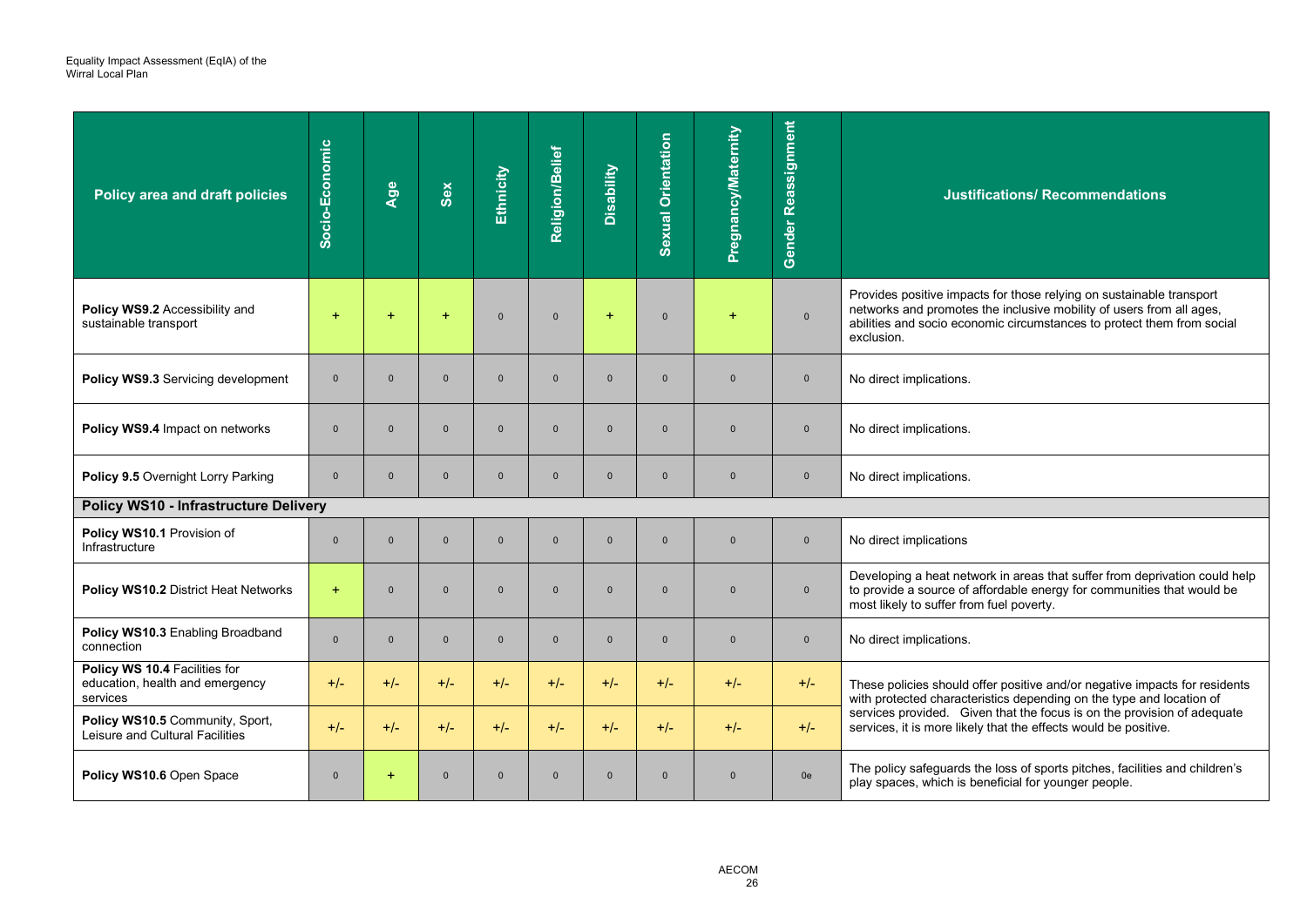| <b>Policy area and draft policies</b>                                        | Socio-Economic | Age          | Sex          | Ethnicity    | Religion/Belief | Disability     | Orientation<br>Sexual | Pregnancy/Maternity | Reassignment<br>Gender | <b>Justifications/ Recommendations</b>                                                                                                                                                                                               |
|------------------------------------------------------------------------------|----------------|--------------|--------------|--------------|-----------------|----------------|-----------------------|---------------------|------------------------|--------------------------------------------------------------------------------------------------------------------------------------------------------------------------------------------------------------------------------------|
| Policy WS9.2 Accessibility and<br>sustainable transport                      | $\ddot{}$      | ÷            | $\ddot{}$    | $\Omega$     | $\Omega$        | $+$            | $\Omega$              | $\ddot{}$           | $\mathbf 0$            | Provides positive impacts for those relying on sustainable transport<br>networks and promotes the inclusive mobility of users from all ages,<br>abilities and socio economic circumstances to protect them from social<br>exclusion. |
| <b>Policy WS9.3 Servicing development</b>                                    | $\mathbf{0}$   | $\Omega$     | $\Omega$     | $\mathbf{0}$ | $\Omega$        | $\mathbf{0}$   | $\Omega$              | $\mathbf{0}$        | $\Omega$               | No direct implications.                                                                                                                                                                                                              |
| Policy WS9.4 Impact on networks                                              | $\Omega$       | $\Omega$     | $\Omega$     | $\mathbf{0}$ | $\Omega$        | $\Omega$       | $\Omega$              | $\Omega$            | $\Omega$               | No direct implications.                                                                                                                                                                                                              |
| Policy 9.5 Overnight Lorry Parking                                           | $\mathbf{0}$   | $\mathbf{0}$ | $\mathbf{0}$ | $\mathbf 0$  | $\mathbf 0$     | $\overline{0}$ | $\mathbf{0}$          | $\mathbf{0}$        | $\mathbf 0$            | No direct implications.                                                                                                                                                                                                              |
| Policy WS10 - Infrastructure Delivery                                        |                |              |              |              |                 |                |                       |                     |                        |                                                                                                                                                                                                                                      |
| Policy WS10.1 Provision of<br>Infrastructure                                 | $\mathbf{0}$   | $\Omega$     | $\Omega$     | $\Omega$     | $\Omega$        | $\mathbf{0}$   | $\Omega$              | $\Omega$            | $\mathbf{0}$           | No direct implications                                                                                                                                                                                                               |
| Policy WS10.2 District Heat Networks                                         | $+$            | $\Omega$     | $\mathbf{0}$ | $\Omega$     | $\Omega$        | $\mathbf{0}$   | $\Omega$              | $\Omega$            | $\mathbf{0}$           | Developing a heat network in areas that suffer from deprivation could help<br>to provide a source of affordable energy for communities that would be<br>most likely to suffer from fuel poverty.                                     |
| Policy WS10.3 Enabling Broadband<br>connection                               | $\mathbf{0}$   | $\Omega$     | $\Omega$     | $\Omega$     | $\Omega$        | $\mathbf{0}$   | $\Omega$              | $\mathbf{0}$        | $\mathbf 0$            | No direct implications.                                                                                                                                                                                                              |
| Policy WS 10.4 Facilities for<br>education, health and emergency<br>services | $+/-$          | $+/-$        | $+/-$        | $+/-$        | $+/-$           | $+/-$          | $+/-$                 | $+/-$               | $+/-$                  | These policies should offer positive and/or negative impacts for residents<br>with protected characteristics depending on the type and location of                                                                                   |
| Policy WS10.5 Community, Sport,<br>Leisure and Cultural Facilities           | $+/-$          | $+/-$        | $+/-$        | $+/-$        | $+/-$           | $+/-$          | $+/-$                 | $+/-$               | $+/-$                  | services provided. Given that the focus is on the provision of adequate<br>services, it is more likely that the effects would be positive.                                                                                           |
| Policy WS10.6 Open Space                                                     | $\mathbf 0$    | $+$          | $\Omega$     | $\mathbf{0}$ | $\Omega$        | $\Omega$       | $\Omega$              | $\mathbf{0}$        | 0e                     | The policy safeguards the loss of sports pitches, facilities and children's<br>play spaces, which is beneficial for younger people.                                                                                                  |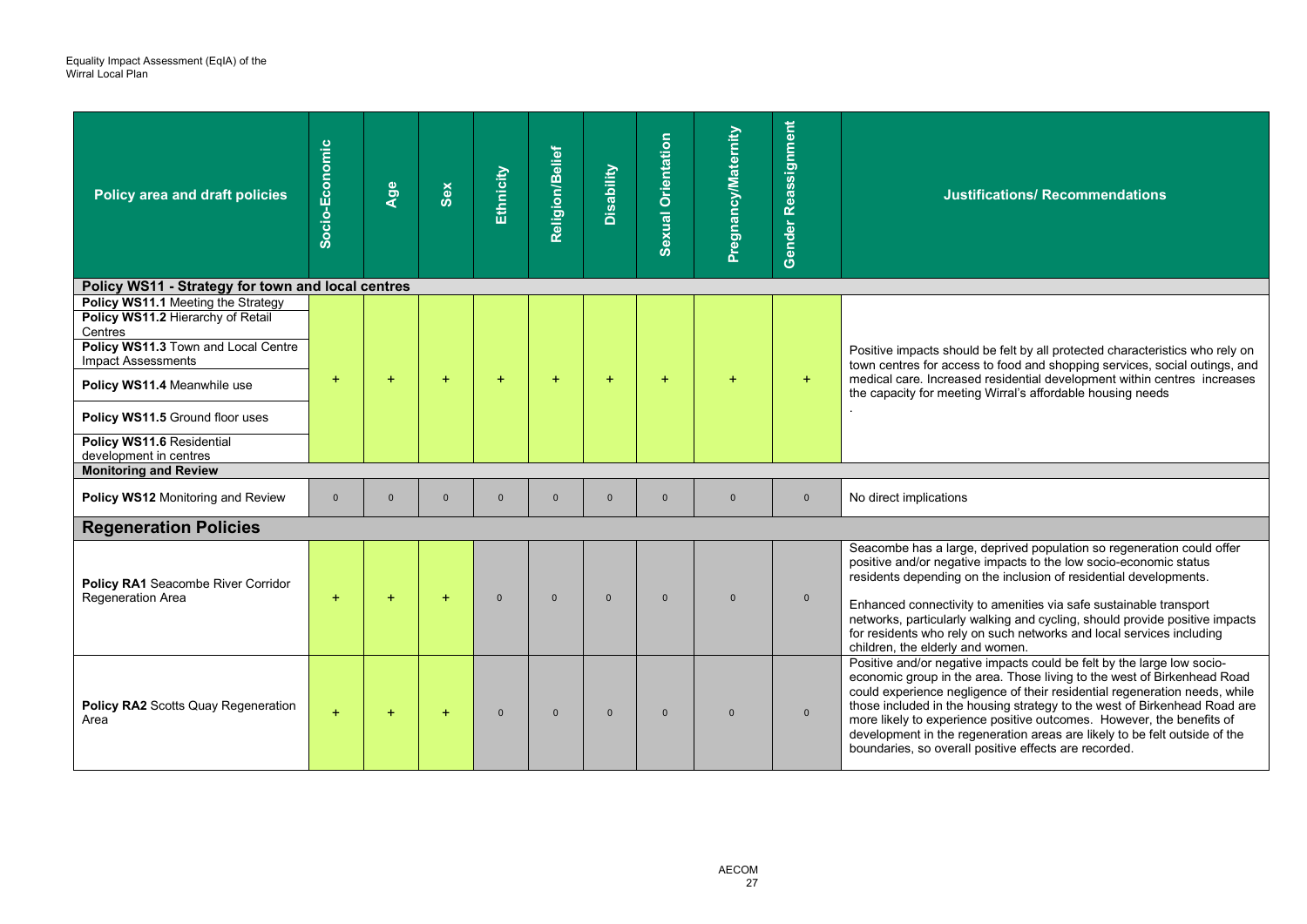| <b>Policy area and draft policies</b>                                                                                                                                                                                                                 | Socio-Economic | Age       | Sex       | Ethnicity      | Religion/Belief | Disability   | Orientation<br>Sexual | Pregnancy/Maternity | <b>Gender Reassignment</b> | <b>Justifications/ Recommendations</b>                                                                                                                                                                                                                                                                                                                                                                                                                                                                                       |  |  |  |
|-------------------------------------------------------------------------------------------------------------------------------------------------------------------------------------------------------------------------------------------------------|----------------|-----------|-----------|----------------|-----------------|--------------|-----------------------|---------------------|----------------------------|------------------------------------------------------------------------------------------------------------------------------------------------------------------------------------------------------------------------------------------------------------------------------------------------------------------------------------------------------------------------------------------------------------------------------------------------------------------------------------------------------------------------------|--|--|--|
| Policy WS11 - Strategy for town and local centres                                                                                                                                                                                                     |                |           |           |                |                 |              |                       |                     |                            |                                                                                                                                                                                                                                                                                                                                                                                                                                                                                                                              |  |  |  |
| Policy WS11.1 Meeting the Strategy<br>Policy WS11.2 Hierarchy of Retail<br>Centres<br>Policy WS11.3 Town and Local Centre<br><b>Impact Assessments</b><br>Policy WS11.4 Meanwhile use<br>Policy WS11.5 Ground floor uses<br>Policy WS11.6 Residential | $\pm$          | $\ddot{}$ | $\ddot{}$ | $\ddot{}$      | $\ddot{}$       | $\ddot{}$    | ÷.                    | $\ddot{}$           | $+$                        | Positive impacts should be felt by all protected characteristics who rely on<br>town centres for access to food and shopping services, social outings, and<br>medical care. Increased residential development within centres increases<br>the capacity for meeting Wirral's affordable housing needs                                                                                                                                                                                                                         |  |  |  |
| development in centres<br><b>Monitoring and Review</b>                                                                                                                                                                                                |                |           |           |                |                 |              |                       |                     |                            |                                                                                                                                                                                                                                                                                                                                                                                                                                                                                                                              |  |  |  |
| Policy WS12 Monitoring and Review                                                                                                                                                                                                                     | $\mathbf{0}$   | $\Omega$  | $\Omega$  | $\Omega$       | $\Omega$        | $\Omega$     | $\Omega$              | $\Omega$            | $\mathbf{0}$               | No direct implications                                                                                                                                                                                                                                                                                                                                                                                                                                                                                                       |  |  |  |
| <b>Regeneration Policies</b>                                                                                                                                                                                                                          |                |           |           |                |                 |              |                       |                     |                            |                                                                                                                                                                                                                                                                                                                                                                                                                                                                                                                              |  |  |  |
| Policy RA1 Seacombe River Corridor<br><b>Regeneration Area</b>                                                                                                                                                                                        | $\ddot{}$      | ÷         | ÷         | $\Omega$       | $\mathbf 0$     | $\mathbf 0$  | $\mathbf{0}$          | $\mathbf{0}$        | $\mathbf 0$                | Seacombe has a large, deprived population so regeneration could offer<br>positive and/or negative impacts to the low socio-economic status<br>residents depending on the inclusion of residential developments.<br>Enhanced connectivity to amenities via safe sustainable transport<br>networks, particularly walking and cycling, should provide positive impacts<br>for residents who rely on such networks and local services including<br>children, the elderly and women.                                              |  |  |  |
| <b>Policy RA2 Scotts Quay Regeneration</b><br>Area                                                                                                                                                                                                    | $+$            | $\ddot{}$ | ÷         | $\overline{0}$ | $\mathbf{0}$    | $\mathbf{0}$ | $\Omega$              | $\Omega$            | $\mathbf 0$                | Positive and/or negative impacts could be felt by the large low socio-<br>economic group in the area. Those living to the west of Birkenhead Road<br>could experience negligence of their residential regeneration needs, while<br>those included in the housing strategy to the west of Birkenhead Road are<br>more likely to experience positive outcomes. However, the benefits of<br>development in the regeneration areas are likely to be felt outside of the<br>boundaries, so overall positive effects are recorded. |  |  |  |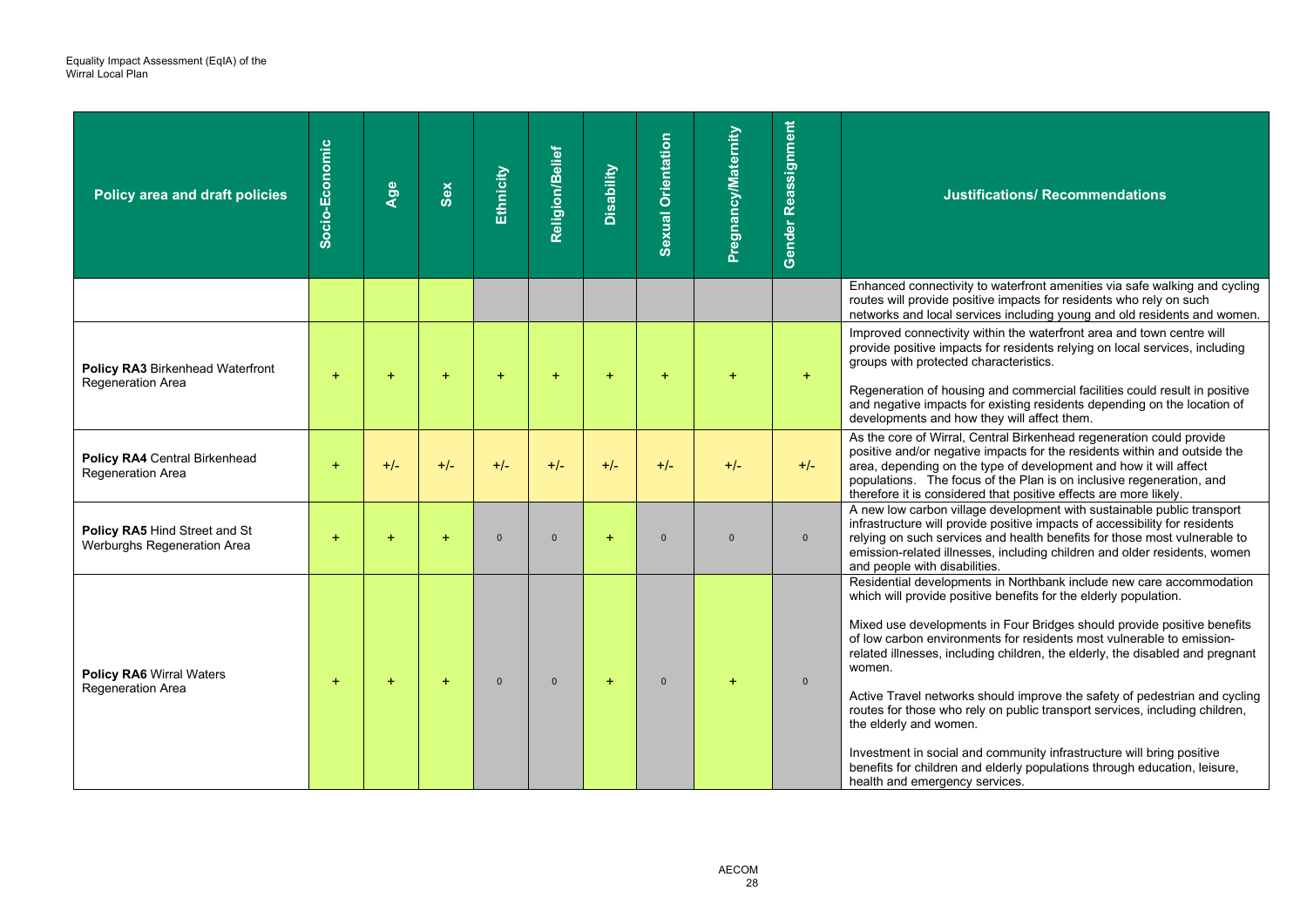| Policy area and draft policies                               | Socio-Economic | Age       | Sex   | Ethnicity | Religion/Belief | Disability | Orientation<br><b>Sexual</b> | Pregnancy/Maternity | Reassignment<br>Gender | <b>Justifications/ Recommendations</b>                                                                                                                                                                                                                                                                                                                                                                                                                                                                                                                                                                                                                                                                                                                                 |
|--------------------------------------------------------------|----------------|-----------|-------|-----------|-----------------|------------|------------------------------|---------------------|------------------------|------------------------------------------------------------------------------------------------------------------------------------------------------------------------------------------------------------------------------------------------------------------------------------------------------------------------------------------------------------------------------------------------------------------------------------------------------------------------------------------------------------------------------------------------------------------------------------------------------------------------------------------------------------------------------------------------------------------------------------------------------------------------|
|                                                              |                |           |       |           |                 |            |                              |                     |                        | Enhanced connectivity to waterfront amenities via safe walking and cycling<br>routes will provide positive impacts for residents who rely on such<br>networks and local services including young and old residents and women.                                                                                                                                                                                                                                                                                                                                                                                                                                                                                                                                          |
| Policy RA3 Birkenhead Waterfront<br><b>Regeneration Area</b> | ÷              |           | ÷     | $\ddot{}$ | $\ddot{}$       | $\ddot{}$  | ÷                            |                     | $+$                    | Improved connectivity within the waterfront area and town centre will<br>provide positive impacts for residents relying on local services, including<br>groups with protected characteristics.<br>Regeneration of housing and commercial facilities could result in positive<br>and negative impacts for existing residents depending on the location of<br>developments and how they will affect them.                                                                                                                                                                                                                                                                                                                                                                |
| Policy RA4 Central Birkenhead<br><b>Regeneration Area</b>    | $\ddot{}$      | $+/-$     | $+/-$ | $+/-$     | $+/-$           | $+/-$      | $+/-$                        | $+/-$               | $+/-$                  | As the core of Wirral, Central Birkenhead regeneration could provide<br>positive and/or negative impacts for the residents within and outside the<br>area, depending on the type of development and how it will affect<br>populations. The focus of the Plan is on inclusive regeneration, and<br>therefore it is considered that positive effects are more likely.                                                                                                                                                                                                                                                                                                                                                                                                    |
| Policy RA5 Hind Street and St<br>Werburghs Regeneration Area | ÷              |           | ÷     | $\Omega$  | $\Omega$        | $+$        | $\Omega$                     | $\Omega$            | $\Omega$               | A new low carbon village development with sustainable public transport<br>infrastructure will provide positive impacts of accessibility for residents<br>relying on such services and health benefits for those most vulnerable to<br>emission-related illnesses, including children and older residents, women<br>and people with disabilities.                                                                                                                                                                                                                                                                                                                                                                                                                       |
| <b>Policy RA6 Wirral Waters</b><br>Regeneration Area         | $+$            | $\ddot{}$ | $+$   | $\Omega$  | $\Omega$        | $+$        | $\Omega$                     | $\ddot{}$           | $\mathbf{0}$           | Residential developments in Northbank include new care accommodation<br>which will provide positive benefits for the elderly population.<br>Mixed use developments in Four Bridges should provide positive benefits<br>of low carbon environments for residents most vulnerable to emission-<br>related illnesses, including children, the elderly, the disabled and pregnant<br>women.<br>Active Travel networks should improve the safety of pedestrian and cycling<br>routes for those who rely on public transport services, including children,<br>the elderly and women.<br>Investment in social and community infrastructure will bring positive<br>benefits for children and elderly populations through education, leisure,<br>health and emergency services. |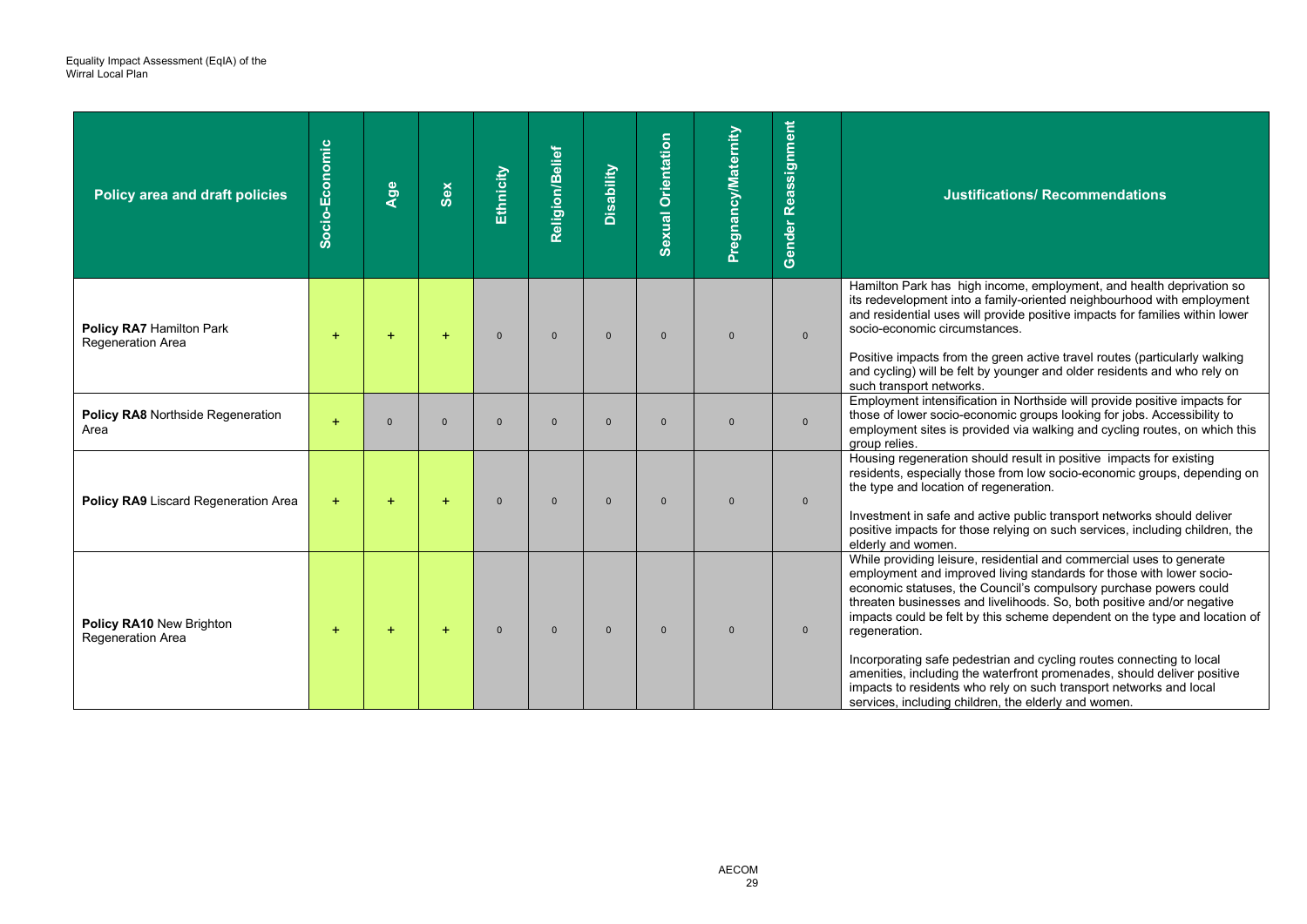| Policy area and draft policies                              | Socio-Economic | Age      | Sex      | Ethnicity | Religion/Belief | Disability   | Sexual Orientation | Pregnancy/Maternity | <b>Gender Reassignment</b> | <b>Justifications/ Recommendations</b>                                                                                                                                                                                                                                                                                                                                                                                                                                                                                                                                                                                                                                      |
|-------------------------------------------------------------|----------------|----------|----------|-----------|-----------------|--------------|--------------------|---------------------|----------------------------|-----------------------------------------------------------------------------------------------------------------------------------------------------------------------------------------------------------------------------------------------------------------------------------------------------------------------------------------------------------------------------------------------------------------------------------------------------------------------------------------------------------------------------------------------------------------------------------------------------------------------------------------------------------------------------|
| <b>Policy RA7 Hamilton Park</b><br><b>Regeneration Area</b> | $\ddot{}$      |          | ÷        | $\Omega$  | $\Omega$        | $\mathbf{0}$ | $\Omega$           | $\Omega$            | $\mathbf{0}$               | Hamilton Park has high income, employment, and health deprivation so<br>its redevelopment into a family-oriented neighbourhood with employment<br>and residential uses will provide positive impacts for families within lower<br>socio-economic circumstances.<br>Positive impacts from the green active travel routes (particularly walking                                                                                                                                                                                                                                                                                                                               |
|                                                             |                |          |          |           |                 |              |                    |                     |                            | and cycling) will be felt by younger and older residents and who rely on<br>such transport networks.<br>Employment intensification in Northside will provide positive impacts for                                                                                                                                                                                                                                                                                                                                                                                                                                                                                           |
| <b>Policy RA8 Northside Regeneration</b><br>Area            | $+$            | $\Omega$ | $\Omega$ | $\Omega$  | $\Omega$        | $\Omega$     | $\Omega$           | $\Omega$            | $\Omega$                   | those of lower socio-economic groups looking for jobs. Accessibility to<br>employment sites is provided via walking and cycling routes, on which this<br>group relies.                                                                                                                                                                                                                                                                                                                                                                                                                                                                                                      |
| Policy RA9 Liscard Regeneration Area                        | $+$            |          | ÷        | $\Omega$  | $\Omega$        | $\Omega$     | $\Omega$           | $\Omega$            | $\mathbf{0}$               | Housing regeneration should result in positive impacts for existing<br>residents, especially those from low socio-economic groups, depending on<br>the type and location of regeneration.<br>Investment in safe and active public transport networks should deliver<br>positive impacts for those relying on such services, including children, the<br>elderly and women.                                                                                                                                                                                                                                                                                                   |
| Policy RA10 New Brighton<br><b>Regeneration Area</b>        | $+$            |          | $+$      | $\Omega$  | $\Omega$        | $\Omega$     | $\Omega$           | $\Omega$            | $\mathbf{0}$               | While providing leisure, residential and commercial uses to generate<br>employment and improved living standards for those with lower socio-<br>economic statuses, the Council's compulsory purchase powers could<br>threaten businesses and livelihoods. So, both positive and/or negative<br>impacts could be felt by this scheme dependent on the type and location of<br>regeneration.<br>Incorporating safe pedestrian and cycling routes connecting to local<br>amenities, including the waterfront promenades, should deliver positive<br>impacts to residents who rely on such transport networks and local<br>services, including children, the elderly and women. |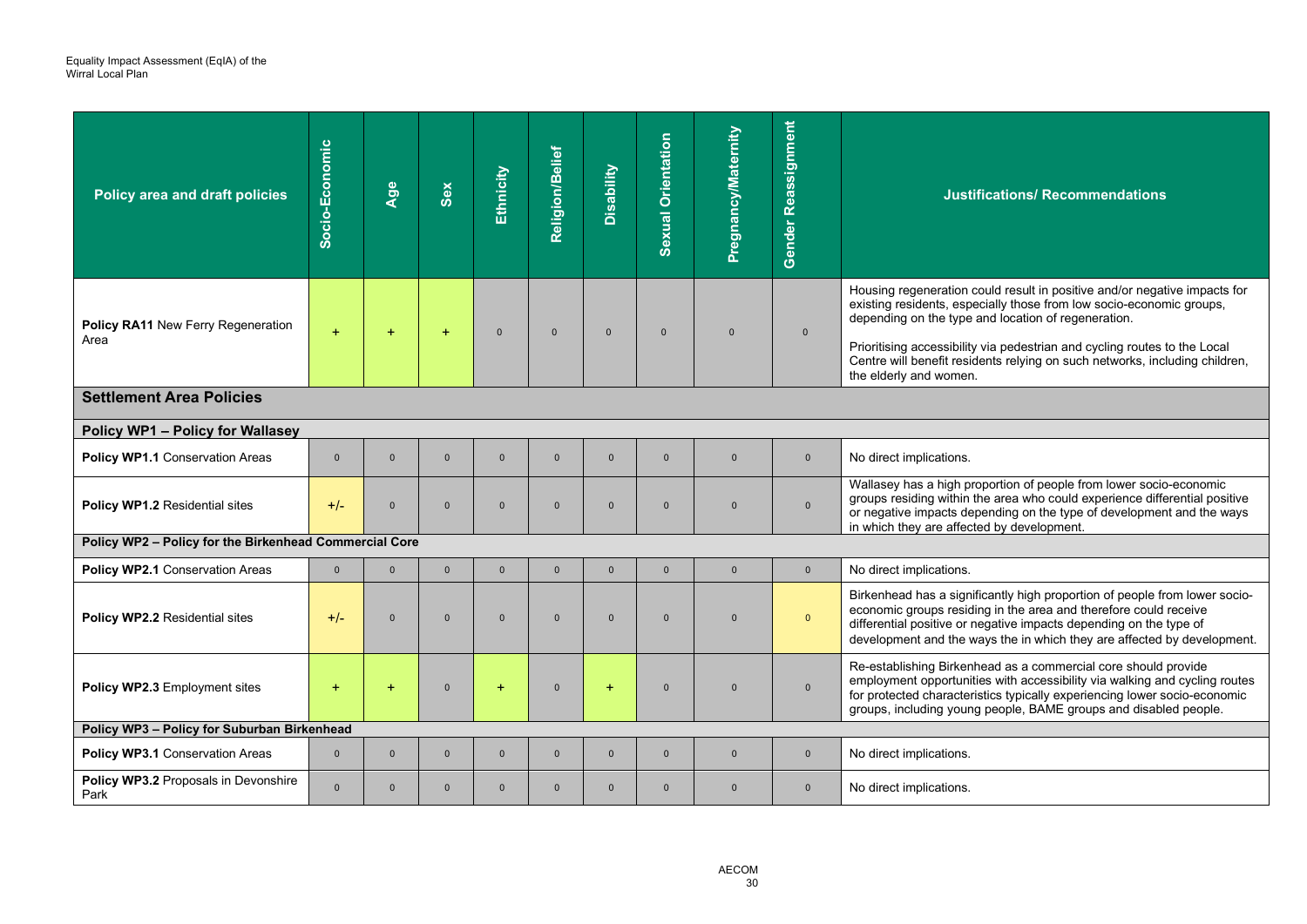| Policy area and draft policies                         | Socio-Economic | Age            | Sex          | Ethnicity      | Religion/Belief | Disability   | Orientation<br><b>Sexual</b> | Pregnancy/Maternity | Reassignment<br>Gender | <b>Justifications/ Recommendations</b>                                                                                                                                                                                                                                                                                                                                                         |  |  |  |  |
|--------------------------------------------------------|----------------|----------------|--------------|----------------|-----------------|--------------|------------------------------|---------------------|------------------------|------------------------------------------------------------------------------------------------------------------------------------------------------------------------------------------------------------------------------------------------------------------------------------------------------------------------------------------------------------------------------------------------|--|--|--|--|
| Policy RA11 New Ferry Regeneration<br>Area             | $+$            |                | $+$          | $\overline{0}$ | $\Omega$        | $\mathbf{0}$ | $\Omega$                     | $\mathbf{0}$        | $\Omega$               | Housing regeneration could result in positive and/or negative impacts for<br>existing residents, especially those from low socio-economic groups,<br>depending on the type and location of regeneration.<br>Prioritising accessibility via pedestrian and cycling routes to the Local<br>Centre will benefit residents relying on such networks, including children,<br>the elderly and women. |  |  |  |  |
| <b>Settlement Area Policies</b>                        |                |                |              |                |                 |              |                              |                     |                        |                                                                                                                                                                                                                                                                                                                                                                                                |  |  |  |  |
| Policy WP1 - Policy for Wallasey                       |                |                |              |                |                 |              |                              |                     |                        |                                                                                                                                                                                                                                                                                                                                                                                                |  |  |  |  |
| Policy WP1.1 Conservation Areas                        | $\mathbf{0}$   | $\Omega$       | $\Omega$     | $\Omega$       | $\mathbf{0}$    | $\Omega$     | $\Omega$                     | $\Omega$            | $\Omega$               | No direct implications.                                                                                                                                                                                                                                                                                                                                                                        |  |  |  |  |
| Policy WP1.2 Residential sites                         | $+/-$          | $\Omega$       | $\Omega$     | $\Omega$       | $\Omega$        | $\Omega$     | $\Omega$                     | $\Omega$            | $\Omega$               | Wallasey has a high proportion of people from lower socio-economic<br>groups residing within the area who could experience differential positive<br>or negative impacts depending on the type of development and the ways<br>in which they are affected by development.                                                                                                                        |  |  |  |  |
| Policy WP2 - Policy for the Birkenhead Commercial Core |                |                |              |                |                 |              |                              |                     |                        |                                                                                                                                                                                                                                                                                                                                                                                                |  |  |  |  |
| Policy WP2.1 Conservation Areas                        | $\mathbf{0}$   | $\mathbf{0}$   | $\mathbf{0}$ | $\Omega$       | $\mathbf{0}$    | $\mathbf{0}$ | $\mathbf{0}$                 | $\Omega$            | $\mathbf{0}$           | No direct implications.                                                                                                                                                                                                                                                                                                                                                                        |  |  |  |  |
| Policy WP2.2 Residential sites                         | $+/-$          | $\Omega$       | $\Omega$     | $\Omega$       | $\mathbf{0}$    | $\Omega$     | $\Omega$                     | $\Omega$            | $\overline{0}$         | Birkenhead has a significantly high proportion of people from lower socio-<br>economic groups residing in the area and therefore could receive<br>differential positive or negative impacts depending on the type of<br>development and the ways the in which they are affected by development.                                                                                                |  |  |  |  |
| Policy WP2.3 Employment sites                          | ÷              |                | $\Omega$     | $\ddot{}$      | $\mathbf{0}$    | $+$          | $\Omega$                     | $\Omega$            | $\Omega$               | Re-establishing Birkenhead as a commercial core should provide<br>employment opportunities with accessibility via walking and cycling routes<br>for protected characteristics typically experiencing lower socio-economic<br>groups, including young people, BAME groups and disabled people.                                                                                                  |  |  |  |  |
| Policy WP3 - Policy for Suburban Birkenhead            |                |                |              |                |                 |              |                              |                     |                        |                                                                                                                                                                                                                                                                                                                                                                                                |  |  |  |  |
| Policy WP3.1 Conservation Areas                        | $\mathbf 0$    | $\overline{0}$ | $\Omega$     | $\Omega$       | $\mathbf 0$     | $\Omega$     | $\Omega$                     | $\Omega$            | $\mathbf{0}$           | No direct implications.                                                                                                                                                                                                                                                                                                                                                                        |  |  |  |  |
| Policy WP3.2 Proposals in Devonshire<br>Park           | $\mathbf{0}$   | $\overline{0}$ | $\Omega$     | $\Omega$       | $\mathbf{0}$    | $\Omega$     | $\Omega$                     | $\Omega$            | $\overline{0}$         | No direct implications.                                                                                                                                                                                                                                                                                                                                                                        |  |  |  |  |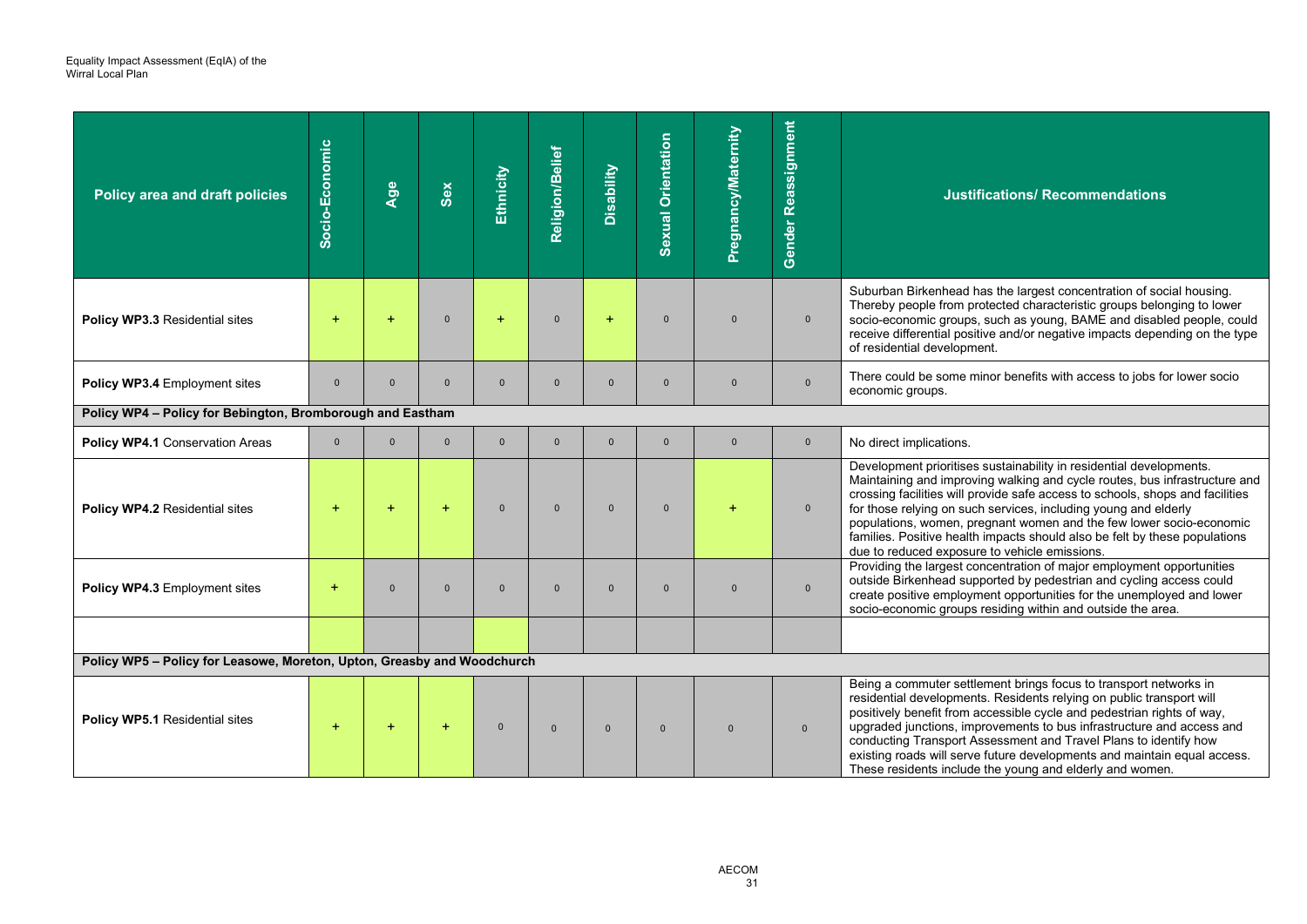| <b>Policy area and draft policies</b>                                   | Socio-Economic | Age            | Sex          | Ethnicity      | Religion/Belief | Disability   | Orientation<br>Sexual | Pregnancy/Maternity | Gender Reassignment | <b>Justifications/ Recommendations</b>                                                                                                                                                                                                                                                                                                                                                                                                                                                                      |  |
|-------------------------------------------------------------------------|----------------|----------------|--------------|----------------|-----------------|--------------|-----------------------|---------------------|---------------------|-------------------------------------------------------------------------------------------------------------------------------------------------------------------------------------------------------------------------------------------------------------------------------------------------------------------------------------------------------------------------------------------------------------------------------------------------------------------------------------------------------------|--|
| Policy WP3.3 Residential sites                                          | $\ddot{}$      | ÷              | $\Omega$     | $+$            | $\overline{0}$  | $\ddot{}$    | $\Omega$              | $\Omega$            | $\mathbf{0}$        | Suburban Birkenhead has the largest concentration of social housing.<br>Thereby people from protected characteristic groups belonging to lower<br>socio-economic groups, such as young, BAME and disabled people, could<br>receive differential positive and/or negative impacts depending on the type<br>of residential development.                                                                                                                                                                       |  |
| Policy WP3.4 Employment sites                                           | $\mathbf{0}$   | $\Omega$       | $\Omega$     | $\Omega$       | $\mathbf{0}$    | $\Omega$     | $\Omega$              | $\Omega$            | $\mathbf{0}$        | There could be some minor benefits with access to jobs for lower socio<br>economic groups.                                                                                                                                                                                                                                                                                                                                                                                                                  |  |
| Policy WP4 - Policy for Bebington, Bromborough and Eastham              |                |                |              |                |                 |              |                       |                     |                     |                                                                                                                                                                                                                                                                                                                                                                                                                                                                                                             |  |
| Policy WP4.1 Conservation Areas                                         | $\mathbf{0}$   | $\overline{0}$ | $\mathbf{0}$ | $\Omega$       | $\Omega$        | $\Omega$     | $\Omega$              | $\Omega$            | $\mathbf{0}$        | No direct implications.                                                                                                                                                                                                                                                                                                                                                                                                                                                                                     |  |
| Policy WP4.2 Residential sites                                          | $\ddot{}$      | $\ddot{}$      | ÷            | $\Omega$       | $\overline{0}$  | $\Omega$     | $\Omega$              | $\ddot{}$           | $\mathbf 0$         | Development prioritises sustainability in residential developments.<br>Maintaining and improving walking and cycle routes, bus infrastructure and<br>crossing facilities will provide safe access to schools, shops and facilities<br>for those relying on such services, including young and elderly<br>populations, women, pregnant women and the few lower socio-economic<br>families. Positive health impacts should also be felt by these populations<br>due to reduced exposure to vehicle emissions. |  |
| Policy WP4.3 Employment sites                                           | $\ddot{}$      | $\Omega$       | $\Omega$     | $\Omega$       | $\Omega$        | $\Omega$     | $\mathbf{0}$          | $\Omega$            | $\mathbf{0}$        | Providing the largest concentration of major employment opportunities<br>outside Birkenhead supported by pedestrian and cycling access could<br>create positive employment opportunities for the unemployed and lower<br>socio-economic groups residing within and outside the area.                                                                                                                                                                                                                        |  |
|                                                                         |                |                |              |                |                 |              |                       |                     |                     |                                                                                                                                                                                                                                                                                                                                                                                                                                                                                                             |  |
| Policy WP5 - Policy for Leasowe, Moreton, Upton, Greasby and Woodchurch |                |                |              |                |                 |              |                       |                     |                     |                                                                                                                                                                                                                                                                                                                                                                                                                                                                                                             |  |
| Policy WP5.1 Residential sites                                          | $\ddot{}$      | ÷              | ÷            | $\overline{0}$ | $\Omega$        | $\mathbf{0}$ | $\mathbf{0}$          | $\Omega$            | $\mathbf 0$         | Being a commuter settlement brings focus to transport networks in<br>residential developments. Residents relying on public transport will<br>positively benefit from accessible cycle and pedestrian rights of way,<br>upgraded junctions, improvements to bus infrastructure and access and<br>conducting Transport Assessment and Travel Plans to identify how<br>existing roads will serve future developments and maintain equal access.<br>These residents include the young and elderly and women.    |  |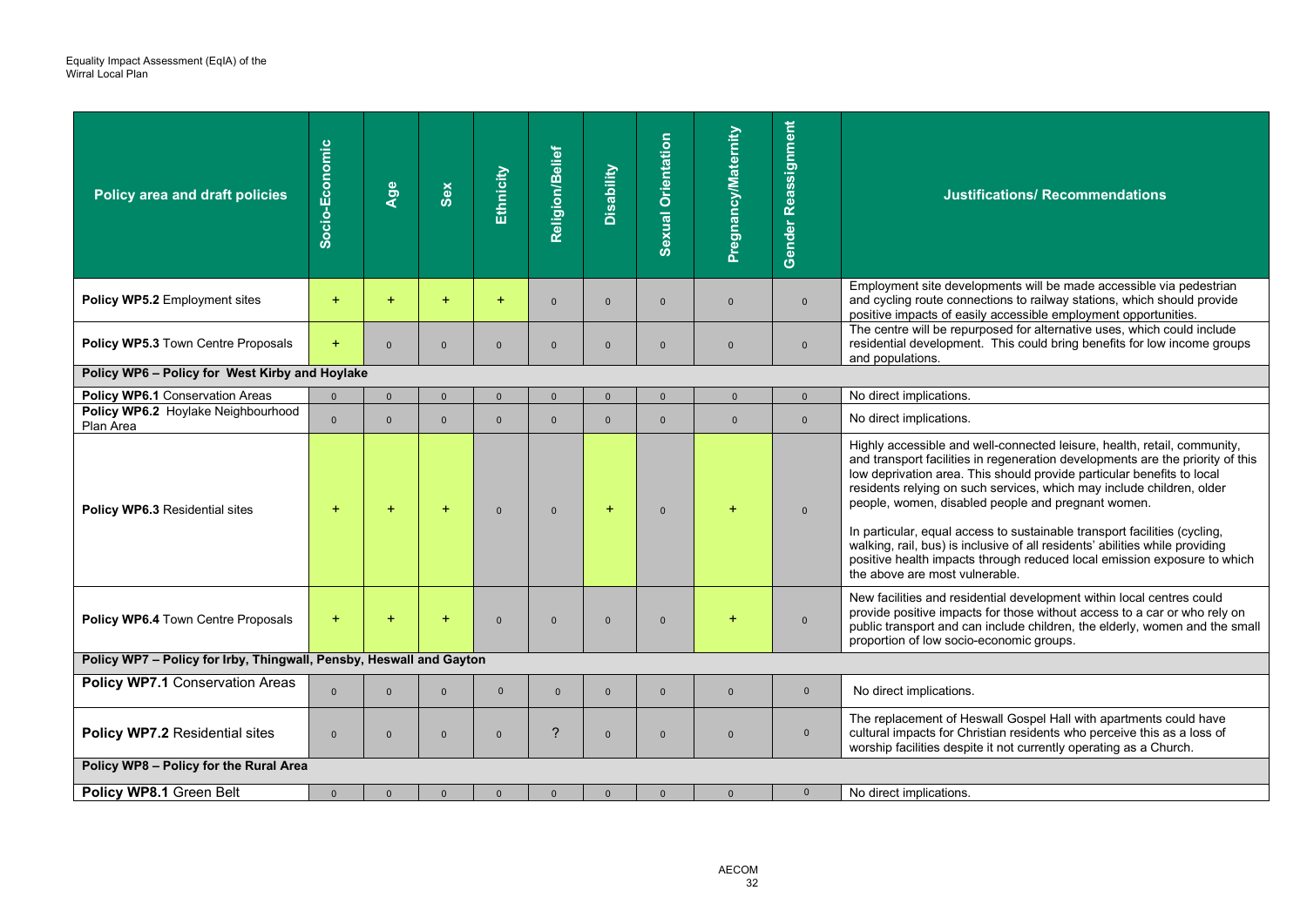| <b>Policy area and draft policies</b>                               | Socio-Economic | Age            | Sex          | Ethnicity      | Religion/Belief | Disability   | Orientation<br>Sexual | Pregnancy/Maternity | <b>Gender Reassignment</b> | <b>Justifications/ Recommendations</b>                                                                                                                                                                                                                                                                                                                                                                                                                                                                                                                                                                                                         |  |  |
|---------------------------------------------------------------------|----------------|----------------|--------------|----------------|-----------------|--------------|-----------------------|---------------------|----------------------------|------------------------------------------------------------------------------------------------------------------------------------------------------------------------------------------------------------------------------------------------------------------------------------------------------------------------------------------------------------------------------------------------------------------------------------------------------------------------------------------------------------------------------------------------------------------------------------------------------------------------------------------------|--|--|
| Policy WP5.2 Employment sites                                       | $\ddot{}$      | $+$            | ÷            | $+$            | $\mathbf{0}$    | $\mathbf{0}$ | $\Omega$              | $\Omega$            | $\mathbf{0}$               | Employment site developments will be made accessible via pedestrian<br>and cycling route connections to railway stations, which should provide<br>positive impacts of easily accessible employment opportunities.                                                                                                                                                                                                                                                                                                                                                                                                                              |  |  |
| <b>Policy WP5.3 Town Centre Proposals</b>                           | $+$            | $\Omega$       | $\mathbf{0}$ | $\Omega$       | $\mathbf{0}$    | $\mathbf{0}$ | $\Omega$              | $\Omega$            | $\mathbf{0}$               | The centre will be repurposed for alternative uses, which could include<br>residential development. This could bring benefits for low income groups<br>and populations.                                                                                                                                                                                                                                                                                                                                                                                                                                                                        |  |  |
| Policy WP6 - Policy for West Kirby and Hoylake                      |                |                |              |                |                 |              |                       |                     |                            |                                                                                                                                                                                                                                                                                                                                                                                                                                                                                                                                                                                                                                                |  |  |
| Policy WP6.1 Conservation Areas                                     | $\mathbf{0}$   | $\mathbf{0}$   | $\mathbf{0}$ | $\Omega$       | $\mathbf{0}$    | $\mathbf{0}$ | $\Omega$              | $\mathbf{0}$        | $\mathbf{0}$               | No direct implications.                                                                                                                                                                                                                                                                                                                                                                                                                                                                                                                                                                                                                        |  |  |
| Policy WP6.2 Hoylake Neighbourhood<br>Plan Area                     | $\mathbf{0}$   | $\overline{0}$ | $\mathbf{0}$ | $\mathbf{0}$   | $\mathbf{0}$    | $\mathbf{0}$ | $\mathbf{0}$          | $\mathbf{0}$        | $\mathbf{0}$               | No direct implications.                                                                                                                                                                                                                                                                                                                                                                                                                                                                                                                                                                                                                        |  |  |
| Policy WP6.3 Residential sites                                      | $\ddot{}$      | $\ddot{}$      |              | $\Omega$       | $\Omega$        | $+$          | $\Omega$              | $\ddot{}$           | $\mathbf{0}$               | Highly accessible and well-connected leisure, health, retail, community,<br>and transport facilities in regeneration developments are the priority of this<br>low deprivation area. This should provide particular benefits to local<br>residents relying on such services, which may include children, older<br>people, women, disabled people and pregnant women.<br>In particular, equal access to sustainable transport facilities (cycling,<br>walking, rail, bus) is inclusive of all residents' abilities while providing<br>positive health impacts through reduced local emission exposure to which<br>the above are most vulnerable. |  |  |
| Policy WP6.4 Town Centre Proposals                                  | $+$            | $+$            | ÷            | $\Omega$       | $\Omega$        | $\Omega$     | $\Omega$              | $\ddot{}$           | $\mathbf{0}$               | New facilities and residential development within local centres could<br>provide positive impacts for those without access to a car or who rely on<br>public transport and can include children, the elderly, women and the small<br>proportion of low socio-economic groups.                                                                                                                                                                                                                                                                                                                                                                  |  |  |
| Policy WP7 - Policy for Irby, Thingwall, Pensby, Heswall and Gayton |                |                |              |                |                 |              |                       |                     |                            |                                                                                                                                                                                                                                                                                                                                                                                                                                                                                                                                                                                                                                                |  |  |
| Policy WP7.1 Conservation Areas                                     | $\mathbf{0}$   | $\Omega$       | $\mathbf{0}$ | $\overline{0}$ | $\mathbf{0}$    | $\mathbf{0}$ | $\Omega$              | $\Omega$            | $\mathbf{0}$               | No direct implications.                                                                                                                                                                                                                                                                                                                                                                                                                                                                                                                                                                                                                        |  |  |
| Policy WP7.2 Residential sites                                      | $\mathbf{0}$   | $\Omega$       | $\mathbf{0}$ | $\Omega$       | ?               | $\mathbf{0}$ | $\Omega$              | $\Omega$            | $\mathbf{0}$               | The replacement of Heswall Gospel Hall with apartments could have<br>cultural impacts for Christian residents who perceive this as a loss of<br>worship facilities despite it not currently operating as a Church.                                                                                                                                                                                                                                                                                                                                                                                                                             |  |  |
| Policy WP8 - Policy for the Rural Area                              |                |                |              |                |                 |              |                       |                     |                            |                                                                                                                                                                                                                                                                                                                                                                                                                                                                                                                                                                                                                                                |  |  |
| Policy WP8.1 Green Belt                                             | $\mathbf 0$    | $\overline{0}$ | $\mathbf 0$  | $\mathbf{0}$   | $\mathbf{0}$    | $\mathbf 0$  | $\mathbf 0$           | $\Omega$            | $\mathbf 0$                | No direct implications.                                                                                                                                                                                                                                                                                                                                                                                                                                                                                                                                                                                                                        |  |  |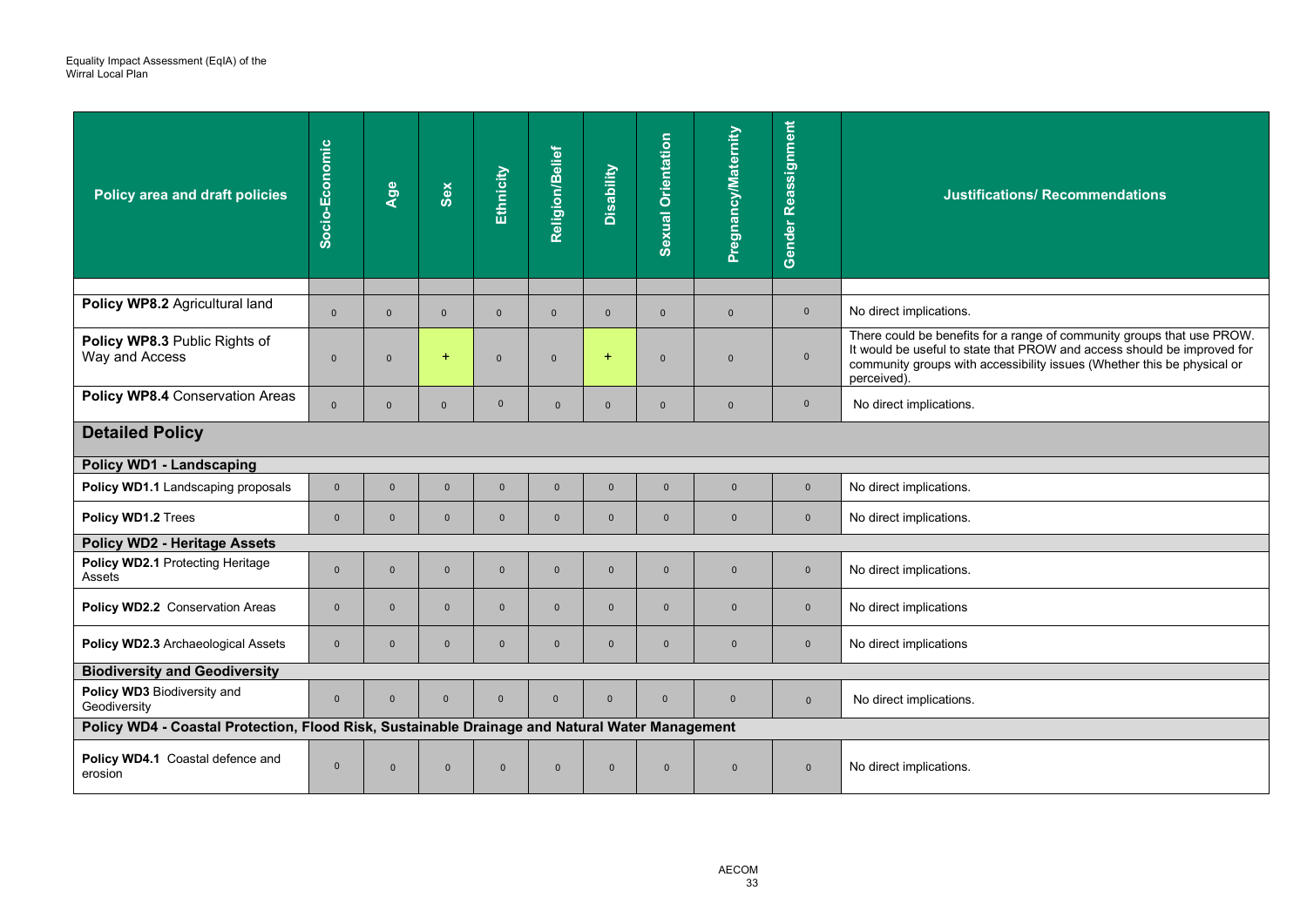| <b>Policy area and draft policies</b>                                                          | Socio-Economic | Age            | Sex          | Ethnicity      | Religion/Belief | Disability   | Orientation<br>Sexual | Pregnancy/Maternity | <b>Gender Reassignment</b> | <b>Justifications/ Recommendations</b>                                                                                                                                                                                                      |  |  |
|------------------------------------------------------------------------------------------------|----------------|----------------|--------------|----------------|-----------------|--------------|-----------------------|---------------------|----------------------------|---------------------------------------------------------------------------------------------------------------------------------------------------------------------------------------------------------------------------------------------|--|--|
| Policy WP8.2 Agricultural land                                                                 |                |                |              |                |                 |              |                       |                     |                            |                                                                                                                                                                                                                                             |  |  |
|                                                                                                | $\mathbf{0}$   | $\overline{0}$ | $\mathbf 0$  | $\mathbf 0$    | $\mathbf{0}$    | $\mathbf 0$  | $\mathbf 0$           | $\mathbf 0$         | $\mathbf 0$                | No direct implications.                                                                                                                                                                                                                     |  |  |
| Policy WP8.3 Public Rights of<br>Way and Access                                                | $\Omega$       | $\Omega$       | $\ddot{}$    | $\mathbf{0}$   | $\mathbf{0}$    | $+$          | $\mathbf{0}$          | $\Omega$            | $\mathbf 0$                | There could be benefits for a range of community groups that use PROW.<br>It would be useful to state that PROW and access should be improved for<br>community groups with accessibility issues (Whether this be physical or<br>perceived). |  |  |
| Policy WP8.4 Conservation Areas                                                                | $\Omega$       | $\overline{0}$ | $\mathbf{0}$ | $\overline{0}$ | $\mathbf{0}$    | $\mathbf{0}$ | $\mathbf{0}$          | $\mathbf{0}$        | $\mathbf{0}$               | No direct implications.                                                                                                                                                                                                                     |  |  |
| <b>Detailed Policy</b>                                                                         |                |                |              |                |                 |              |                       |                     |                            |                                                                                                                                                                                                                                             |  |  |
| <b>Policy WD1 - Landscaping</b>                                                                |                |                |              |                |                 |              |                       |                     |                            |                                                                                                                                                                                                                                             |  |  |
| Policy WD1.1 Landscaping proposals                                                             | $\mathbf 0$    | $\mathbf{0}$   | $\mathbf{0}$ | $\mathbf 0$    | $\mathbf 0$     | $\mathbf{0}$ | $\mathbf 0$           | $\mathbf{0}$        | $\mathbf 0$                | No direct implications.                                                                                                                                                                                                                     |  |  |
| Policy WD1.2 Trees                                                                             | $\mathbf 0$    | $\Omega$       | $\Omega$     | $\mathbf{0}$   | $\mathbf 0$     | $\mathbf{0}$ | $\mathbf 0$           | $\mathbf{0}$        | $\mathbf 0$                | No direct implications.                                                                                                                                                                                                                     |  |  |
| <b>Policy WD2 - Heritage Assets</b>                                                            |                |                |              |                |                 |              |                       |                     |                            |                                                                                                                                                                                                                                             |  |  |
| Policy WD2.1 Protecting Heritage<br>Assets                                                     | $\mathbf{0}$   | $\Omega$       | $\Omega$     | $\Omega$       | $\overline{0}$  | $\Omega$     | $\mathbf{0}$          | $\Omega$            | $\mathbf 0$                | No direct implications.                                                                                                                                                                                                                     |  |  |
| Policy WD2.2 Conservation Areas                                                                | $\Omega$       | $\Omega$       | $\mathbf{0}$ | $\Omega$       | $\overline{0}$  | $\mathbf{0}$ | $\mathbf{0}$          | $\Omega$            | $\mathbf{0}$               | No direct implications                                                                                                                                                                                                                      |  |  |
| Policy WD2.3 Archaeological Assets                                                             | $\mathbf 0$    | $\mathbf{0}$   | $\mathbf{0}$ | $\Omega$       | $\overline{0}$  | $\mathbf{0}$ | $\mathbf{0}$          | $\Omega$            | $\mathbf 0$                | No direct implications                                                                                                                                                                                                                      |  |  |
| <b>Biodiversity and Geodiversity</b>                                                           |                |                |              |                |                 |              |                       |                     |                            |                                                                                                                                                                                                                                             |  |  |
| Policy WD3 Biodiversity and<br>Geodiversity                                                    | $\mathbf{0}$   | $\Omega$       | $\Omega$     | $\overline{0}$ | $\mathbf{0}$    | $\mathbf{0}$ | $\overline{0}$        | $\mathbf 0$         | $\mathbf{0}$               | No direct implications.                                                                                                                                                                                                                     |  |  |
| Policy WD4 - Coastal Protection, Flood Risk, Sustainable Drainage and Natural Water Management |                |                |              |                |                 |              |                       |                     |                            |                                                                                                                                                                                                                                             |  |  |
| Policy WD4.1 Coastal defence and<br>erosion                                                    | $\mathbf{0}$   | $\Omega$       | $\Omega$     | $\Omega$       | $\Omega$        | $\Omega$     | $\Omega$              | $\Omega$            | $\mathbf{0}$               | No direct implications.                                                                                                                                                                                                                     |  |  |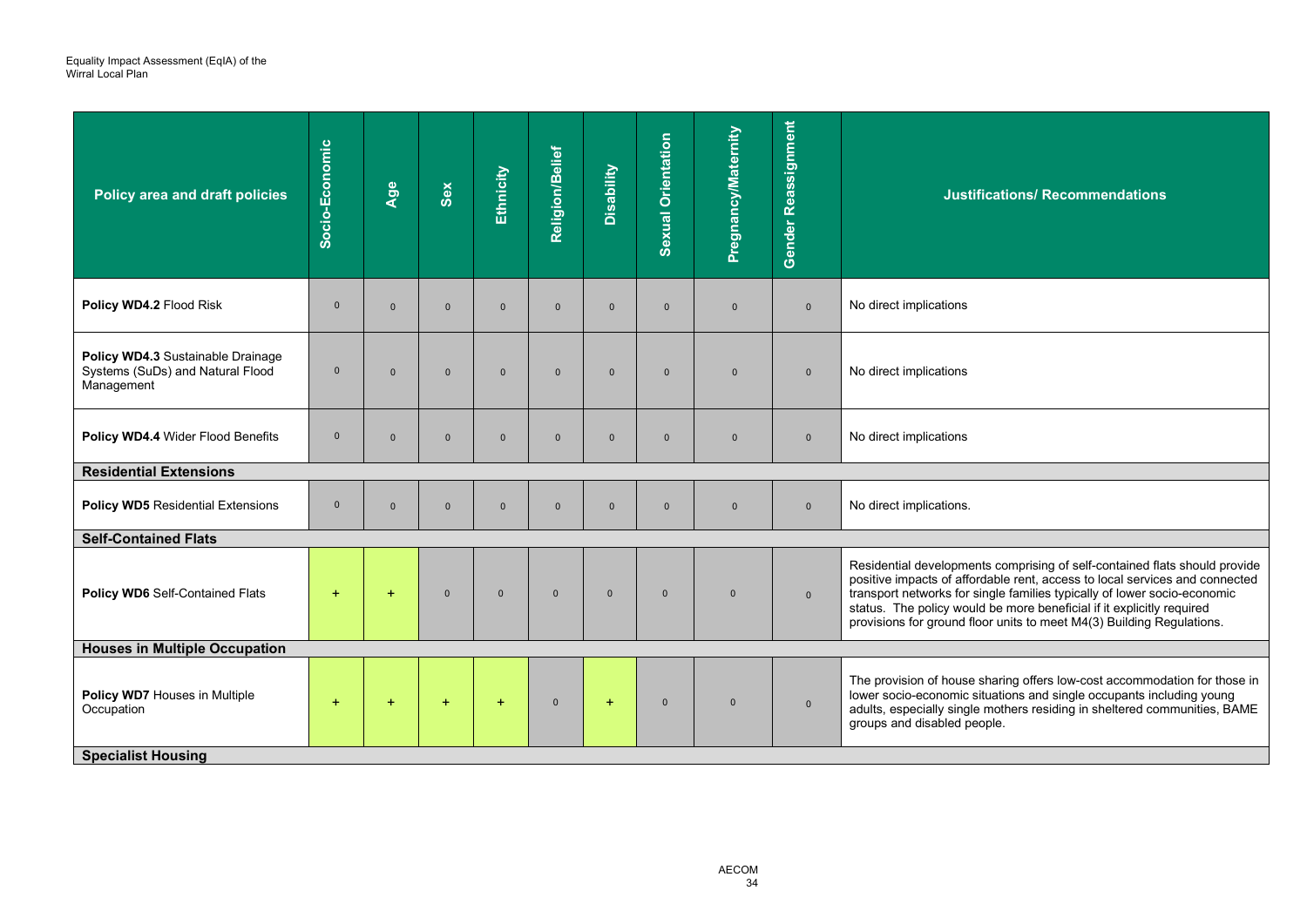| <b>Policy area and draft policies</b>                                               | Socio-Economic | Age       | Sex          | Ethnicity      | Religion/Belief | <b>Disability</b> | <b>Sexual Orientation</b> | <b>Pregnancy/Maternity</b> | Gender Reassignment | <b>Justifications/ Recommendations</b>                                                                                                                                                                                                                                                                                                                                                  |
|-------------------------------------------------------------------------------------|----------------|-----------|--------------|----------------|-----------------|-------------------|---------------------------|----------------------------|---------------------|-----------------------------------------------------------------------------------------------------------------------------------------------------------------------------------------------------------------------------------------------------------------------------------------------------------------------------------------------------------------------------------------|
| Policy WD4.2 Flood Risk                                                             | $\mathbf 0$    | $\Omega$  | $\Omega$     | $\Omega$       | $\mathbf{0}$    | $\Omega$          | $\mathbf{0}$              | $\Omega$                   | $\mathbf{0}$        | No direct implications                                                                                                                                                                                                                                                                                                                                                                  |
| Policy WD4.3 Sustainable Drainage<br>Systems (SuDs) and Natural Flood<br>Management | $\mathbf 0$    | $\Omega$  | $\Omega$     | $\Omega$       | $\mathbf{0}$    | $\mathbf{0}$      | $\Omega$                  | $\mathbf{0}$               | $\mathbf{0}$        | No direct implications                                                                                                                                                                                                                                                                                                                                                                  |
| Policy WD4.4 Wider Flood Benefits                                                   | $\mathbf 0$    | $\Omega$  | $\mathbf{0}$ | $\Omega$       | $\mathbf 0$     | $\Omega$          | $\Omega$                  | $\Omega$                   | $\mathbf{0}$        | No direct implications                                                                                                                                                                                                                                                                                                                                                                  |
| <b>Residential Extensions</b>                                                       |                |           |              |                |                 |                   |                           |                            |                     |                                                                                                                                                                                                                                                                                                                                                                                         |
| Policy WD5 Residential Extensions                                                   | $\mathbf{0}$   | $\Omega$  | $\Omega$     | $\Omega$       | $\Omega$        | $\Omega$          | $\Omega$                  | $\Omega$                   | $\mathbf{0}$        | No direct implications.                                                                                                                                                                                                                                                                                                                                                                 |
| <b>Self-Contained Flats</b>                                                         |                |           |              |                |                 |                   |                           |                            |                     |                                                                                                                                                                                                                                                                                                                                                                                         |
| Policy WD6 Self-Contained Flats                                                     | $\ddot{}$      | $\ddot{}$ | $\mathbf{0}$ | $\overline{0}$ | $\mathbf 0$     | $\mathbf{0}$      | $\mathbf{0}$              | $\overline{0}$             | $\mathbf{0}$        | Residential developments comprising of self-contained flats should provide<br>positive impacts of affordable rent, access to local services and connected<br>transport networks for single families typically of lower socio-economic<br>status. The policy would be more beneficial if it explicitly required<br>provisions for ground floor units to meet M4(3) Building Regulations. |
| <b>Houses in Multiple Occupation</b>                                                |                |           |              |                |                 |                   |                           |                            |                     |                                                                                                                                                                                                                                                                                                                                                                                         |
| Policy WD7 Houses in Multiple<br>Occupation                                         | $+$            | $\ddot{}$ | $+$          | $+$            | $\mathbf 0$     | $+$               | $\mathbf{0}$              | $\mathbf{0}$               | $\mathbf 0$         | The provision of house sharing offers low-cost accommodation for those in<br>lower socio-economic situations and single occupants including young<br>adults, especially single mothers residing in sheltered communities, BAME<br>groups and disabled people.                                                                                                                           |
| <b>Specialist Housing</b>                                                           |                |           |              |                |                 |                   |                           |                            |                     |                                                                                                                                                                                                                                                                                                                                                                                         |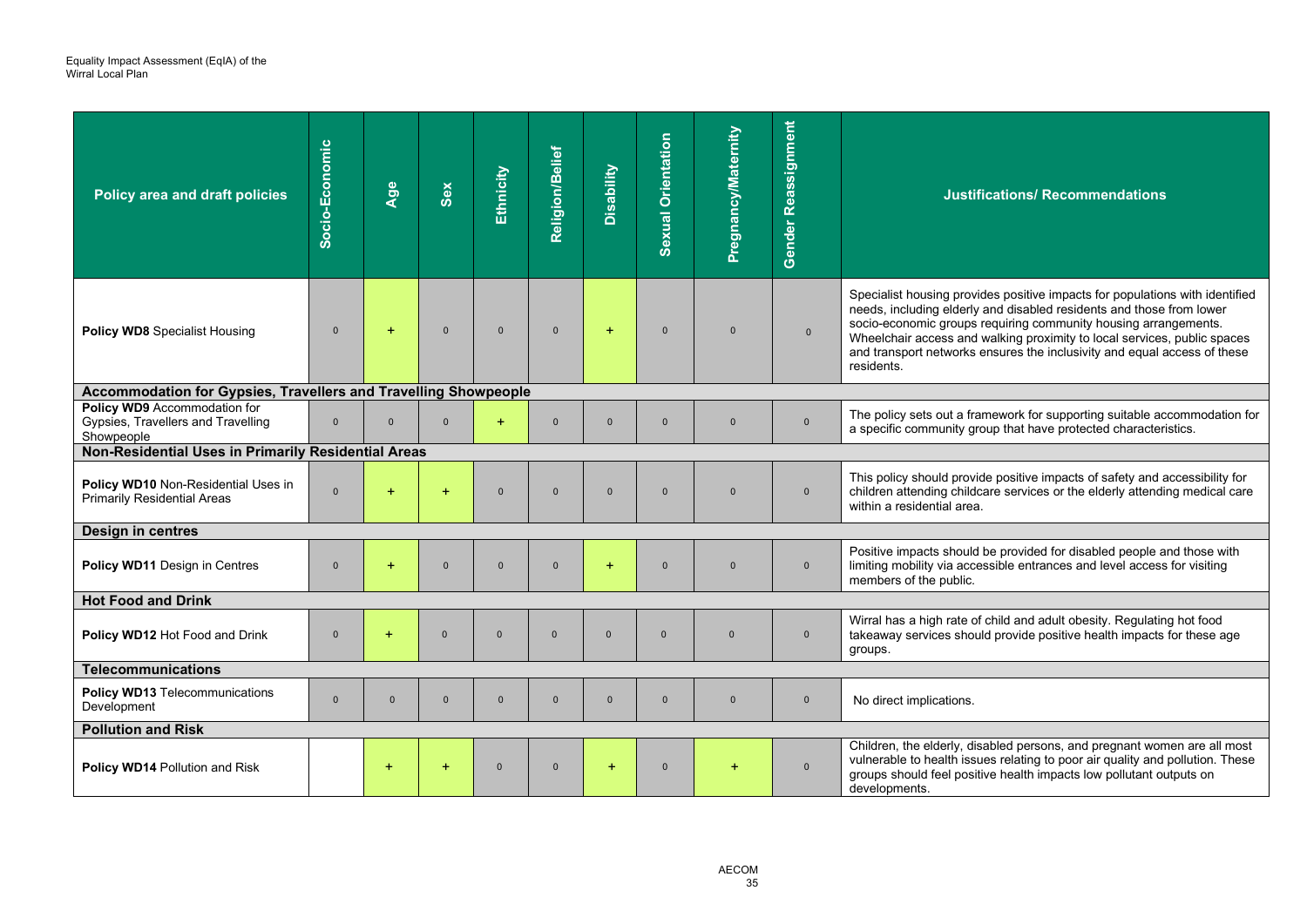| <b>Policy area and draft policies</b>                                            | Socio-Economic | Age       | Sex          | Ethnicity      | Religion/Belief | Disability   | Orientation<br>Sexual | Pregnancy/Maternity | Reassignment<br>Gender | <b>Justifications/ Recommendations</b>                                                                                                                                                                                                                                                                                                                                                        |  |
|----------------------------------------------------------------------------------|----------------|-----------|--------------|----------------|-----------------|--------------|-----------------------|---------------------|------------------------|-----------------------------------------------------------------------------------------------------------------------------------------------------------------------------------------------------------------------------------------------------------------------------------------------------------------------------------------------------------------------------------------------|--|
| <b>Policy WD8</b> Specialist Housing                                             | $\Omega$       | $+$       | $\Omega$     | $\overline{0}$ | $\Omega$        | $+$          | $\Omega$              | $\Omega$            | $\mathbf{0}$           | Specialist housing provides positive impacts for populations with identified<br>needs, including elderly and disabled residents and those from lower<br>socio-economic groups requiring community housing arrangements.<br>Wheelchair access and walking proximity to local services, public spaces<br>and transport networks ensures the inclusivity and equal access of these<br>residents. |  |
| Accommodation for Gypsies, Travellers and Travelling Showpeople                  |                |           |              |                |                 |              |                       |                     |                        |                                                                                                                                                                                                                                                                                                                                                                                               |  |
| Policy WD9 Accommodation for<br>Gypsies, Travellers and Travelling<br>Showpeople | $\mathbf{0}$   | $\Omega$  | $\Omega$     | $+$            | $\mathbf{0}$    | $\mathbf{0}$ | $\Omega$              | $\Omega$            | $\Omega$               | The policy sets out a framework for supporting suitable accommodation for<br>a specific community group that have protected characteristics.                                                                                                                                                                                                                                                  |  |
| Non-Residential Uses in Primarily Residential Areas                              |                |           |              |                |                 |              |                       |                     |                        |                                                                                                                                                                                                                                                                                                                                                                                               |  |
| Policy WD10 Non-Residential Uses in<br><b>Primarily Residential Areas</b>        | $\Omega$       | $+$       | $\ddot{}$    | $\overline{0}$ | $\Omega$        | $\Omega$     | $\Omega$              | $\Omega$            | $\mathbf{0}$           | This policy should provide positive impacts of safety and accessibility for<br>children attending childcare services or the elderly attending medical care<br>within a residential area.                                                                                                                                                                                                      |  |
| <b>Design in centres</b>                                                         |                |           |              |                |                 |              |                       |                     |                        |                                                                                                                                                                                                                                                                                                                                                                                               |  |
| Policy WD11 Design in Centres                                                    | $\mathbf{0}$   | $+$       | $\Omega$     | $\overline{0}$ | $\Omega$        | $+$          | $\Omega$              | $\mathbf{0}$        | $\Omega$               | Positive impacts should be provided for disabled people and those with<br>limiting mobility via accessible entrances and level access for visiting<br>members of the public.                                                                                                                                                                                                                  |  |
| <b>Hot Food and Drink</b>                                                        |                |           |              |                |                 |              |                       |                     |                        |                                                                                                                                                                                                                                                                                                                                                                                               |  |
| Policy WD12 Hot Food and Drink                                                   | $\mathbf{0}$   | $\ddot{}$ | $\mathbf{0}$ | $\Omega$       | $\Omega$        | $\Omega$     | $\Omega$              | $\Omega$            | $\Omega$               | Wirral has a high rate of child and adult obesity. Regulating hot food<br>takeaway services should provide positive health impacts for these age<br>groups.                                                                                                                                                                                                                                   |  |
| <b>Telecommunications</b>                                                        |                |           |              |                |                 |              |                       |                     |                        |                                                                                                                                                                                                                                                                                                                                                                                               |  |
| Policy WD13 Telecommunications<br>Development                                    | $\Omega$       | $\Omega$  | $\Omega$     | $\overline{0}$ | $\mathbf{0}$    | $\mathbf{0}$ | $\Omega$              | $\mathbf{0}$        | $\mathbf{0}$           | No direct implications.                                                                                                                                                                                                                                                                                                                                                                       |  |
| <b>Pollution and Risk</b>                                                        |                |           |              |                |                 |              |                       |                     |                        |                                                                                                                                                                                                                                                                                                                                                                                               |  |
| Policy WD14 Pollution and Risk                                                   |                | $\ddot{}$ | $\ddot{}$    | $\Omega$       | $\Omega$        | $\ddot{}$    | $\Omega$              | $\ddot{}$           | $\Omega$               | Children, the elderly, disabled persons, and pregnant women are all most<br>vulnerable to health issues relating to poor air quality and pollution. These<br>groups should feel positive health impacts low pollutant outputs on<br>developments.                                                                                                                                             |  |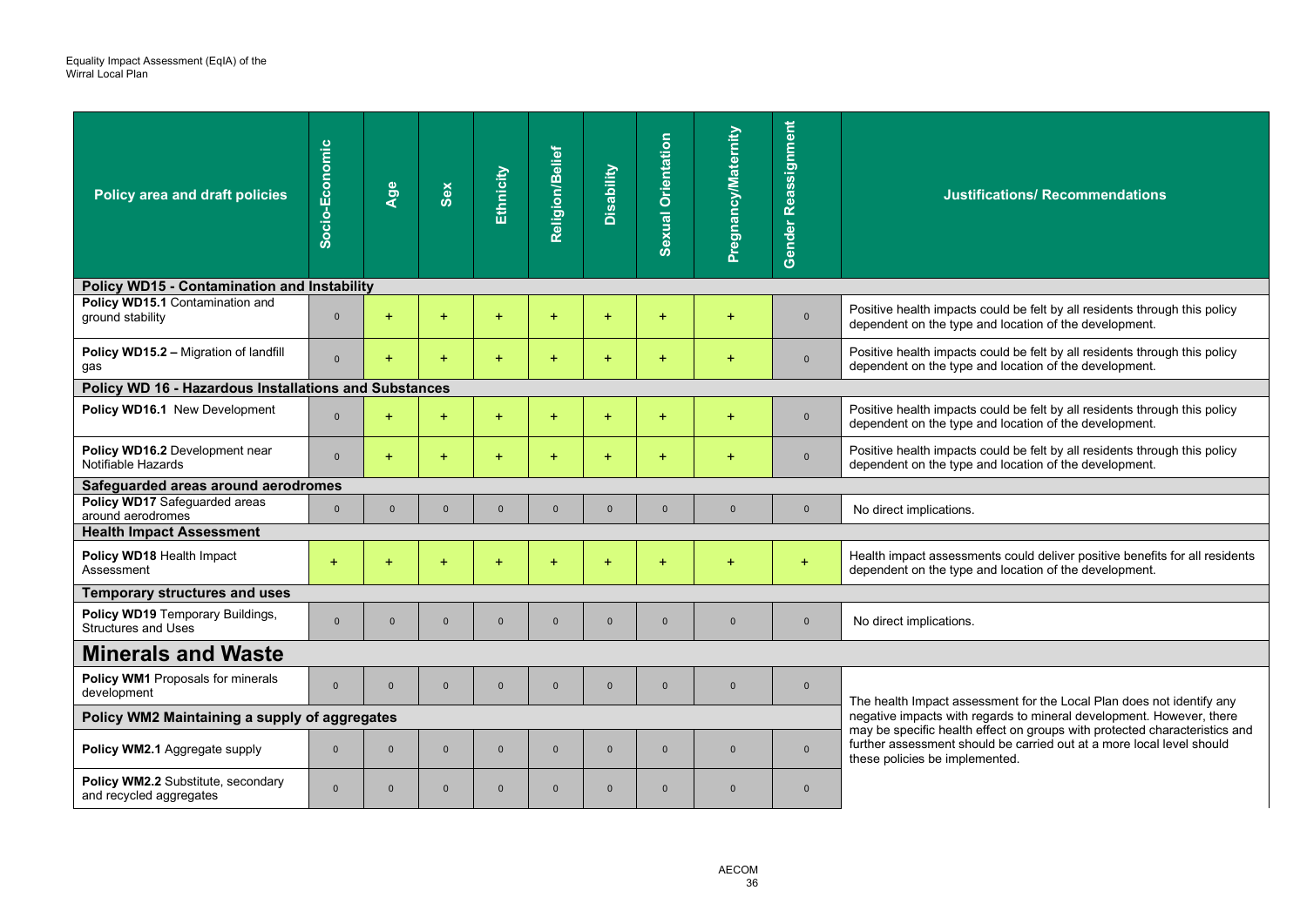| Policy area and draft policies                                 | Economic<br>Socio- | Age          | Sex          | Ethnicity                                                            | Religion/Belief | <b>Disability</b> | Sexual Orientation | <b>Pregnancy/Maternity</b> | <b>Gender Reassignment</b> | <b>Justifications/ Recommendations</b>                                                                                                                                                |  |  |  |
|----------------------------------------------------------------|--------------------|--------------|--------------|----------------------------------------------------------------------|-----------------|-------------------|--------------------|----------------------------|----------------------------|---------------------------------------------------------------------------------------------------------------------------------------------------------------------------------------|--|--|--|
| Policy WD15 - Contamination and Instability                    |                    |              |              |                                                                      |                 |                   |                    |                            |                            |                                                                                                                                                                                       |  |  |  |
| Policy WD15.1 Contamination and<br>ground stability            | $\mathbf 0$        | $+$          | $+$          | $\ddot{}$                                                            | $\ddot{}$       | $+$               | $+$                | $+$                        | $\mathbf 0$                | Positive health impacts could be felt by all residents through this policy<br>dependent on the type and location of the development.                                                  |  |  |  |
| Policy WD15.2 - Migration of landfill<br>gas                   | $\mathbf{0}$       | $+$          | $+$          | $\ddot{}$                                                            | $\ddot{}$       | $+$               | $+$                | $+$                        | $\Omega$                   | Positive health impacts could be felt by all residents through this policy<br>dependent on the type and location of the development.                                                  |  |  |  |
| Policy WD 16 - Hazardous Installations and Substances          |                    |              |              |                                                                      |                 |                   |                    |                            |                            |                                                                                                                                                                                       |  |  |  |
| Policy WD16.1 New Development                                  | $\mathbf{0}$       | $+$          | $+$          | $\ddot{}$                                                            | $+$             | $+$               | ÷                  | $+$                        | $\mathbf 0$                | Positive health impacts could be felt by all residents through this policy<br>dependent on the type and location of the development.                                                  |  |  |  |
| Policy WD16.2 Development near<br>Notifiable Hazards           | $\mathbf{0}$       | $+$          | $+$          | $\ddot{}$                                                            | $\ddot{}$       | $+$               | $+$                | $+$                        | $\mathbf 0$                | Positive health impacts could be felt by all residents through this policy<br>dependent on the type and location of the development.                                                  |  |  |  |
| Safeguarded areas around aerodromes                            |                    |              |              |                                                                      |                 |                   |                    |                            |                            |                                                                                                                                                                                       |  |  |  |
| Policy WD17 Safeguarded areas<br>around aerodromes             | $\mathbf 0$        | $\mathbf{0}$ | $\mathbf{0}$ | $\mathbf{0}$                                                         | $\Omega$        | $\mathbf 0$       | $\Omega$           | $\Omega$                   | $\mathbf 0$                | No direct implications.                                                                                                                                                               |  |  |  |
| <b>Health Impact Assessment</b>                                |                    |              |              |                                                                      |                 |                   |                    |                            |                            |                                                                                                                                                                                       |  |  |  |
| Policy WD18 Health Impact<br>Assessment                        | $+$                | $\ddot{}$    | $\div$       | ÷                                                                    | $\overline{ }$  | $+$               | $+$                | $+$                        | ÷                          | Health impact assessments could deliver positive benefits for all residents<br>dependent on the type and location of the development.                                                 |  |  |  |
| <b>Temporary structures and uses</b>                           |                    |              |              |                                                                      |                 |                   |                    |                            |                            |                                                                                                                                                                                       |  |  |  |
| Policy WD19 Temporary Buildings,<br><b>Structures and Uses</b> | $\mathbf{0}$       | $\Omega$     | $\Omega$     | $\mathbf{0}$                                                         | $\Omega$        | $\mathbf{0}$      | $\Omega$           | $\Omega$                   | $\mathbf 0$                | No direct implications.                                                                                                                                                               |  |  |  |
| <b>Minerals and Waste</b>                                      |                    |              |              |                                                                      |                 |                   |                    |                            |                            |                                                                                                                                                                                       |  |  |  |
| Policy WM1 Proposals for minerals<br>development               | $\mathbf{0}$       | $\Omega$     | $\Omega$     | $\Omega$                                                             | $\Omega$        | $\Omega$          | $\Omega$           | $\Omega$                   | $\Omega$                   | The health Impact assessment for the Local Plan does not identify any                                                                                                                 |  |  |  |
| Policy WM2 Maintaining a supply of aggregates                  |                    |              |              | negative impacts with regards to mineral development. However, there |                 |                   |                    |                            |                            |                                                                                                                                                                                       |  |  |  |
| Policy WM2.1 Aggregate supply                                  | $\mathbf{0}$       | $\Omega$     | $\Omega$     | $\mathbf{0}$                                                         | $\Omega$        | $\Omega$          | $\Omega$           | $\Omega$                   | $\Omega$                   | may be specific health effect on groups with protected characteristics and<br>further assessment should be carried out at a more local level should<br>these policies be implemented. |  |  |  |
| Policy WM2.2 Substitute, secondary<br>and recycled aggregates  | $\Omega$           | $\Omega$     | $\Omega$     | $\mathbf{0}$                                                         | $\Omega$        | $\mathbf{0}$      | $\Omega$           | $\Omega$                   | $\Omega$                   |                                                                                                                                                                                       |  |  |  |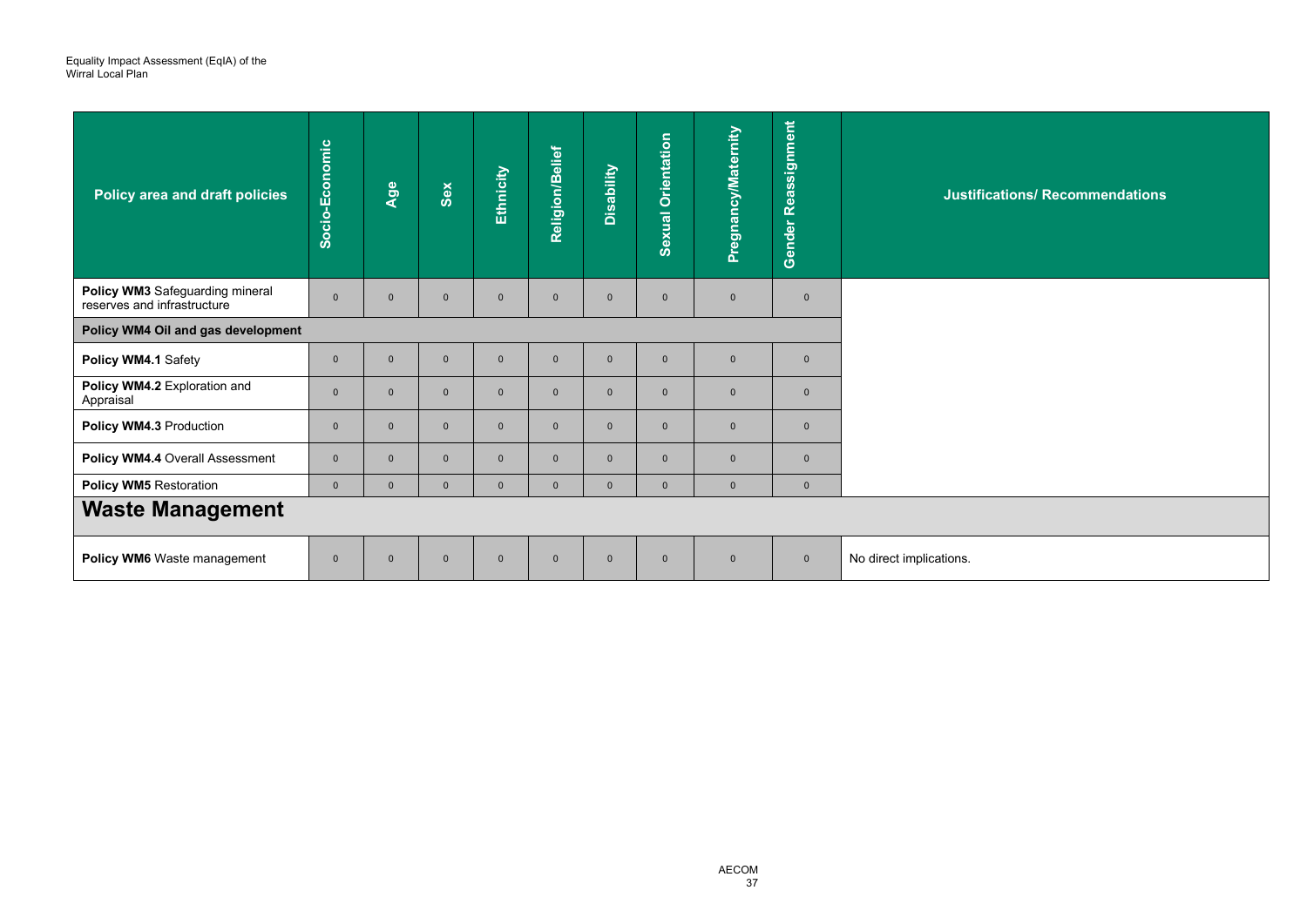| Policy area and draft policies                                 | Socio-Economic | Age            | Sex          | Ethnicity    | Religion/Belief | Disability   | <b>Orientation</b><br><b>Sexual</b> | Pregnancy/Maternity | Reassignment<br>Gender | <b>Justifications/ Recommendations</b> |
|----------------------------------------------------------------|----------------|----------------|--------------|--------------|-----------------|--------------|-------------------------------------|---------------------|------------------------|----------------------------------------|
| Policy WM3 Safeguarding mineral<br>reserves and infrastructure | $\mathbf 0$    | $\Omega$       | $\mathbf{0}$ | $\mathbf{0}$ | $\mathbf 0$     | $\mathbf{0}$ | $\mathbf 0$                         | $\mathbf{0}$        | $\mathbf 0$            |                                        |
| Policy WM4 Oil and gas development                             |                |                |              |              |                 |              |                                     |                     |                        |                                        |
| Policy WM4.1 Safety                                            | $\mathbf 0$    | $\Omega$       | $\mathbf{0}$ | $\Omega$     | $\overline{0}$  | $\mathbf{0}$ | $\mathbf 0$                         | $\mathbf 0$         | $\mathbf{0}$           |                                        |
| Policy WM4.2 Exploration and<br>Appraisal                      | $\mathbf{0}$   | $\mathbf{0}$   | $\mathbf{0}$ | $\Omega$     | $\overline{0}$  | $\mathbf{0}$ | $\mathbf{0}$                        | $\mathbf{0}$        | $\mathbf{0}$           |                                        |
| Policy WM4.3 Production                                        | $\mathbf 0$    | $\Omega$       | $\Omega$     | $\Omega$     | $\overline{0}$  | $\Omega$     | $\mathbf{0}$                        | $\Omega$            | $\mathbf{0}$           |                                        |
| Policy WM4.4 Overall Assessment                                | $\overline{0}$ | $\Omega$       | $\mathbf{0}$ | $\Omega$     | $\mathbf 0$     | $\mathbf{0}$ | $\mathbf{0}$                        | $\mathbf 0$         | $\mathbf{0}$           |                                        |
| Policy WM5 Restoration                                         | $\overline{0}$ | $\overline{0}$ | $\mathbf{0}$ | $\mathbf{0}$ | $\mathbf 0$     | $\mathbf{0}$ | $\mathbf{0}$                        | $\mathbf 0$         | $\mathbf 0$            |                                        |
| <b>Waste Management</b>                                        |                |                |              |              |                 |              |                                     |                     |                        |                                        |
| Policy WM6 Waste management                                    | $\mathbf 0$    | $\Omega$       | $\mathbf{0}$ | $\Omega$     | $\overline{0}$  | $\Omega$     | $\mathbf{0}$                        | $\Omega$            | $\mathbf 0$            | No direct implications.                |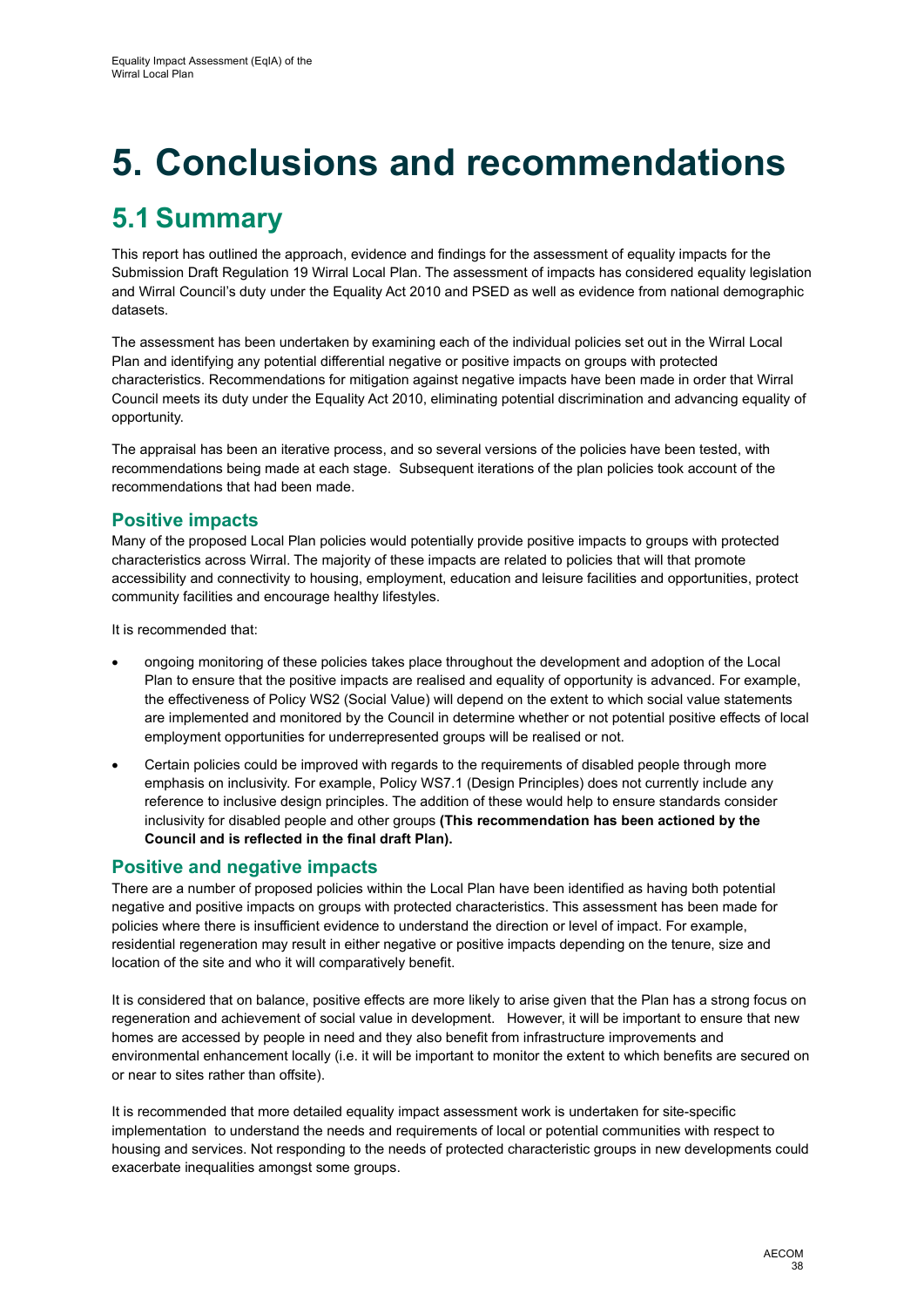# <span id="page-40-0"></span>**5. Conclusions and recommendations**

# <span id="page-40-1"></span>**5.1 Summary**

This report has outlined the approach, evidence and findings for the assessment of equality impacts for the Submission Draft Regulation 19 Wirral Local Plan. The assessment of impacts has considered equality legislation and Wirral Council's duty under the Equality Act 2010 and PSED as well as evidence from national demographic datasets.

The assessment has been undertaken by examining each of the individual policies set out in the Wirral Local Plan and identifying any potential differential negative or positive impacts on groups with protected characteristics. Recommendations for mitigation against negative impacts have been made in order that Wirral Council meets its duty under the Equality Act 2010, eliminating potential discrimination and advancing equality of opportunity.

The appraisal has been an iterative process, and so several versions of the policies have been tested, with recommendations being made at each stage. Subsequent iterations of the plan policies took account of the recommendations that had been made.

### **Positive impacts**

Many of the proposed Local Plan policies would potentially provide positive impacts to groups with protected characteristics across Wirral. The majority of these impacts are related to policies that will that promote accessibility and connectivity to housing, employment, education and leisure facilities and opportunities, protect community facilities and encourage healthy lifestyles.

It is recommended that:

- ongoing monitoring of these policies takes place throughout the development and adoption of the Local Plan to ensure that the positive impacts are realised and equality of opportunity is advanced. For example, the effectiveness of Policy WS2 (Social Value) will depend on the extent to which social value statements are implemented and monitored by the Council in determine whether or not potential positive effects of local employment opportunities for underrepresented groups will be realised or not.
- Certain policies could be improved with regards to the requirements of disabled people through more emphasis on inclusivity. For example, Policy WS7.1 (Design Principles) does not currently include any reference to inclusive design principles. The addition of these would help to ensure standards consider inclusivity for disabled people and other groups **(This recommendation has been actioned by the Council and is reflected in the final draft Plan).**

### **Positive and negative impacts**

There are a number of proposed policies within the Local Plan have been identified as having both potential negative and positive impacts on groups with protected characteristics. This assessment has been made for policies where there is insufficient evidence to understand the direction or level of impact. For example, residential regeneration may result in either negative or positive impacts depending on the tenure, size and location of the site and who it will comparatively benefit.

It is considered that on balance, positive effects are more likely to arise given that the Plan has a strong focus on regeneration and achievement of social value in development. However, it will be important to ensure that new homes are accessed by people in need and they also benefit from infrastructure improvements and environmental enhancement locally (i.e. it will be important to monitor the extent to which benefits are secured on or near to sites rather than offsite).

It is recommended that more detailed equality impact assessment work is undertaken for site-specific implementation to understand the needs and requirements of local or potential communities with respect to housing and services. Not responding to the needs of protected characteristic groups in new developments could exacerbate inequalities amongst some groups.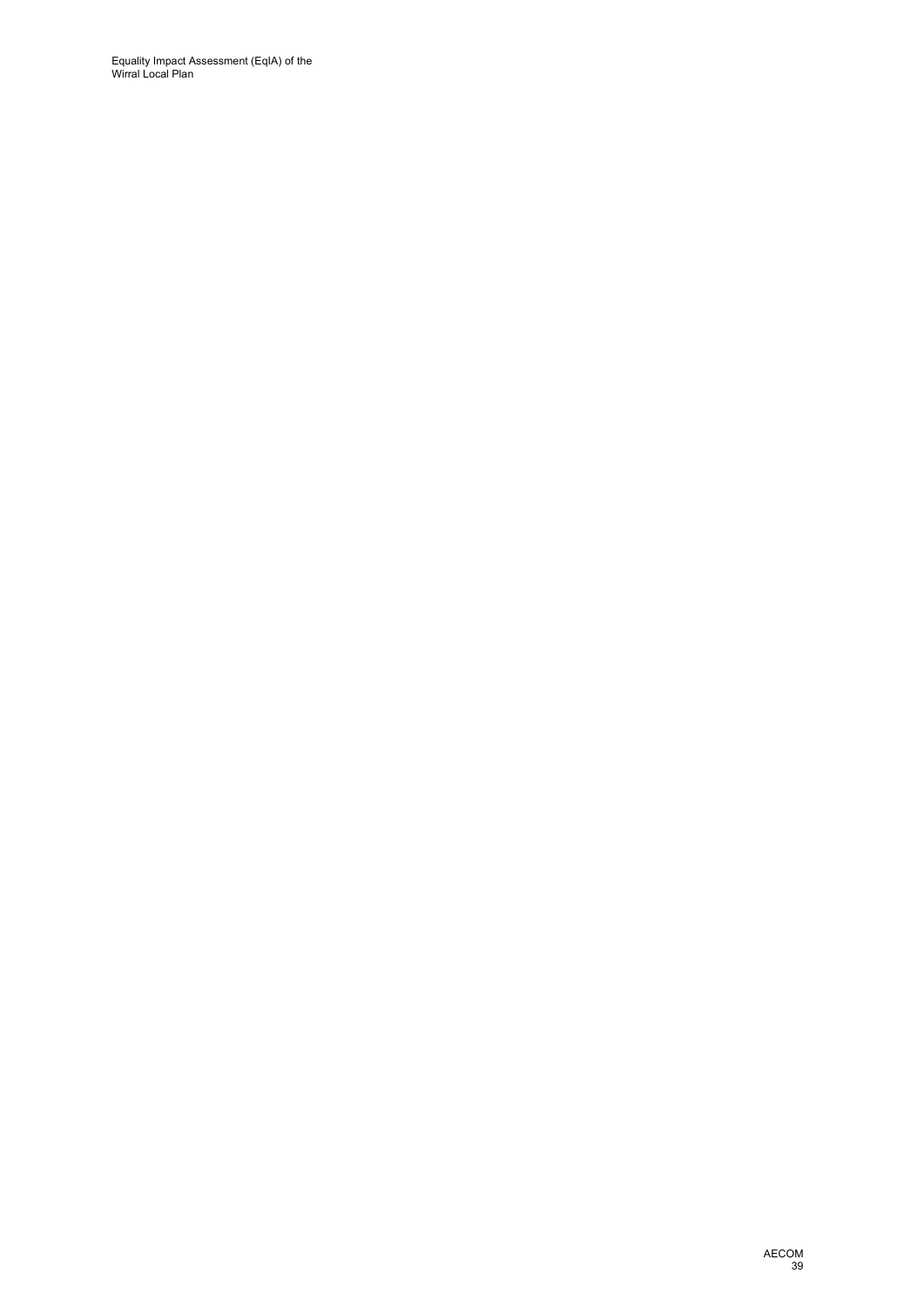Equality Impact Assessment (EqIA) of the Wirral Local Plan